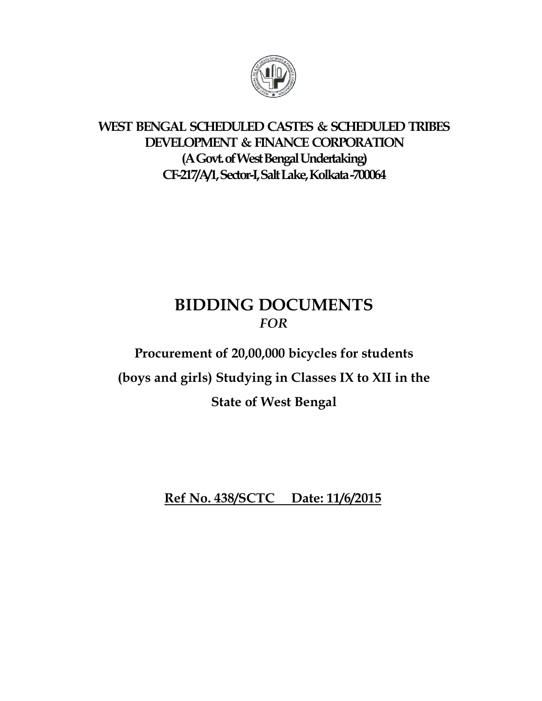

# **WEST BENGAL SCHEDULED CASTES & SCHEDULED TRIBES DEVELOPMENT & FINANCE CORPORATION (A Govt. of West Bengal Undertaking) CF-217/A/1, Sector-I, Salt Lake, Kolkata -700064**

# **BIDDING DOCUMENTS**  *FOR*

# **Procurement of 20,00,000 bicycles for students (boys and girls) Studying in Classes IX to XII in the State of West Bengal**

**Ref No. 438/SCTC Date: 11/6/2015**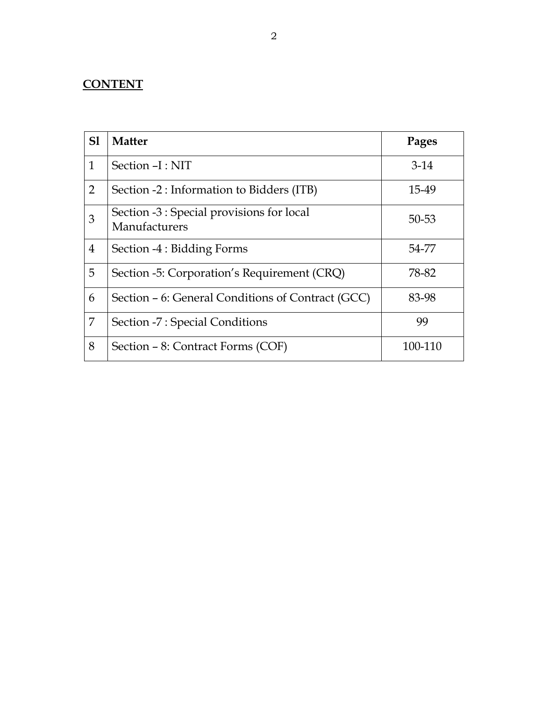# **CONTENT**

| SI             | <b>Matter</b>                                              | Pages   |
|----------------|------------------------------------------------------------|---------|
| $\mathbf{1}$   | Section -I: NIT                                            | $3-14$  |
| $\overline{2}$ | Section -2 : Information to Bidders (ITB)                  | 15-49   |
| 3              | Section -3 : Special provisions for local<br>Manufacturers | 50-53   |
| 4              | Section -4 : Bidding Forms                                 | 54-77   |
| 5              | Section -5: Corporation's Requirement (CRQ)                | 78-82   |
| 6              | Section – 6: General Conditions of Contract (GCC)          | 83-98   |
| 7              | Section -7 : Special Conditions                            | 99      |
| 8              | Section – 8: Contract Forms (COF)                          | 100-110 |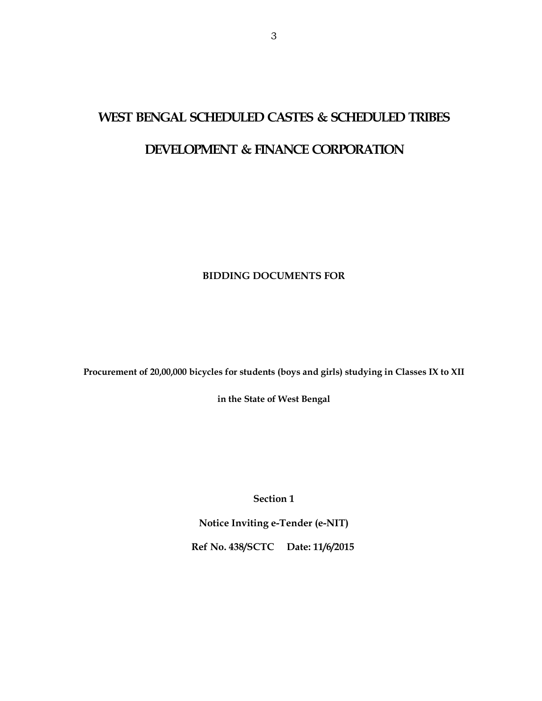# **WEST BENGAL SCHEDULED CASTES & SCHEDULED TRIBES**

## **DEVELOPMENT & FINANCE CORPORATION**

### **BIDDING DOCUMENTS FOR**

**Procurement of 20,00,000 bicycles for students (boys and girls) studying in Classes IX to XII** 

**in the State of West Bengal** 

**Section 1** 

**Notice Inviting e-Tender (e-NIT)** 

**Ref No. 438/SCTC Date: 11/6/2015**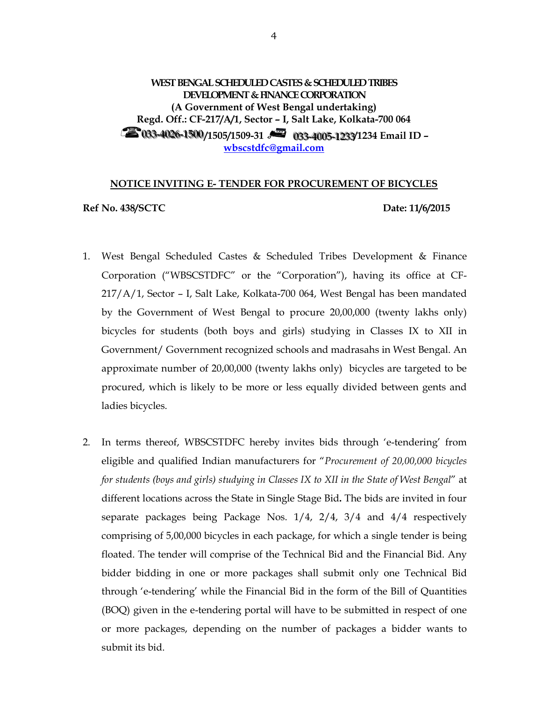### **WEST BENGAL SCHEDULED CASTES & SCHEDULED TRIBES DEVELOPMENT & FINANCE CORPORATION (A Government of West Bengal undertaking) Regd. Off.: CF-217/A/1, Sector – I, Salt Lake, Kolkata-700 064 20033-4026-1500/1505/1509-31 2003-4005-1233/1234 Email ID – wbscstdfc@gmail.com**

#### **NOTICE INVITING E- TENDER FOR PROCUREMENT OF BICYCLES**

**Ref No. 438/SCTC Date: 11/6/2015** 

- 1. West Bengal Scheduled Castes & Scheduled Tribes Development & Finance Corporation ("WBSCSTDFC" or the "Corporation"), having its office at CF-217/A/1, Sector – I, Salt Lake, Kolkata-700 064, West Bengal has been mandated by the Government of West Bengal to procure 20,00,000 (twenty lakhs only) bicycles for students (both boys and girls) studying in Classes IX to XII in Government/ Government recognized schools and madrasahs in West Bengal. An approximate number of 20,00,000 (twenty lakhs only) bicycles are targeted to be procured, which is likely to be more or less equally divided between gents and ladies bicycles.
- 2. In terms thereof, WBSCSTDFC hereby invites bids through 'e-tendering' from eligible and qualified Indian manufacturers for "*Procurement of 20,00,000 bicycles for students (boys and girls) studying in Classes IX to XII in the State of West Bengal*" at different locations across the State in Single Stage Bid**.** The bids are invited in four separate packages being Package Nos. 1/4, 2/4, 3/4 and 4/4 respectively comprising of 5,00,000 bicycles in each package, for which a single tender is being floated. The tender will comprise of the Technical Bid and the Financial Bid. Any bidder bidding in one or more packages shall submit only one Technical Bid through 'e-tendering' while the Financial Bid in the form of the Bill of Quantities (BOQ) given in the e-tendering portal will have to be submitted in respect of one or more packages, depending on the number of packages a bidder wants to submit its bid.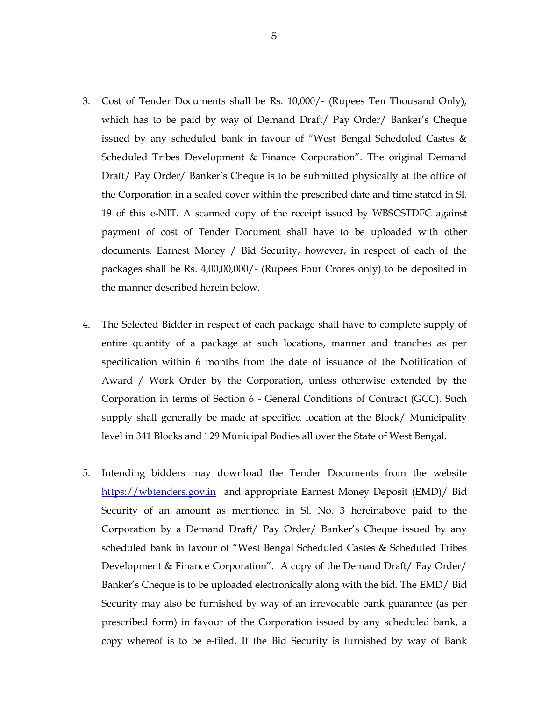- 3. Cost of Tender Documents shall be Rs. 10,000/- (Rupees Ten Thousand Only), which has to be paid by way of Demand Draft/ Pay Order/ Banker's Cheque issued by any scheduled bank in favour of "West Bengal Scheduled Castes & Scheduled Tribes Development & Finance Corporation". The original Demand Draft/ Pay Order/ Banker's Cheque is to be submitted physically at the office of the Corporation in a sealed cover within the prescribed date and time stated in Sl. 19 of this e-NIT. A scanned copy of the receipt issued by WBSCSTDFC against payment of cost of Tender Document shall have to be uploaded with other documents. Earnest Money / Bid Security, however, in respect of each of the packages shall be Rs. 4,00,00,000/- (Rupees Four Crores only) to be deposited in the manner described herein below.
- 4. The Selected Bidder in respect of each package shall have to complete supply of entire quantity of a package at such locations, manner and tranches as per specification within 6 months from the date of issuance of the Notification of Award / Work Order by the Corporation, unless otherwise extended by the Corporation in terms of Section 6 - General Conditions of Contract (GCC). Such supply shall generally be made at specified location at the Block/ Municipality level in 341 Blocks and 129 Municipal Bodies all over the State of West Bengal.
- 5. Intending bidders may download the Tender Documents from the website https://wbtenders.gov.in and appropriate Earnest Money Deposit (EMD)/ Bid Security of an amount as mentioned in Sl. No. 3 hereinabove paid to the Corporation by a Demand Draft/ Pay Order/ Banker's Cheque issued by any scheduled bank in favour of "West Bengal Scheduled Castes & Scheduled Tribes Development & Finance Corporation". A copy of the Demand Draft/ Pay Order/ Banker's Cheque is to be uploaded electronically along with the bid. The EMD/ Bid Security may also be furnished by way of an irrevocable bank guarantee (as per prescribed form) in favour of the Corporation issued by any scheduled bank, a copy whereof is to be e-filed. If the Bid Security is furnished by way of Bank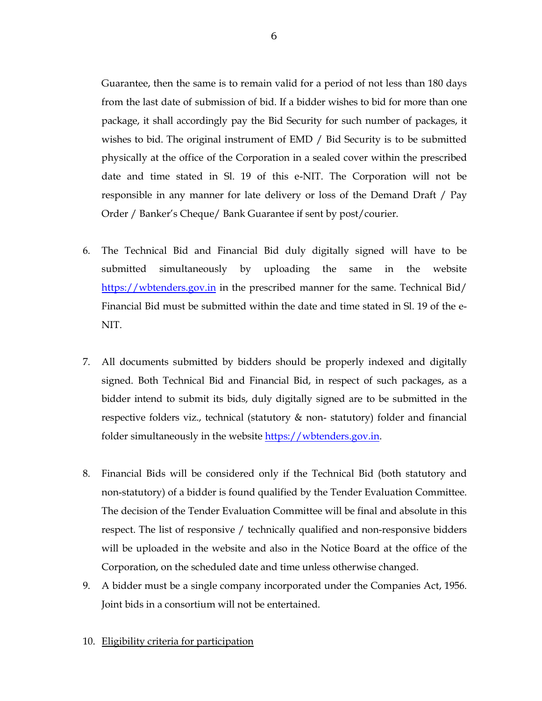Guarantee, then the same is to remain valid for a period of not less than 180 days from the last date of submission of bid. If a bidder wishes to bid for more than one package, it shall accordingly pay the Bid Security for such number of packages, it wishes to bid. The original instrument of EMD / Bid Security is to be submitted physically at the office of the Corporation in a sealed cover within the prescribed date and time stated in Sl. 19 of this e-NIT. The Corporation will not be responsible in any manner for late delivery or loss of the Demand Draft / Pay Order / Banker's Cheque/ Bank Guarantee if sent by post/courier.

- 6. The Technical Bid and Financial Bid duly digitally signed will have to be submitted simultaneously by uploading the same in the website https://wbtenders.gov.in in the prescribed manner for the same. Technical Bid/ Financial Bid must be submitted within the date and time stated in Sl. 19 of the e-NIT.
- 7. All documents submitted by bidders should be properly indexed and digitally signed. Both Technical Bid and Financial Bid, in respect of such packages, as a bidder intend to submit its bids, duly digitally signed are to be submitted in the respective folders viz., technical (statutory & non- statutory) folder and financial folder simultaneously in the website https://wbtenders.gov.in.
- 8. Financial Bids will be considered only if the Technical Bid (both statutory and non-statutory) of a bidder is found qualified by the Tender Evaluation Committee. The decision of the Tender Evaluation Committee will be final and absolute in this respect. The list of responsive / technically qualified and non-responsive bidders will be uploaded in the website and also in the Notice Board at the office of the Corporation, on the scheduled date and time unless otherwise changed.
- 9. A bidder must be a single company incorporated under the Companies Act, 1956. Joint bids in a consortium will not be entertained.
- 10. Eligibility criteria for participation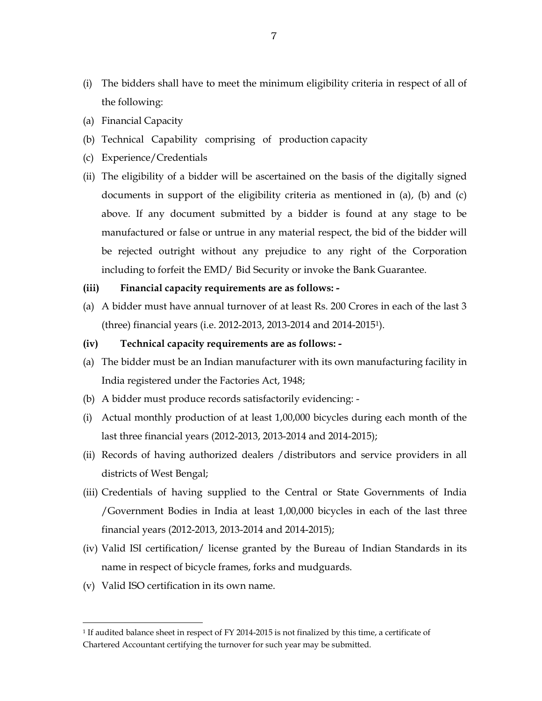- (i) The bidders shall have to meet the minimum eligibility criteria in respect of all of the following:
- (a) Financial Capacity
- (b) Technical Capability comprising of production capacity
- (c) Experience/Credentials
- (ii) The eligibility of a bidder will be ascertained on the basis of the digitally signed documents in support of the eligibility criteria as mentioned in (a), (b) and (c) above. If any document submitted by a bidder is found at any stage to be manufactured or false or untrue in any material respect, the bid of the bidder will be rejected outright without any prejudice to any right of the Corporation including to forfeit the EMD/ Bid Security or invoke the Bank Guarantee.

#### **(iii) Financial capacity requirements are as follows: -**

- (a) A bidder must have annual turnover of at least Rs. 200 Crores in each of the last 3 (three) financial years (i.e. 2012-2013, 2013-2014 and 2014-2015<sup>1</sup> ).
- **(iv) Technical capacity requirements are as follows:**
- (a) The bidder must be an Indian manufacturer with its own manufacturing facility in India registered under the Factories Act, 1948;
- (b) A bidder must produce records satisfactorily evidencing: -
- (i) Actual monthly production of at least 1,00,000 bicycles during each month of the last three financial years (2012-2013, 2013-2014 and 2014-2015);
- (ii) Records of having authorized dealers /distributors and service providers in all districts of West Bengal;
- (iii) Credentials of having supplied to the Central or State Governments of India /Government Bodies in India at least 1,00,000 bicycles in each of the last three financial years (2012-2013, 2013-2014 and 2014-2015);
- (iv) Valid ISI certification/ license granted by the Bureau of Indian Standards in its name in respect of bicycle frames, forks and mudguards.
- (v) Valid ISO certification in its own name.

<sup>1</sup> If audited balance sheet in respect of FY 2014-2015 is not finalized by this time, a certificate of Chartered Accountant certifying the turnover for such year may be submitted.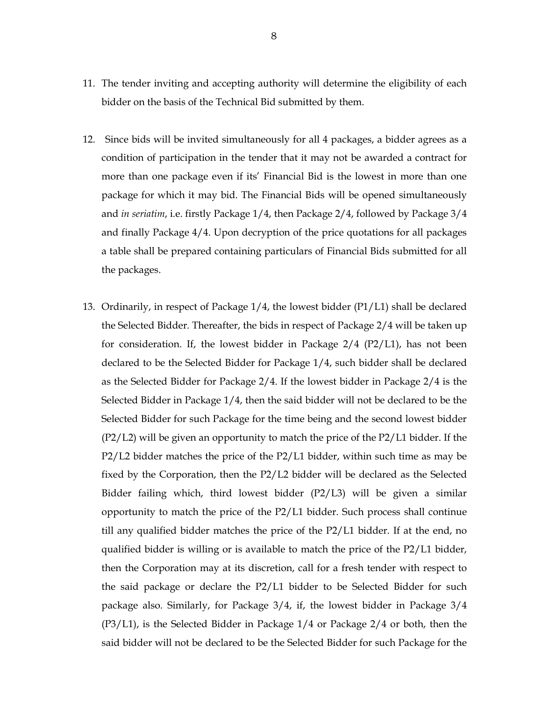- 11. The tender inviting and accepting authority will determine the eligibility of each bidder on the basis of the Technical Bid submitted by them.
- 12. Since bids will be invited simultaneously for all 4 packages, a bidder agrees as a condition of participation in the tender that it may not be awarded a contract for more than one package even if its' Financial Bid is the lowest in more than one package for which it may bid. The Financial Bids will be opened simultaneously and *in seriatim*, i.e. firstly Package 1/4, then Package 2/4, followed by Package 3/4 and finally Package 4/4. Upon decryption of the price quotations for all packages a table shall be prepared containing particulars of Financial Bids submitted for all the packages.
- 13. Ordinarily, in respect of Package 1/4, the lowest bidder (P1/L1) shall be declared the Selected Bidder. Thereafter, the bids in respect of Package 2/4 will be taken up for consideration. If, the lowest bidder in Package 2/4 (P2/L1), has not been declared to be the Selected Bidder for Package 1/4, such bidder shall be declared as the Selected Bidder for Package 2/4. If the lowest bidder in Package 2/4 is the Selected Bidder in Package 1/4, then the said bidder will not be declared to be the Selected Bidder for such Package for the time being and the second lowest bidder (P2/L2) will be given an opportunity to match the price of the P2/L1 bidder. If the P2/L2 bidder matches the price of the P2/L1 bidder, within such time as may be fixed by the Corporation, then the P2/L2 bidder will be declared as the Selected Bidder failing which, third lowest bidder (P2/L3) will be given a similar opportunity to match the price of the P2/L1 bidder. Such process shall continue till any qualified bidder matches the price of the P2/L1 bidder. If at the end, no qualified bidder is willing or is available to match the price of the P2/L1 bidder, then the Corporation may at its discretion, call for a fresh tender with respect to the said package or declare the P2/L1 bidder to be Selected Bidder for such package also. Similarly, for Package 3/4, if, the lowest bidder in Package 3/4 (P3/L1), is the Selected Bidder in Package 1/4 or Package 2/4 or both, then the said bidder will not be declared to be the Selected Bidder for such Package for the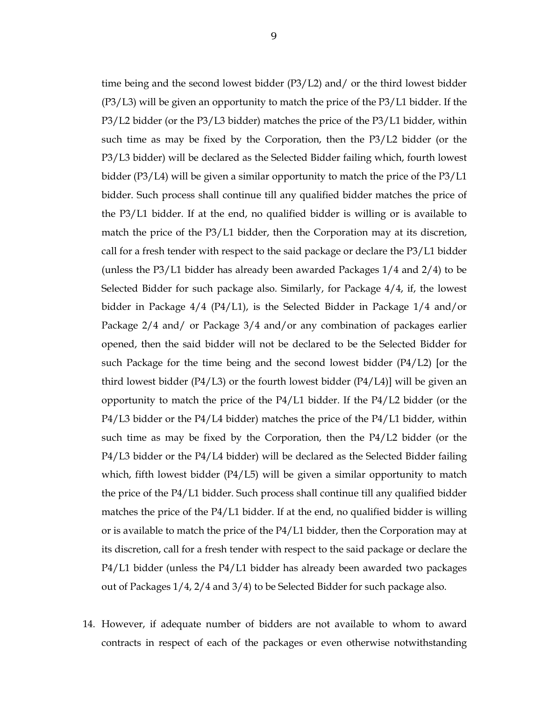time being and the second lowest bidder (P3/L2) and/ or the third lowest bidder (P3/L3) will be given an opportunity to match the price of the P3/L1 bidder. If the P3/L2 bidder (or the P3/L3 bidder) matches the price of the P3/L1 bidder, within such time as may be fixed by the Corporation, then the P3/L2 bidder (or the P3/L3 bidder) will be declared as the Selected Bidder failing which, fourth lowest bidder (P3/L4) will be given a similar opportunity to match the price of the P3/L1 bidder. Such process shall continue till any qualified bidder matches the price of the P3/L1 bidder. If at the end, no qualified bidder is willing or is available to match the price of the P3/L1 bidder, then the Corporation may at its discretion, call for a fresh tender with respect to the said package or declare the P3/L1 bidder (unless the P3/L1 bidder has already been awarded Packages 1/4 and 2/4) to be Selected Bidder for such package also. Similarly, for Package 4/4, if, the lowest bidder in Package 4/4 (P4/L1), is the Selected Bidder in Package 1/4 and/or Package 2/4 and/ or Package 3/4 and/or any combination of packages earlier opened, then the said bidder will not be declared to be the Selected Bidder for such Package for the time being and the second lowest bidder (P4/L2) [or the third lowest bidder  $(P4/L3)$  or the fourth lowest bidder  $(P4/L4)$ ] will be given an opportunity to match the price of the P4/L1 bidder. If the P4/L2 bidder (or the P4/L3 bidder or the P4/L4 bidder) matches the price of the P4/L1 bidder, within such time as may be fixed by the Corporation, then the P4/L2 bidder (or the P4/L3 bidder or the P4/L4 bidder) will be declared as the Selected Bidder failing which, fifth lowest bidder (P4/L5) will be given a similar opportunity to match the price of the P4/L1 bidder. Such process shall continue till any qualified bidder matches the price of the P4/L1 bidder. If at the end, no qualified bidder is willing or is available to match the price of the P4/L1 bidder, then the Corporation may at its discretion, call for a fresh tender with respect to the said package or declare the P4/L1 bidder (unless the P4/L1 bidder has already been awarded two packages

- out of Packages 1/4, 2/4 and 3/4) to be Selected Bidder for such package also.
- 14. However, if adequate number of bidders are not available to whom to award contracts in respect of each of the packages or even otherwise notwithstanding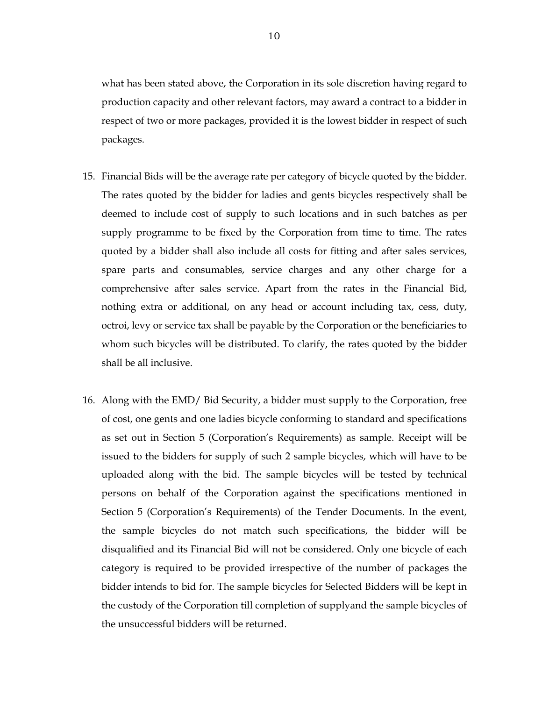what has been stated above, the Corporation in its sole discretion having regard to production capacity and other relevant factors, may award a contract to a bidder in respect of two or more packages, provided it is the lowest bidder in respect of such packages.

- 15. Financial Bids will be the average rate per category of bicycle quoted by the bidder. The rates quoted by the bidder for ladies and gents bicycles respectively shall be deemed to include cost of supply to such locations and in such batches as per supply programme to be fixed by the Corporation from time to time. The rates quoted by a bidder shall also include all costs for fitting and after sales services, spare parts and consumables, service charges and any other charge for a comprehensive after sales service. Apart from the rates in the Financial Bid, nothing extra or additional, on any head or account including tax, cess, duty, octroi, levy or service tax shall be payable by the Corporation or the beneficiaries to whom such bicycles will be distributed. To clarify, the rates quoted by the bidder shall be all inclusive.
- 16. Along with the EMD/ Bid Security, a bidder must supply to the Corporation, free of cost, one gents and one ladies bicycle conforming to standard and specifications as set out in Section 5 (Corporation's Requirements) as sample. Receipt will be issued to the bidders for supply of such 2 sample bicycles, which will have to be uploaded along with the bid. The sample bicycles will be tested by technical persons on behalf of the Corporation against the specifications mentioned in Section 5 (Corporation's Requirements) of the Tender Documents. In the event, the sample bicycles do not match such specifications, the bidder will be disqualified and its Financial Bid will not be considered. Only one bicycle of each category is required to be provided irrespective of the number of packages the bidder intends to bid for. The sample bicycles for Selected Bidders will be kept in the custody of the Corporation till completion of supplyand the sample bicycles of the unsuccessful bidders will be returned.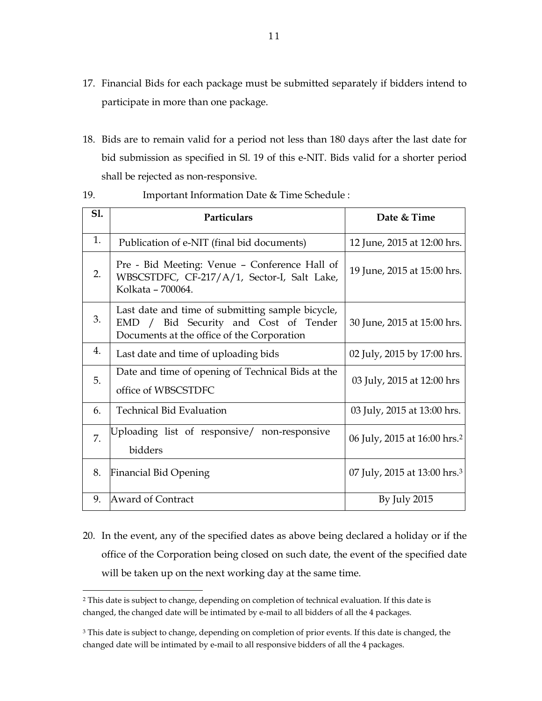- 17. Financial Bids for each package must be submitted separately if bidders intend to participate in more than one package.
- 18. Bids are to remain valid for a period not less than 180 days after the last date for bid submission as specified in Sl. 19 of this e-NIT. Bids valid for a shorter period shall be rejected as non-responsive.

| S1. | Particulars                                                                                                                             | Date & Time                              |
|-----|-----------------------------------------------------------------------------------------------------------------------------------------|------------------------------------------|
| 1.  | Publication of e-NIT (final bid documents)                                                                                              | 12 June, 2015 at 12:00 hrs.              |
| 2.  | Pre - Bid Meeting: Venue – Conference Hall of<br>WBSCSTDFC, CF-217/A/1, Sector-I, Salt Lake,<br>Kolkata - 700064.                       | 19 June, 2015 at 15:00 hrs.              |
| 3.  | Last date and time of submitting sample bicycle,<br>EMD / Bid Security and Cost of Tender<br>Documents at the office of the Corporation | 30 June, 2015 at 15:00 hrs.              |
| 4.  | Last date and time of uploading bids                                                                                                    | 02 July, 2015 by 17:00 hrs.              |
| 5.  | Date and time of opening of Technical Bids at the<br>office of WBSCSTDFC                                                                | 03 July, 2015 at 12:00 hrs               |
| 6.  | <b>Technical Bid Evaluation</b>                                                                                                         | 03 July, 2015 at 13:00 hrs.              |
| 7.  | Uploading list of responsive/ non-responsive<br>bidders                                                                                 | 06 July, 2015 at 16:00 hrs. <sup>2</sup> |
| 8.  | <b>Financial Bid Opening</b>                                                                                                            | 07 July, 2015 at 13:00 hrs. <sup>3</sup> |
| 9.  | <b>Award of Contract</b>                                                                                                                | By July 2015                             |

19. Important Information Date & Time Schedule :

20. In the event, any of the specified dates as above being declared a holiday or if the office of the Corporation being closed on such date, the event of the specified date will be taken up on the next working day at the same time.

<sup>2</sup> This date is subject to change, depending on completion of technical evaluation. If this date is changed, the changed date will be intimated by e-mail to all bidders of all the 4 packages.

<sup>&</sup>lt;sup>3</sup> This date is subject to change, depending on completion of prior events. If this date is changed, the changed date will be intimated by e-mail to all responsive bidders of all the 4 packages.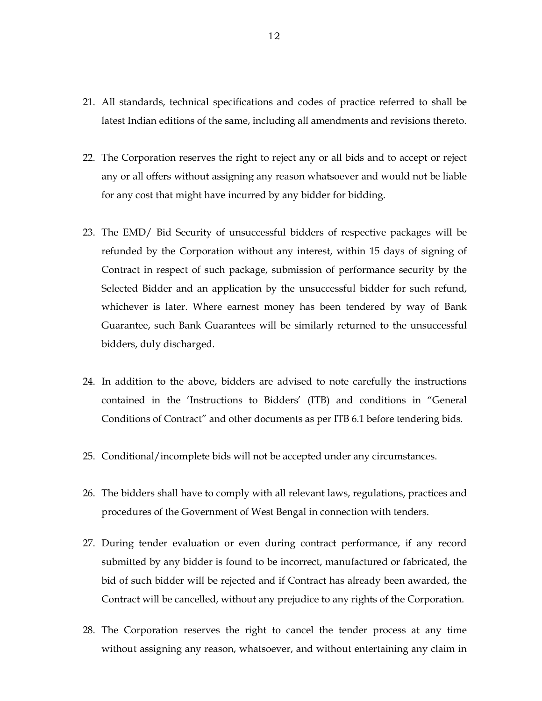- 21. All standards, technical specifications and codes of practice referred to shall be latest Indian editions of the same, including all amendments and revisions thereto.
- 22. The Corporation reserves the right to reject any or all bids and to accept or reject any or all offers without assigning any reason whatsoever and would not be liable for any cost that might have incurred by any bidder for bidding.
- 23. The EMD/ Bid Security of unsuccessful bidders of respective packages will be refunded by the Corporation without any interest, within 15 days of signing of Contract in respect of such package, submission of performance security by the Selected Bidder and an application by the unsuccessful bidder for such refund, whichever is later. Where earnest money has been tendered by way of Bank Guarantee, such Bank Guarantees will be similarly returned to the unsuccessful bidders, duly discharged.
- 24. In addition to the above, bidders are advised to note carefully the instructions contained in the 'Instructions to Bidders' (ITB) and conditions in "General Conditions of Contract" and other documents as per ITB 6.1 before tendering bids.
- 25. Conditional/incomplete bids will not be accepted under any circumstances.
- 26. The bidders shall have to comply with all relevant laws, regulations, practices and procedures of the Government of West Bengal in connection with tenders.
- 27. During tender evaluation or even during contract performance, if any record submitted by any bidder is found to be incorrect, manufactured or fabricated, the bid of such bidder will be rejected and if Contract has already been awarded, the Contract will be cancelled, without any prejudice to any rights of the Corporation.
- 28. The Corporation reserves the right to cancel the tender process at any time without assigning any reason, whatsoever, and without entertaining any claim in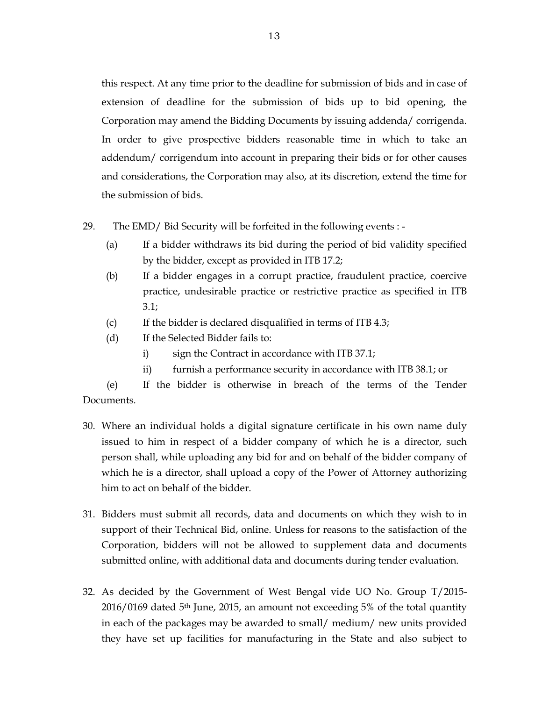this respect. At any time prior to the deadline for submission of bids and in case of extension of deadline for the submission of bids up to bid opening, the Corporation may amend the Bidding Documents by issuing addenda/ corrigenda. In order to give prospective bidders reasonable time in which to take an addendum/ corrigendum into account in preparing their bids or for other causes and considerations, the Corporation may also, at its discretion, extend the time for the submission of bids.

- 29. The EMD/ Bid Security will be forfeited in the following events :
	- (a) If a bidder withdraws its bid during the period of bid validity specified by the bidder, except as provided in ITB 17.2;
	- (b) If a bidder engages in a corrupt practice, fraudulent practice, coercive practice, undesirable practice or restrictive practice as specified in ITB 3.1;
	- (c) If the bidder is declared disqualified in terms of ITB 4.3;
	- (d) If the Selected Bidder fails to:
		- i) sign the Contract in accordance with ITB 37.1;
		- ii) furnish a performance security in accordance with ITB 38.1; or

 (e) If the bidder is otherwise in breach of the terms of the Tender Documents.

- 30. Where an individual holds a digital signature certificate in his own name duly issued to him in respect of a bidder company of which he is a director, such person shall, while uploading any bid for and on behalf of the bidder company of which he is a director, shall upload a copy of the Power of Attorney authorizing him to act on behalf of the bidder.
- 31. Bidders must submit all records, data and documents on which they wish to in support of their Technical Bid, online. Unless for reasons to the satisfaction of the Corporation, bidders will not be allowed to supplement data and documents submitted online, with additional data and documents during tender evaluation.
- 32. As decided by the Government of West Bengal vide UO No. Group T/2015- 2016/0169 dated 5th June, 2015, an amount not exceeding 5% of the total quantity in each of the packages may be awarded to small/ medium/ new units provided they have set up facilities for manufacturing in the State and also subject to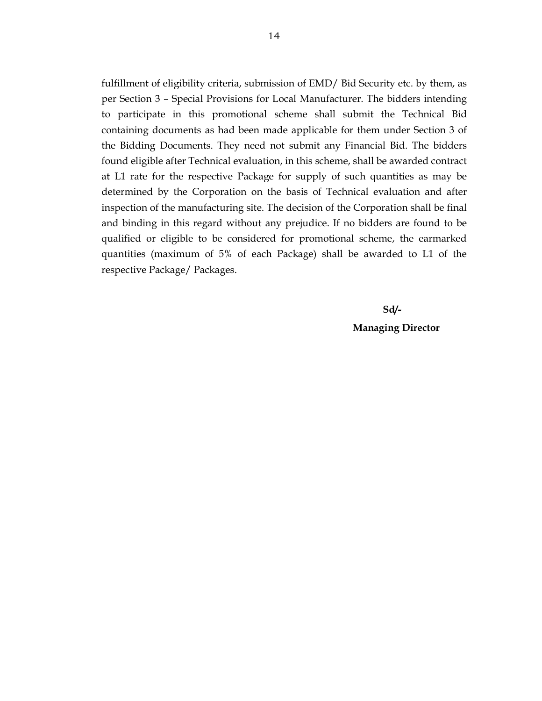fulfillment of eligibility criteria, submission of EMD/ Bid Security etc. by them, as per Section 3 – Special Provisions for Local Manufacturer. The bidders intending to participate in this promotional scheme shall submit the Technical Bid containing documents as had been made applicable for them under Section 3 of the Bidding Documents. They need not submit any Financial Bid. The bidders found eligible after Technical evaluation, in this scheme, shall be awarded contract at L1 rate for the respective Package for supply of such quantities as may be determined by the Corporation on the basis of Technical evaluation and after inspection of the manufacturing site. The decision of the Corporation shall be final and binding in this regard without any prejudice. If no bidders are found to be qualified or eligible to be considered for promotional scheme, the earmarked quantities (maximum of 5% of each Package) shall be awarded to L1 of the respective Package/ Packages.

### **Sd/- Managing Director**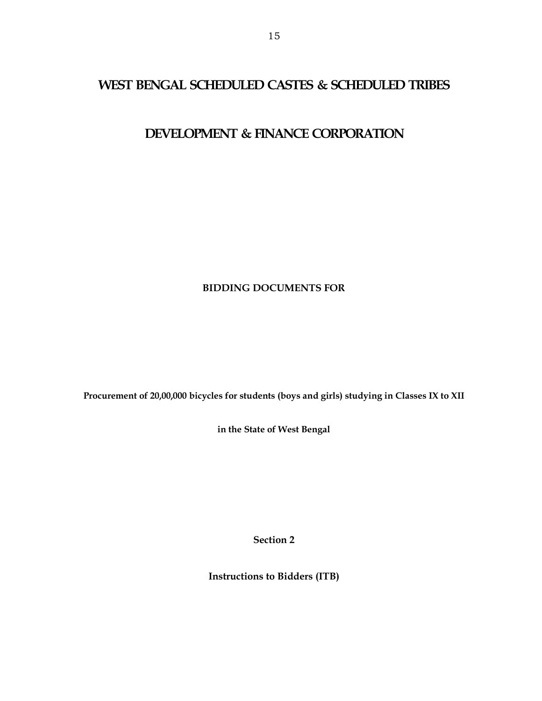### **WEST BENGAL SCHEDULED CASTES & SCHEDULED TRIBES**

## **DEVELOPMENT & FINANCE CORPORATION**

### **BIDDING DOCUMENTS FOR**

**Procurement of 20,00,000 bicycles for students (boys and girls) studying in Classes IX to XII** 

**in the State of West Bengal** 

**Section 2** 

**Instructions to Bidders (ITB)**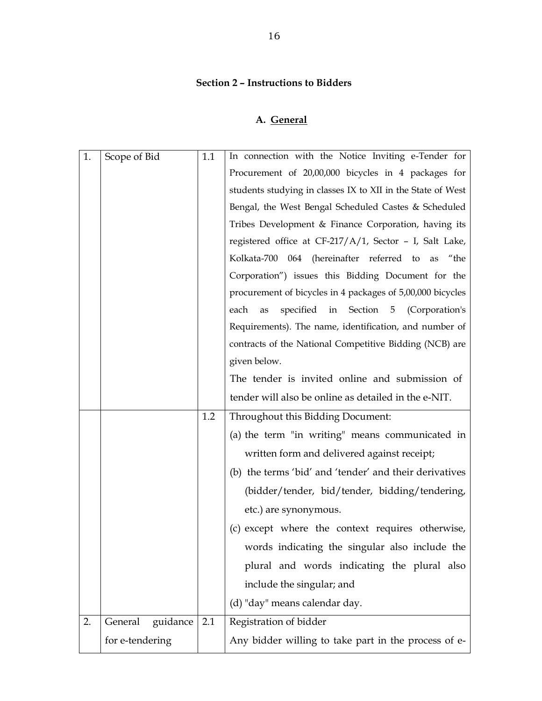### **Section 2 – Instructions to Bidders**

# **A. General**

| 1. | Scope of Bid        | 1.1 | In connection with the Notice Inviting e-Tender for         |
|----|---------------------|-----|-------------------------------------------------------------|
|    |                     |     | Procurement of 20,00,000 bicycles in 4 packages for         |
|    |                     |     | students studying in classes IX to XII in the State of West |
|    |                     |     | Bengal, the West Bengal Scheduled Castes & Scheduled        |
|    |                     |     | Tribes Development & Finance Corporation, having its        |
|    |                     |     | registered office at CF-217/A/1, Sector - I, Salt Lake,     |
|    |                     |     | Kolkata-700 064 (hereinafter referred to as "the            |
|    |                     |     | Corporation") issues this Bidding Document for the          |
|    |                     |     | procurement of bicycles in 4 packages of 5,00,000 bicycles  |
|    |                     |     | specified in Section 5 (Corporation's<br>each<br>as         |
|    |                     |     | Requirements). The name, identification, and number of      |
|    |                     |     | contracts of the National Competitive Bidding (NCB) are     |
|    |                     |     | given below.                                                |
|    |                     |     | The tender is invited online and submission of              |
|    |                     |     | tender will also be online as detailed in the e-NIT.        |
|    |                     | 1.2 | Throughout this Bidding Document:                           |
|    |                     |     | (a) the term "in writing" means communicated in             |
|    |                     |     | written form and delivered against receipt;                 |
|    |                     |     | (b) the terms 'bid' and 'tender' and their derivatives      |
|    |                     |     | (bidder/tender, bid/tender, bidding/tendering,              |
|    |                     |     | etc.) are synonymous.                                       |
|    |                     |     | (c) except where the context requires otherwise,            |
|    |                     |     | words indicating the singular also include the              |
|    |                     |     | plural and words indicating the plural also                 |
|    |                     |     |                                                             |
|    |                     |     | include the singular; and                                   |
|    |                     |     | (d) "day" means calendar day.                               |
| 2. | General<br>guidance | 2.1 | Registration of bidder                                      |
|    | for e-tendering     |     | Any bidder willing to take part in the process of e-        |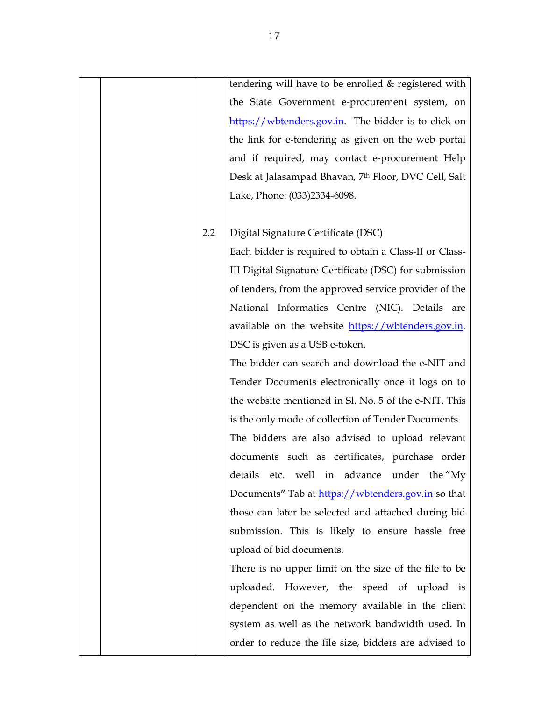|  |     | tendering will have to be enrolled & registered with   |
|--|-----|--------------------------------------------------------|
|  |     | the State Government e-procurement system, on          |
|  |     | https://wbtenders.gov.in. The bidder is to click on    |
|  |     | the link for e-tendering as given on the web portal    |
|  |     | and if required, may contact e-procurement Help        |
|  |     | Desk at Jalasampad Bhavan, 7th Floor, DVC Cell, Salt   |
|  |     | Lake, Phone: (033)2334-6098.                           |
|  |     |                                                        |
|  | 2.2 | Digital Signature Certificate (DSC)                    |
|  |     | Each bidder is required to obtain a Class-II or Class- |
|  |     | III Digital Signature Certificate (DSC) for submission |
|  |     | of tenders, from the approved service provider of the  |
|  |     | National Informatics Centre (NIC). Details are         |
|  |     | available on the website https://wbtenders.gov.in.     |
|  |     | DSC is given as a USB e-token.                         |
|  |     | The bidder can search and download the e-NIT and       |
|  |     | Tender Documents electronically once it logs on to     |
|  |     | the website mentioned in Sl. No. 5 of the e-NIT. This  |
|  |     | is the only mode of collection of Tender Documents.    |
|  |     | The bidders are also advised to upload relevant        |
|  |     | documents such as certificates, purchase order         |
|  |     | details etc. well in advance under the "My             |
|  |     | Documents" Tab at https://wbtenders.gov.in so that     |
|  |     | those can later be selected and attached during bid    |
|  |     | submission. This is likely to ensure hassle free       |
|  |     | upload of bid documents.                               |
|  |     | There is no upper limit on the size of the file to be  |
|  |     | uploaded. However, the speed of upload is              |
|  |     | dependent on the memory available in the client        |
|  |     | system as well as the network bandwidth used. In       |
|  |     | order to reduce the file size, bidders are advised to  |
|  |     |                                                        |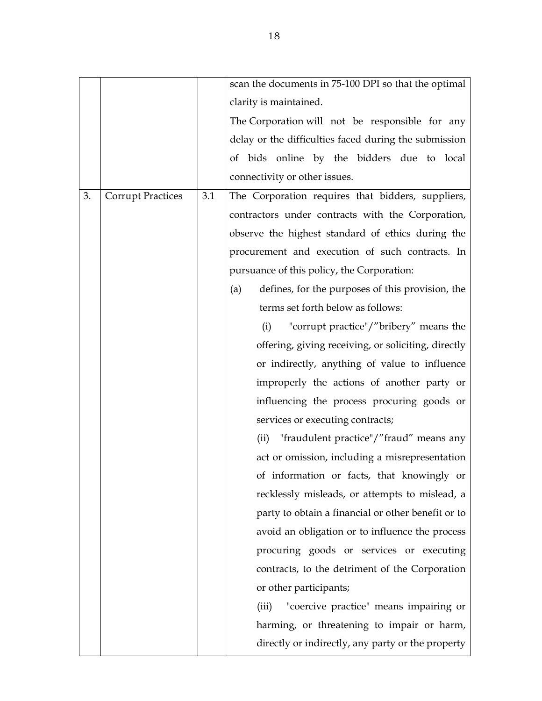|    |                          |     | scan the documents in 75-100 DPI so that the optimal    |
|----|--------------------------|-----|---------------------------------------------------------|
|    |                          |     | clarity is maintained.                                  |
|    |                          |     | The Corporation will not be responsible for any         |
|    |                          |     | delay or the difficulties faced during the submission   |
|    |                          |     | of bids online by the bidders due to local              |
|    |                          |     | connectivity or other issues.                           |
| 3. | <b>Corrupt Practices</b> | 3.1 | The Corporation requires that bidders, suppliers,       |
|    |                          |     | contractors under contracts with the Corporation,       |
|    |                          |     | observe the highest standard of ethics during the       |
|    |                          |     | procurement and execution of such contracts. In         |
|    |                          |     | pursuance of this policy, the Corporation:              |
|    |                          |     | defines, for the purposes of this provision, the<br>(a) |
|    |                          |     | terms set forth below as follows:                       |
|    |                          |     | "corrupt practice"/"bribery" means the<br>(i)           |
|    |                          |     | offering, giving receiving, or soliciting, directly     |
|    |                          |     | or indirectly, anything of value to influence           |
|    |                          |     | improperly the actions of another party or              |
|    |                          |     | influencing the process procuring goods or              |
|    |                          |     | services or executing contracts;                        |
|    |                          |     | "fraudulent practice"/"fraud" means any<br>(ii)         |
|    |                          |     | act or omission, including a misrepresentation          |
|    |                          |     | of information or facts, that knowingly or              |
|    |                          |     | recklessly misleads, or attempts to mislead, a          |
|    |                          |     | party to obtain a financial or other benefit or to      |
|    |                          |     | avoid an obligation or to influence the process         |
|    |                          |     | procuring goods or services or executing                |
|    |                          |     | contracts, to the detriment of the Corporation          |
|    |                          |     | or other participants;                                  |
|    |                          |     | "coercive practice" means impairing or<br>(iii)         |
|    |                          |     | harming, or threatening to impair or harm,              |
|    |                          |     | directly or indirectly, any party or the property       |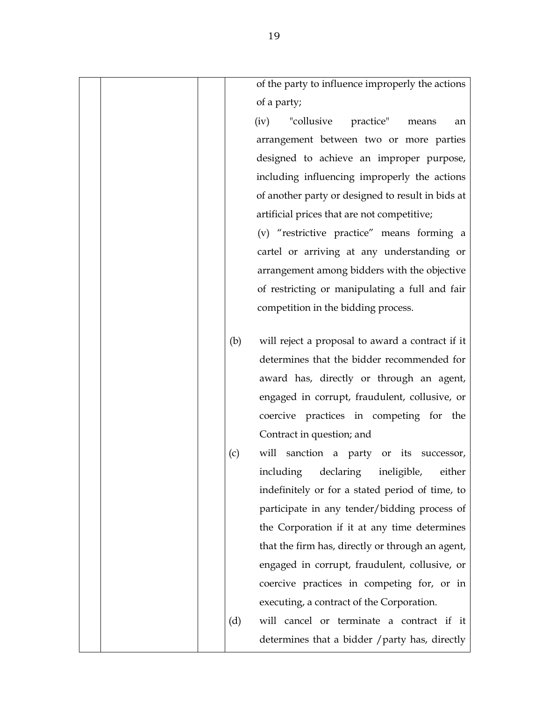| of the party to influence improperly the actions        |
|---------------------------------------------------------|
| of a party;                                             |
| "collusive practice" means<br>(iv)<br>an                |
| arrangement between two or more parties                 |
| designed to achieve an improper purpose,                |
| including influencing improperly the actions            |
| of another party or designed to result in bids at       |
| artificial prices that are not competitive;             |
| (v) "restrictive practice" means forming a              |
| cartel or arriving at any understanding or              |
| arrangement among bidders with the objective            |
| of restricting or manipulating a full and fair          |
| competition in the bidding process.                     |
|                                                         |
| will reject a proposal to award a contract if it<br>(b) |
| determines that the bidder recommended for              |
| award has, directly or through an agent,                |
| engaged in corrupt, fraudulent, collusive, or           |
| coercive practices in competing for the                 |
| Contract in question; and                               |
| (c)<br>will sanction a party or its successor,          |
| declaring ineligible,<br>including<br>either            |
| indefinitely or for a stated period of time, to         |
| participate in any tender/bidding process of            |
| the Corporation if it at any time determines            |
| that the firm has, directly or through an agent,        |
| engaged in corrupt, fraudulent, collusive, or           |
| coercive practices in competing for, or in              |
| executing, a contract of the Corporation.               |
| (d)<br>will cancel or terminate a contract if it        |
| determines that a bidder / party has, directly          |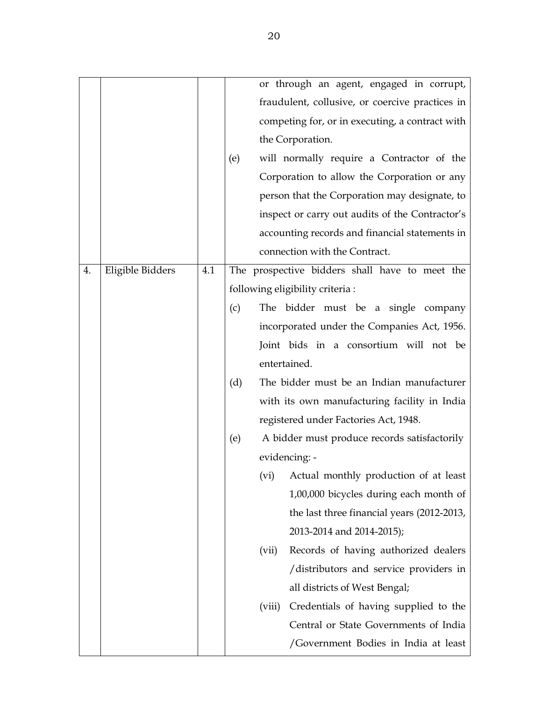|    |                  |     |     | or through an agent, engaged in corrupt,        |
|----|------------------|-----|-----|-------------------------------------------------|
|    |                  |     |     | fraudulent, collusive, or coercive practices in |
|    |                  |     |     | competing for, or in executing, a contract with |
|    |                  |     |     | the Corporation.                                |
|    |                  |     | (e) | will normally require a Contractor of the       |
|    |                  |     |     | Corporation to allow the Corporation or any     |
|    |                  |     |     | person that the Corporation may designate, to   |
|    |                  |     |     | inspect or carry out audits of the Contractor's |
|    |                  |     |     | accounting records and financial statements in  |
|    |                  |     |     | connection with the Contract.                   |
| 4. | Eligible Bidders | 4.1 |     | The prospective bidders shall have to meet the  |
|    |                  |     |     | following eligibility criteria :                |
|    |                  |     | (c) | The bidder must be a single company             |
|    |                  |     |     | incorporated under the Companies Act, 1956.     |
|    |                  |     |     | Joint bids in a consortium will not be          |
|    |                  |     |     | entertained.                                    |
|    |                  |     | (d) | The bidder must be an Indian manufacturer       |
|    |                  |     |     | with its own manufacturing facility in India    |
|    |                  |     |     | registered under Factories Act, 1948.           |
|    |                  |     | (e) | A bidder must produce records satisfactorily    |
|    |                  |     |     | evidencing: -                                   |
|    |                  |     |     | (vi)<br>Actual monthly production of at least   |
|    |                  |     |     | 1,00,000 bicycles during each month of          |
|    |                  |     |     | the last three financial years (2012-2013,      |
|    |                  |     |     | 2013-2014 and 2014-2015);                       |
|    |                  |     |     | Records of having authorized dealers<br>(vii)   |
|    |                  |     |     | /distributors and service providers in          |
|    |                  |     |     | all districts of West Bengal;                   |
|    |                  |     |     | Credentials of having supplied to the<br>(viii) |
|    |                  |     |     | Central or State Governments of India           |
|    |                  |     |     | /Government Bodies in India at least            |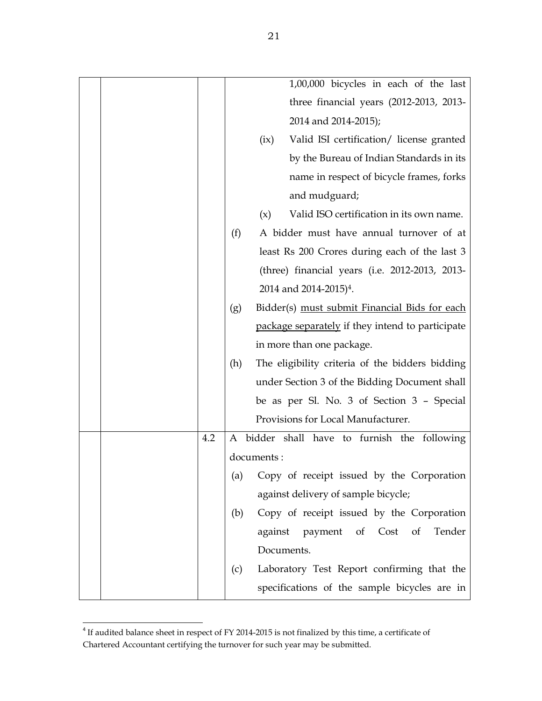|     | 1,00,000 bicycles in each of the last                    |
|-----|----------------------------------------------------------|
|     | three financial years $(2012-2013, 2013-$                |
|     | 2014 and 2014-2015);                                     |
|     | Valid ISI certification/ license granted<br>(ix)         |
|     | by the Bureau of Indian Standards in its                 |
|     | name in respect of bicycle frames, forks                 |
|     | and mudguard;                                            |
|     | Valid ISO certification in its own name.<br>(x)          |
|     | (f)<br>A bidder must have annual turnover of at          |
|     | least Rs 200 Crores during each of the last 3            |
|     | (three) financial years (i.e. 2012-2013, 2013-           |
|     | 2014 and 2014-2015) <sup>4</sup> .                       |
|     | Bidder(s) must submit Financial Bids for each<br>(g)     |
|     | package separately if they intend to participate         |
|     | in more than one package.                                |
|     | The eligibility criteria of the bidders bidding<br>(h)   |
|     | under Section 3 of the Bidding Document shall            |
|     | be as per Sl. No. 3 of Section 3 - Special               |
|     | Provisions for Local Manufacturer.                       |
| 4.2 | A bidder shall have to furnish the following             |
|     | documents:                                               |
|     | Copy of receipt issued by the Corporation<br>(a)         |
|     | against delivery of sample bicycle;                      |
|     | Copy of receipt issued by the Corporation<br>(b)         |
|     | Tender<br>against<br>payment<br>$\circ$ of<br>Cost<br>of |
|     | Documents.                                               |
|     | Laboratory Test Report confirming that the<br>(c)        |
|     | specifications of the sample bicycles are in             |

<sup>&</sup>lt;sup>4</sup> If audited balance sheet in respect of FY 2014-2015 is not finalized by this time, a certificate of Chartered Accountant certifying the turnover for such year may be submitted.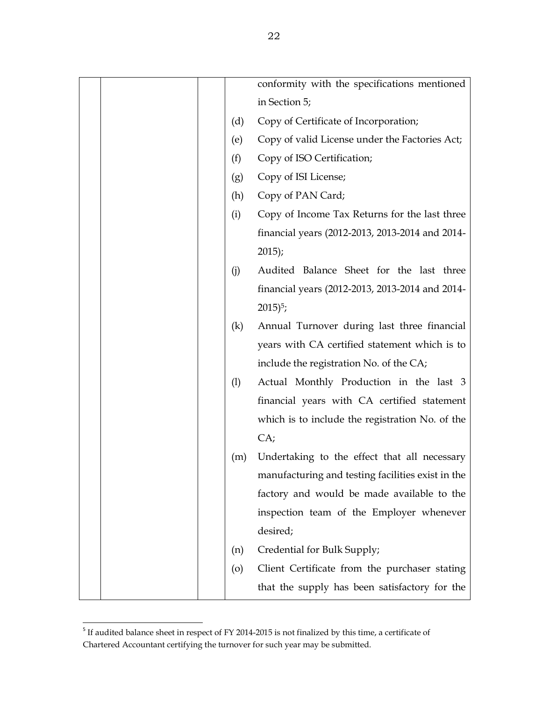|                    | conformity with the specifications mentioned      |
|--------------------|---------------------------------------------------|
|                    | in Section 5;                                     |
| (d)                | Copy of Certificate of Incorporation;             |
| (e)                | Copy of valid License under the Factories Act;    |
| (f)                | Copy of ISO Certification;                        |
| (g)                | Copy of ISI License;                              |
| (h)                | Copy of PAN Card;                                 |
| (i)                | Copy of Income Tax Returns for the last three     |
|                    | financial years (2012-2013, 2013-2014 and 2014-   |
|                    | 2015;                                             |
| (j)                | Audited Balance Sheet for the last three          |
|                    | financial years (2012-2013, 2013-2014 and 2014-   |
|                    | $2015$ <sup>5</sup> ;                             |
| (k)                | Annual Turnover during last three financial       |
|                    | years with CA certified statement which is to     |
|                    | include the registration No. of the CA;           |
| (1)                | Actual Monthly Production in the last 3           |
|                    | financial years with CA certified statement       |
|                    | which is to include the registration No. of the   |
|                    | CA;                                               |
| (m)                | Undertaking to the effect that all necessary      |
|                    | manufacturing and testing facilities exist in the |
|                    | factory and would be made available to the        |
|                    | inspection team of the Employer whenever          |
|                    | desired;                                          |
| (n)                | Credential for Bulk Supply;                       |
| $\left( 0 \right)$ | Client Certificate from the purchaser stating     |
|                    | that the supply has been satisfactory for the     |

<sup>&</sup>lt;sup>5</sup> If audited balance sheet in respect of FY 2014-2015 is not finalized by this time, a certificate of Chartered Accountant certifying the turnover for such year may be submitted.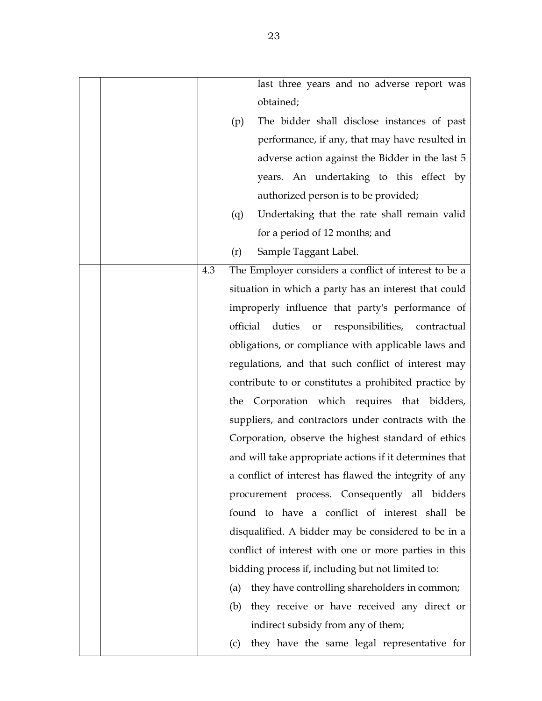|  |     | last three years and no adverse report was                   |
|--|-----|--------------------------------------------------------------|
|  |     | obtained;                                                    |
|  |     | The bidder shall disclose instances of past<br>(p)           |
|  |     | performance, if any, that may have resulted in               |
|  |     | adverse action against the Bidder in the last 5              |
|  |     | years. An undertaking to this effect by                      |
|  |     | authorized person is to be provided;                         |
|  |     | Undertaking that the rate shall remain valid<br>(q)          |
|  |     | for a period of 12 months; and                               |
|  |     | Sample Taggant Label.<br>(r)                                 |
|  | 4.3 | The Employer considers a conflict of interest to be a        |
|  |     | situation in which a party has an interest that could        |
|  |     | improperly influence that party's performance of             |
|  |     | official<br>duties<br>responsibilities,<br>contractual<br>or |
|  |     | obligations, or compliance with applicable laws and          |
|  |     | regulations, and that such conflict of interest may          |
|  |     | contribute to or constitutes a prohibited practice by        |
|  |     | the Corporation which requires that bidders,                 |
|  |     | suppliers, and contractors under contracts with the          |
|  |     | Corporation, observe the highest standard of ethics          |
|  |     | and will take appropriate actions if it determines that      |
|  |     | a conflict of interest has flawed the integrity of any       |
|  |     | procurement process. Consequently all bidders                |
|  |     | found to have a conflict of interest shall be                |
|  |     | disqualified. A bidder may be considered to be in a          |
|  |     | conflict of interest with one or more parties in this        |
|  |     | bidding process if, including but not limited to:            |
|  |     | they have controlling shareholders in common;<br>(a)         |
|  |     | they receive or have received any direct or<br>(b)           |
|  |     | indirect subsidy from any of them;                           |
|  |     | they have the same legal representative for<br>(c)           |
|  |     |                                                              |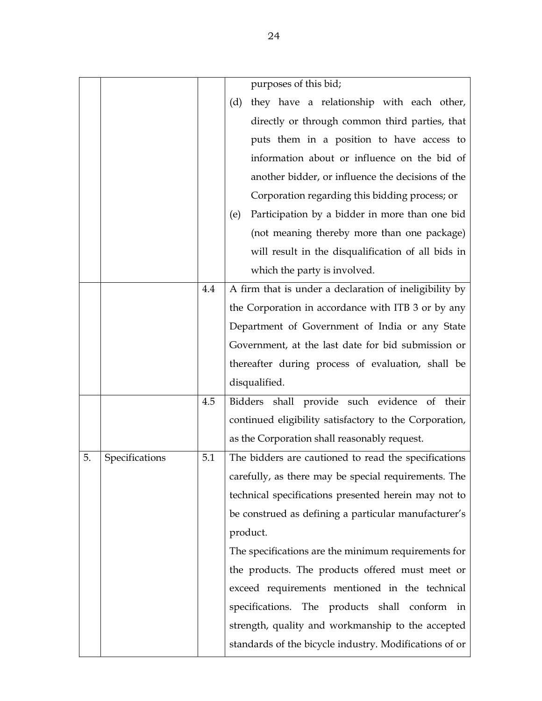|    |                |     | purposes of this bid;                                  |
|----|----------------|-----|--------------------------------------------------------|
|    |                |     | they have a relationship with each other,<br>(d)       |
|    |                |     | directly or through common third parties, that         |
|    |                |     | puts them in a position to have access to              |
|    |                |     | information about or influence on the bid of           |
|    |                |     | another bidder, or influence the decisions of the      |
|    |                |     | Corporation regarding this bidding process; or         |
|    |                |     | Participation by a bidder in more than one bid<br>(e)  |
|    |                |     | (not meaning thereby more than one package)            |
|    |                |     | will result in the disqualification of all bids in     |
|    |                |     | which the party is involved.                           |
|    |                | 4.4 | A firm that is under a declaration of ineligibility by |
|    |                |     | the Corporation in accordance with ITB 3 or by any     |
|    |                |     | Department of Government of India or any State         |
|    |                |     | Government, at the last date for bid submission or     |
|    |                |     | thereafter during process of evaluation, shall be      |
|    |                |     | disqualified.                                          |
|    |                | 4.5 | Bidders shall provide such evidence of their           |
|    |                |     | continued eligibility satisfactory to the Corporation, |
|    |                |     | as the Corporation shall reasonably request.           |
| 5. | Specifications | 5.1 | The bidders are cautioned to read the specifications   |
|    |                |     | carefully, as there may be special requirements. The   |
|    |                |     | technical specifications presented herein may not to   |
|    |                |     | be construed as defining a particular manufacturer's   |
|    |                |     | product.                                               |
|    |                |     | The specifications are the minimum requirements for    |
|    |                |     | the products. The products offered must meet or        |
|    |                |     | exceed requirements mentioned in the technical         |
|    |                |     | specifications. The products shall conform in          |
|    |                |     | strength, quality and workmanship to the accepted      |
|    |                |     | standards of the bicycle industry. Modifications of or |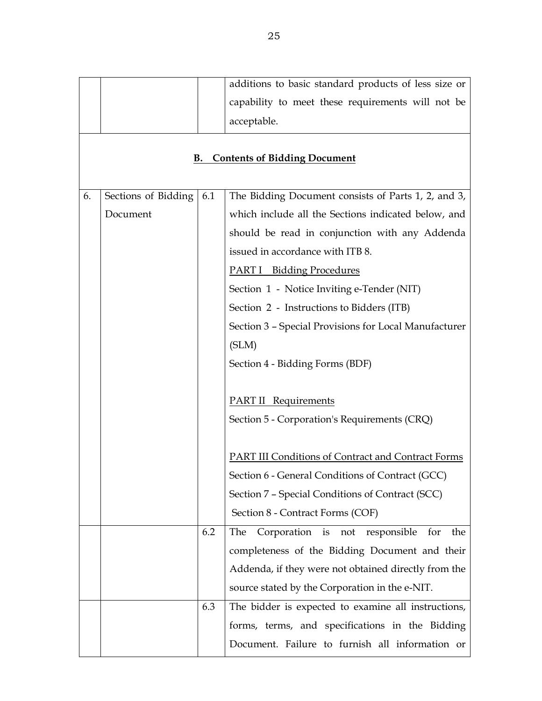|    |                     |     | additions to basic standard products of less size or      |
|----|---------------------|-----|-----------------------------------------------------------|
|    |                     |     | capability to meet these requirements will not be         |
|    |                     |     | acceptable.                                               |
|    |                     |     |                                                           |
|    |                     | В.  | <b>Contents of Bidding Document</b>                       |
|    |                     |     |                                                           |
| 6. | Sections of Bidding | 6.1 | The Bidding Document consists of Parts 1, 2, and 3,       |
|    | Document            |     | which include all the Sections indicated below, and       |
|    |                     |     | should be read in conjunction with any Addenda            |
|    |                     |     | issued in accordance with ITB 8.                          |
|    |                     |     | <b>PART I</b> Bidding Procedures                          |
|    |                     |     | Section 1 - Notice Inviting e-Tender (NIT)                |
|    |                     |     | Section 2 - Instructions to Bidders (ITB)                 |
|    |                     |     | Section 3 - Special Provisions for Local Manufacturer     |
|    |                     |     | (SLM)                                                     |
|    |                     |     | Section 4 - Bidding Forms (BDF)                           |
|    |                     |     |                                                           |
|    |                     |     | <b>PART II</b> Requirements                               |
|    |                     |     | Section 5 - Corporation's Requirements (CRQ)              |
|    |                     |     |                                                           |
|    |                     |     | <b>PART III Conditions of Contract and Contract Forms</b> |
|    |                     |     | Section 6 - General Conditions of Contract (GCC)          |
|    |                     |     | Section 7 - Special Conditions of Contract (SCC)          |
|    |                     |     | Section 8 - Contract Forms (COF)                          |
|    |                     | 6.2 | The<br>Corporation is<br>the<br>not<br>responsible<br>for |
|    |                     |     | completeness of the Bidding Document and their            |
|    |                     |     | Addenda, if they were not obtained directly from the      |
|    |                     |     | source stated by the Corporation in the e-NIT.            |
|    |                     | 6.3 | The bidder is expected to examine all instructions,       |
|    |                     |     | forms, terms, and specifications in the Bidding           |
|    |                     |     | Document. Failure to furnish all information or           |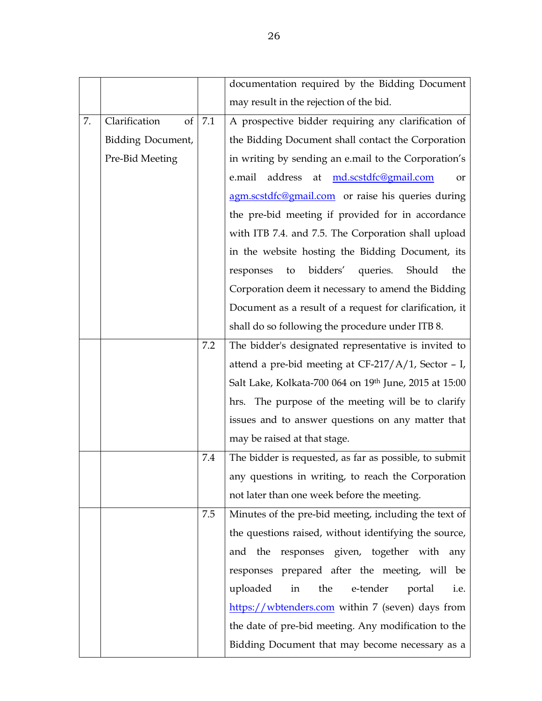|    |                     |     | documentation required by the Bidding Document               |
|----|---------------------|-----|--------------------------------------------------------------|
|    |                     |     | may result in the rejection of the bid.                      |
| 7. | Clarification<br>of | 7.1 | A prospective bidder requiring any clarification of          |
|    | Bidding Document,   |     | the Bidding Document shall contact the Corporation           |
|    | Pre-Bid Meeting     |     | in writing by sending an e.mail to the Corporation's         |
|    |                     |     | md.scstdfc@gmail.com<br>address<br>e.mail<br>at<br><b>or</b> |
|    |                     |     | agm.scstdfc@gmail.com or raise his queries during            |
|    |                     |     | the pre-bid meeting if provided for in accordance            |
|    |                     |     | with ITB 7.4. and 7.5. The Corporation shall upload          |
|    |                     |     | in the website hosting the Bidding Document, its             |
|    |                     |     | bidders' queries.<br>Should<br>responses<br>to<br>the        |
|    |                     |     | Corporation deem it necessary to amend the Bidding           |
|    |                     |     | Document as a result of a request for clarification, it      |
|    |                     |     | shall do so following the procedure under ITB 8.             |
|    |                     | 7.2 | The bidder's designated representative is invited to         |
|    |                     |     | attend a pre-bid meeting at $CF-217/A/1$ , Sector - I,       |
|    |                     |     | Salt Lake, Kolkata-700 064 on 19th June, 2015 at 15:00       |
|    |                     |     | hrs. The purpose of the meeting will be to clarify           |
|    |                     |     | issues and to answer questions on any matter that            |
|    |                     |     | may be raised at that stage.                                 |
|    |                     | 7.4 | The bidder is requested, as far as possible, to submit       |
|    |                     |     | any questions in writing, to reach the Corporation           |
|    |                     |     | not later than one week before the meeting.                  |
|    |                     | 7.5 | Minutes of the pre-bid meeting, including the text of        |
|    |                     |     | the questions raised, without identifying the source,        |
|    |                     |     | and the responses given, together with any                   |
|    |                     |     | responses prepared after the meeting, will be                |
|    |                     |     | the<br>e-tender<br>uploaded<br>in<br>portal<br>i.e.          |
|    |                     |     | https://wbtenders.com within 7 (seven) days from             |
|    |                     |     | the date of pre-bid meeting. Any modification to the         |
|    |                     |     | Bidding Document that may become necessary as a              |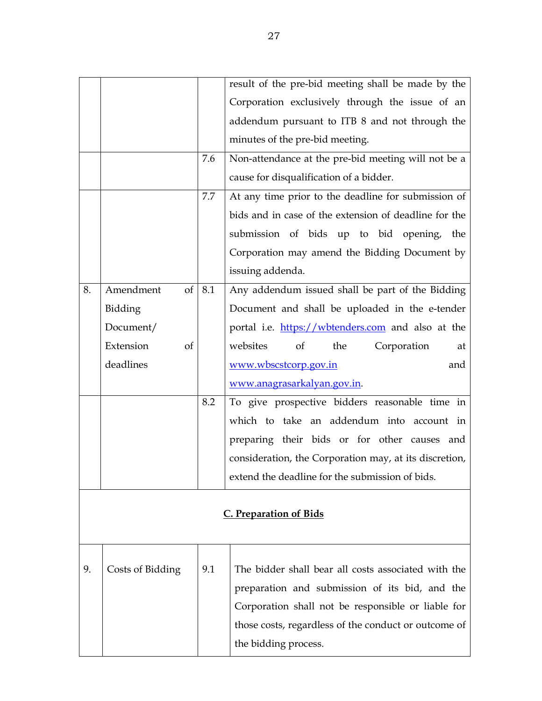|    |                  |     | result of the pre-bid meeting shall be made by the                                                         |
|----|------------------|-----|------------------------------------------------------------------------------------------------------------|
|    |                  |     | Corporation exclusively through the issue of an                                                            |
|    |                  |     | addendum pursuant to ITB 8 and not through the                                                             |
|    |                  |     | minutes of the pre-bid meeting.                                                                            |
|    |                  | 7.6 | Non-attendance at the pre-bid meeting will not be a                                                        |
|    |                  |     | cause for disqualification of a bidder.                                                                    |
|    |                  | 7.7 | At any time prior to the deadline for submission of                                                        |
|    |                  |     | bids and in case of the extension of deadline for the                                                      |
|    |                  |     | submission of bids up to bid opening, the                                                                  |
|    |                  |     | Corporation may amend the Bidding Document by                                                              |
|    |                  |     | issuing addenda.                                                                                           |
| 8. | Amendment<br>of  | 8.1 | Any addendum issued shall be part of the Bidding                                                           |
|    | Bidding          |     | Document and shall be uploaded in the e-tender                                                             |
|    | Document/        |     | portal i.e. https://wbtenders.com and also at the                                                          |
|    | Extension<br>of  |     | websites<br>of<br>the<br>Corporation<br>at                                                                 |
|    | deadlines        |     | www.wbscstcorp.gov.in<br>and                                                                               |
|    |                  |     | www.anagrasarkalyan.gov.in.                                                                                |
|    |                  | 8.2 | To give prospective bidders reasonable time in                                                             |
|    |                  |     | which to take an addendum into account in                                                                  |
|    |                  |     | preparing their bids or for other causes and                                                               |
|    |                  |     | consideration, the Corporation may, at its discretion,                                                     |
|    |                  |     | extend the deadline for the submission of bids.                                                            |
|    |                  |     |                                                                                                            |
|    |                  |     | <b>C. Preparation of Bids</b>                                                                              |
|    |                  |     |                                                                                                            |
|    |                  |     |                                                                                                            |
| 9. | Costs of Bidding | 9.1 | The bidder shall bear all costs associated with the                                                        |
|    |                  |     | preparation and submission of its bid, and the                                                             |
|    |                  |     |                                                                                                            |
|    |                  |     | Corporation shall not be responsible or liable for<br>those costs, regardless of the conduct or outcome of |

the bidding process.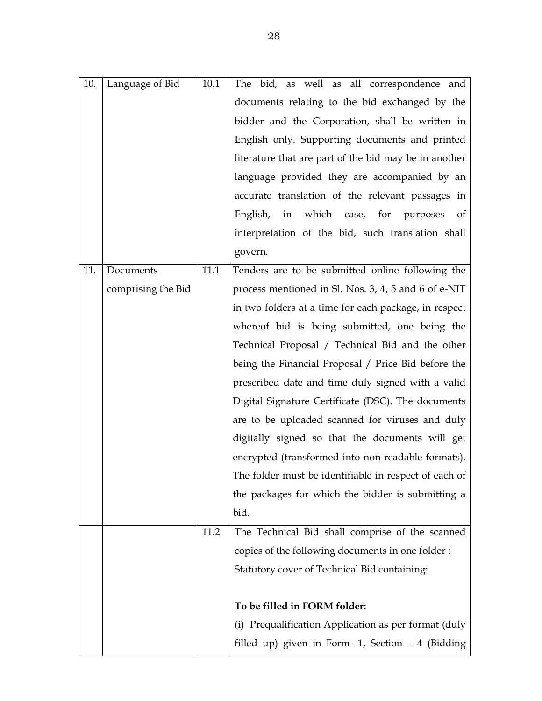| 10. | Language of Bid    | 10.1 | The bid, as well as all correspondence and              |
|-----|--------------------|------|---------------------------------------------------------|
|     |                    |      | documents relating to the bid exchanged by the          |
|     |                    |      | bidder and the Corporation, shall be written in         |
|     |                    |      | English only. Supporting documents and printed          |
|     |                    |      | literature that are part of the bid may be in another   |
|     |                    |      | language provided they are accompanied by an            |
|     |                    |      | accurate translation of the relevant passages in        |
|     |                    |      | in which case, for purposes of<br>English,              |
|     |                    |      | interpretation of the bid, such translation shall       |
|     |                    |      | govern.                                                 |
| 11. | Documents          | 11.1 | Tenders are to be submitted online following the        |
|     | comprising the Bid |      | process mentioned in Sl. Nos. 3, 4, 5 and 6 of e-NIT    |
|     |                    |      | in two folders at a time for each package, in respect   |
|     |                    |      | whereof bid is being submitted, one being the           |
|     |                    |      | Technical Proposal / Technical Bid and the other        |
|     |                    |      | being the Financial Proposal / Price Bid before the     |
|     |                    |      | prescribed date and time duly signed with a valid       |
|     |                    |      | Digital Signature Certificate (DSC). The documents      |
|     |                    |      | are to be uploaded scanned for viruses and duly         |
|     |                    |      | digitally signed so that the documents will get         |
|     |                    |      | encrypted (transformed into non readable formats).      |
|     |                    |      | The folder must be identifiable in respect of each of   |
|     |                    |      | the packages for which the bidder is submitting a       |
|     |                    |      | bid.                                                    |
|     |                    | 11.2 | The Technical Bid shall comprise of the scanned         |
|     |                    |      | copies of the following documents in one folder:        |
|     |                    |      | <b>Statutory cover of Technical Bid containing:</b>     |
|     |                    |      |                                                         |
|     |                    |      | To be filled in FORM folder:                            |
|     |                    |      | Prequalification Application as per format (duly<br>(i) |
|     |                    |      | filled up) given in Form- 1, Section $-4$ (Bidding      |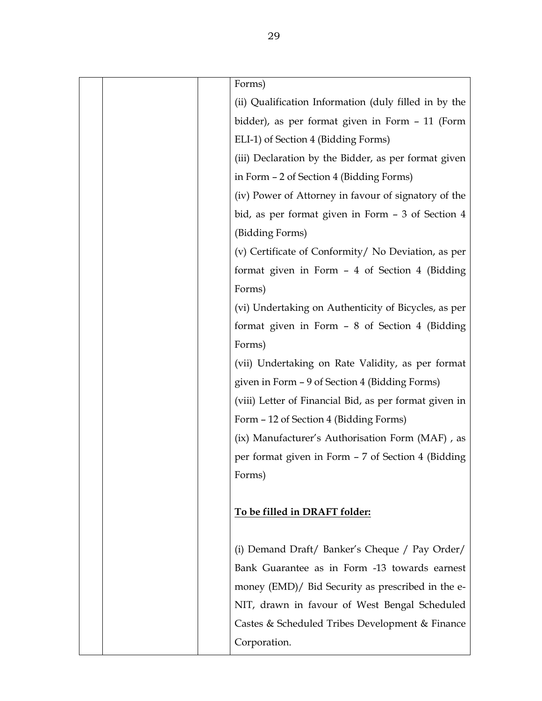|  | Forms)                                                 |
|--|--------------------------------------------------------|
|  | (ii) Qualification Information (duly filled in by the  |
|  | bidder), as per format given in Form - 11 (Form        |
|  | ELI-1) of Section 4 (Bidding Forms)                    |
|  | (iii) Declaration by the Bidder, as per format given   |
|  | in Form - 2 of Section 4 (Bidding Forms)               |
|  | (iv) Power of Attorney in favour of signatory of the   |
|  | bid, as per format given in Form - 3 of Section 4      |
|  | (Bidding Forms)                                        |
|  | (v) Certificate of Conformity/ No Deviation, as per    |
|  | format given in Form - 4 of Section 4 (Bidding         |
|  | Forms)                                                 |
|  | (vi) Undertaking on Authenticity of Bicycles, as per   |
|  | format given in Form - 8 of Section 4 (Bidding         |
|  | Forms)                                                 |
|  | (vii) Undertaking on Rate Validity, as per format      |
|  | given in Form - 9 of Section 4 (Bidding Forms)         |
|  | (viii) Letter of Financial Bid, as per format given in |
|  | Form - 12 of Section 4 (Bidding Forms)                 |
|  | (ix) Manufacturer's Authorisation Form (MAF), as       |
|  | per format given in Form - 7 of Section 4 (Bidding     |
|  | Forms)                                                 |
|  |                                                        |
|  | To be filled in DRAFT folder:                          |
|  |                                                        |
|  | (i) Demand Draft/ Banker's Cheque / Pay Order/         |
|  | Bank Guarantee as in Form -13 towards earnest          |
|  | money (EMD)/ Bid Security as prescribed in the e-      |
|  | NIT, drawn in favour of West Bengal Scheduled          |
|  | Castes & Scheduled Tribes Development & Finance        |
|  | Corporation.                                           |
|  |                                                        |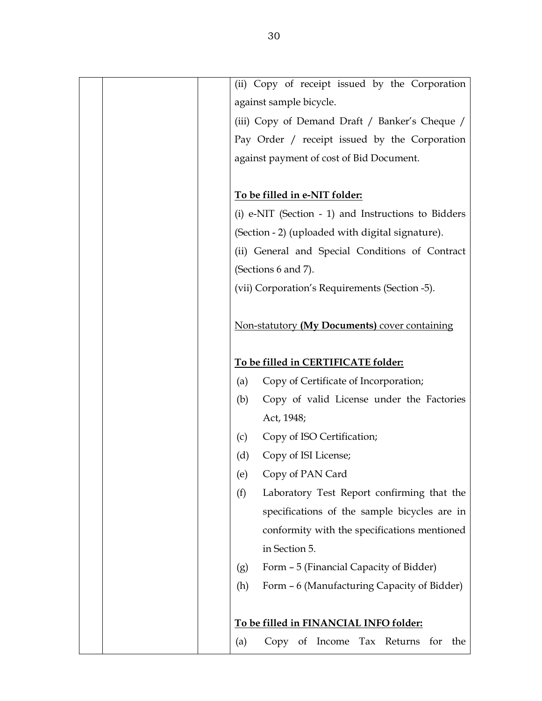| (ii) Copy of receipt issued by the Corporation        |
|-------------------------------------------------------|
| against sample bicycle.                               |
| (iii) Copy of Demand Draft / Banker's Cheque /        |
| Pay Order / receipt issued by the Corporation         |
| against payment of cost of Bid Document.              |
|                                                       |
| To be filled in e-NIT folder:                         |
| (i) e-NIT (Section $-1$ ) and Instructions to Bidders |
| (Section - 2) (uploaded with digital signature).      |
| (ii) General and Special Conditions of Contract       |
| (Sections 6 and 7).                                   |
| (vii) Corporation's Requirements (Section -5).        |
|                                                       |
| Non-statutory (My Documents) cover containing         |
|                                                       |
| To be filled in CERTIFICATE folder:                   |
| Copy of Certificate of Incorporation;<br>(a)          |
| Copy of valid License under the Factories<br>(b)      |
| Act, 1948;                                            |
| Copy of ISO Certification;<br>(c)                     |
| Copy of ISI License;<br>(d)                           |
| Copy of PAN Card<br>(e)                               |
| (f)<br>Laboratory Test Report confirming that the     |
| specifications of the sample bicycles are in          |
| conformity with the specifications mentioned          |
| in Section 5.                                         |
| Form - 5 (Financial Capacity of Bidder)<br>(g)        |
| Form - 6 (Manufacturing Capacity of Bidder)<br>(h)    |
|                                                       |
| To be filled in FINANCIAL INFO folder:                |
| Copy of Income Tax Returns<br>for<br>the<br>(a)       |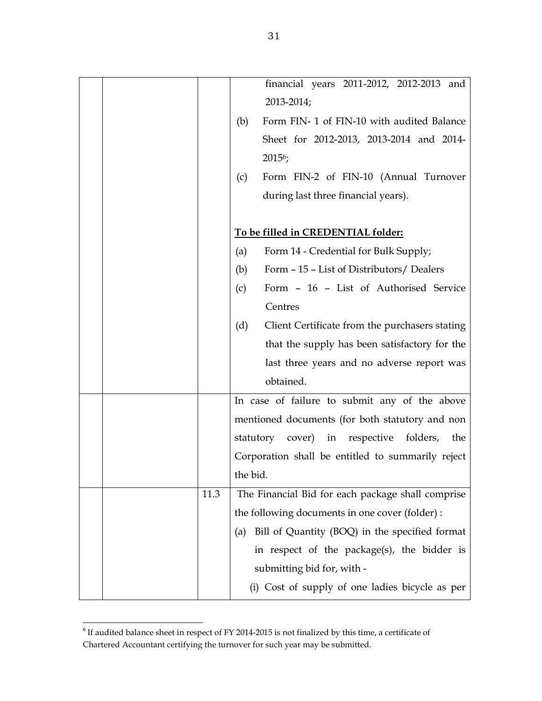|      |          | financial years 2011-2012, 2012-2013 and             |
|------|----------|------------------------------------------------------|
|      |          | 2013-2014;                                           |
|      | (b)      | Form FIN- 1 of FIN-10 with audited Balance           |
|      |          | Sheet for 2012-2013, 2013-2014 and 2014-             |
|      |          | $20156$ ;                                            |
|      | (c)      | Form FIN-2 of FIN-10 (Annual Turnover                |
|      |          | during last three financial years).                  |
|      |          |                                                      |
|      |          | To be filled in CREDENTIAL folder:                   |
|      | (a)      | Form 14 - Credential for Bulk Supply;                |
|      | (b)      | Form - 15 - List of Distributors/ Dealers            |
|      | (c)      | Form - 16 - List of Authorised Service               |
|      |          | Centres                                              |
|      | (d)      | Client Certificate from the purchasers stating       |
|      |          | that the supply has been satisfactory for the        |
|      |          | last three years and no adverse report was           |
|      |          | obtained.                                            |
|      |          | In case of failure to submit any of the above        |
|      |          | mentioned documents (for both statutory and non      |
|      |          | cover) in respective<br>folders,<br>statutory<br>the |
|      |          | Corporation shall be entitled to summarily reject    |
|      | the bid. |                                                      |
| 11.3 |          | The Financial Bid for each package shall comprise    |
|      |          | the following documents in one cover (folder) :      |
|      | (a)      | Bill of Quantity (BOQ) in the specified format       |
|      |          | in respect of the package(s), the bidder is          |
|      |          | submitting bid for, with -                           |
|      |          | (i) Cost of supply of one ladies bicycle as per      |

 $6$  If audited balance sheet in respect of FY 2014-2015 is not finalized by this time, a certificate of Chartered Accountant certifying the turnover for such year may be submitted.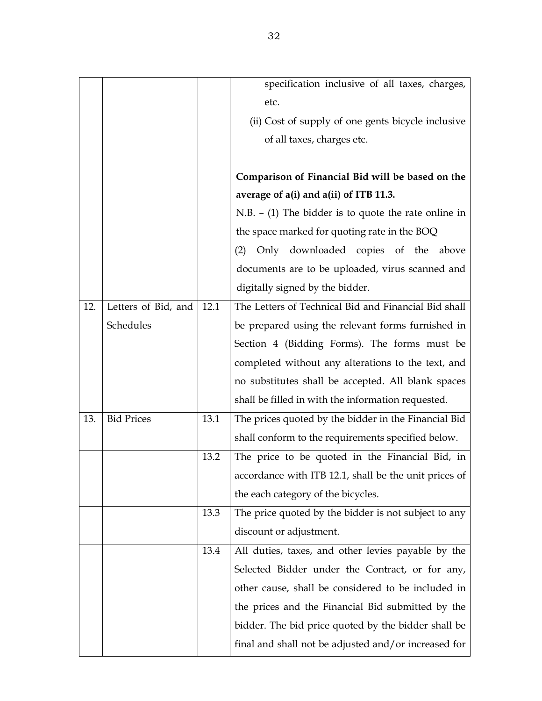|     |                     |      | specification inclusive of all taxes, charges,         |
|-----|---------------------|------|--------------------------------------------------------|
|     |                     |      | etc.                                                   |
|     |                     |      | (ii) Cost of supply of one gents bicycle inclusive     |
|     |                     |      | of all taxes, charges etc.                             |
|     |                     |      |                                                        |
|     |                     |      | Comparison of Financial Bid will be based on the       |
|     |                     |      | average of a(i) and a(ii) of ITB 11.3.                 |
|     |                     |      | $N.B. - (1)$ The bidder is to quote the rate online in |
|     |                     |      | the space marked for quoting rate in the BOQ           |
|     |                     |      | Only downloaded copies of the above<br>(2)             |
|     |                     |      | documents are to be uploaded, virus scanned and        |
|     |                     |      | digitally signed by the bidder.                        |
| 12. | Letters of Bid, and | 12.1 | The Letters of Technical Bid and Financial Bid shall   |
|     | Schedules           |      | be prepared using the relevant forms furnished in      |
|     |                     |      | Section 4 (Bidding Forms). The forms must be           |
|     |                     |      | completed without any alterations to the text, and     |
|     |                     |      | no substitutes shall be accepted. All blank spaces     |
|     |                     |      | shall be filled in with the information requested.     |
| 13. | <b>Bid Prices</b>   | 13.1 | The prices quoted by the bidder in the Financial Bid   |
|     |                     |      | shall conform to the requirements specified below.     |
|     |                     | 13.2 | The price to be quoted in the Financial Bid, in        |
|     |                     |      | accordance with ITB 12.1, shall be the unit prices of  |
|     |                     |      | the each category of the bicycles.                     |
|     |                     | 13.3 | The price quoted by the bidder is not subject to any   |
|     |                     |      | discount or adjustment.                                |
|     |                     | 13.4 | All duties, taxes, and other levies payable by the     |
|     |                     |      | Selected Bidder under the Contract, or for any,        |
|     |                     |      | other cause, shall be considered to be included in     |
|     |                     |      | the prices and the Financial Bid submitted by the      |
|     |                     |      | bidder. The bid price quoted by the bidder shall be    |
|     |                     |      | final and shall not be adjusted and/or increased for   |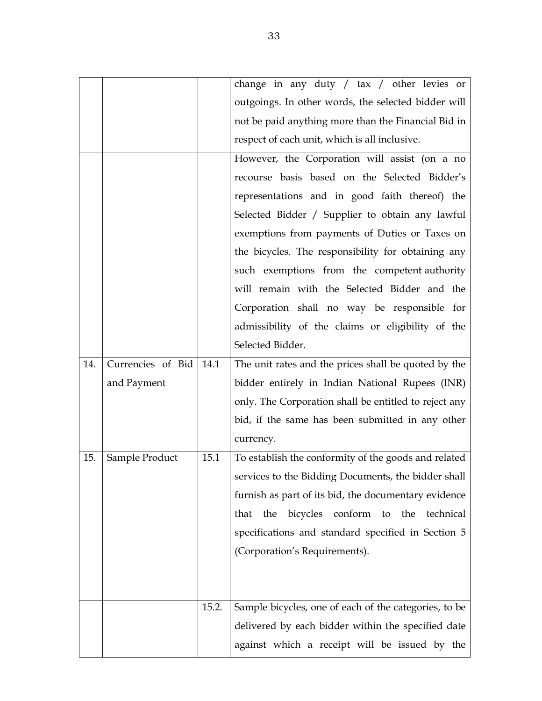|     |                   |       | change in any duty / tax / other levies or                |  |  |
|-----|-------------------|-------|-----------------------------------------------------------|--|--|
|     |                   |       | outgoings. In other words, the selected bidder will       |  |  |
|     |                   |       | not be paid anything more than the Financial Bid in       |  |  |
|     |                   |       | respect of each unit, which is all inclusive.             |  |  |
|     |                   |       | However, the Corporation will assist (on a no             |  |  |
|     |                   |       | recourse basis based on the Selected Bidder's             |  |  |
|     |                   |       | representations and in good faith thereof) the            |  |  |
|     |                   |       | Selected Bidder / Supplier to obtain any lawful           |  |  |
|     |                   |       | exemptions from payments of Duties or Taxes on            |  |  |
|     |                   |       | the bicycles. The responsibility for obtaining any        |  |  |
|     |                   |       | such exemptions from the competent authority              |  |  |
|     |                   |       | will remain with the Selected Bidder and the              |  |  |
|     |                   |       | Corporation shall no way be responsible for               |  |  |
|     |                   |       | admissibility of the claims or eligibility of the         |  |  |
|     |                   |       | Selected Bidder.                                          |  |  |
| 14. | Currencies of Bid | 14.1  | The unit rates and the prices shall be quoted by the      |  |  |
|     | and Payment       |       | bidder entirely in Indian National Rupees (INR)           |  |  |
|     |                   |       | only. The Corporation shall be entitled to reject any     |  |  |
|     |                   |       | bid, if the same has been submitted in any other          |  |  |
|     |                   |       | currency.                                                 |  |  |
| 15. | Sample Product    | 15.1  | To establish the conformity of the goods and related      |  |  |
|     |                   |       | services to the Bidding Documents, the bidder shall       |  |  |
|     |                   |       | furnish as part of its bid, the documentary evidence      |  |  |
|     |                   |       | bicycles<br>conform to<br>the<br>the<br>technical<br>that |  |  |
|     |                   |       | specifications and standard specified in Section 5        |  |  |
|     |                   |       | (Corporation's Requirements).                             |  |  |
|     |                   |       |                                                           |  |  |
|     |                   |       |                                                           |  |  |
|     |                   | 15.2. | Sample bicycles, one of each of the categories, to be     |  |  |
|     |                   |       | delivered by each bidder within the specified date        |  |  |
|     |                   |       | against which a receipt will be issued by the             |  |  |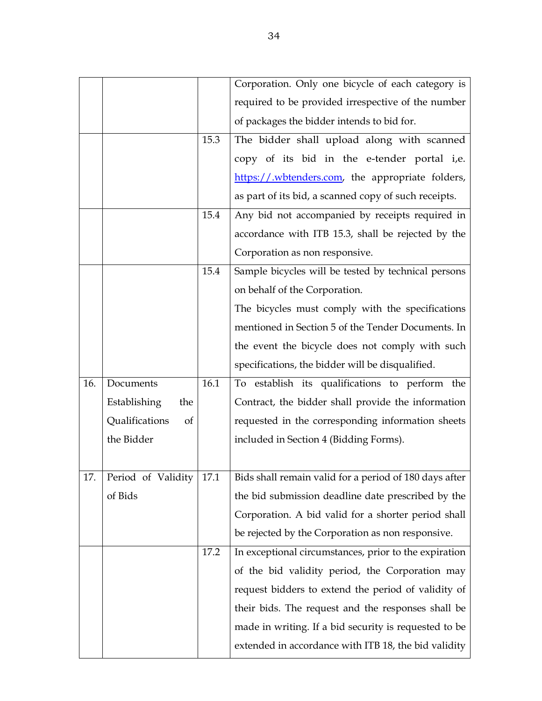|     |                      |      | Corporation. Only one bicycle of each category is      |
|-----|----------------------|------|--------------------------------------------------------|
|     |                      |      | required to be provided irrespective of the number     |
|     |                      |      | of packages the bidder intends to bid for.             |
|     |                      | 15.3 | The bidder shall upload along with scanned             |
|     |                      |      | copy of its bid in the e-tender portal i,e.            |
|     |                      |      | https://wbtenders.com, the appropriate folders,        |
|     |                      |      | as part of its bid, a scanned copy of such receipts.   |
|     |                      | 15.4 | Any bid not accompanied by receipts required in        |
|     |                      |      | accordance with ITB 15.3, shall be rejected by the     |
|     |                      |      | Corporation as non responsive.                         |
|     |                      | 15.4 | Sample bicycles will be tested by technical persons    |
|     |                      |      | on behalf of the Corporation.                          |
|     |                      |      | The bicycles must comply with the specifications       |
|     |                      |      | mentioned in Section 5 of the Tender Documents. In     |
|     |                      |      | the event the bicycle does not comply with such        |
|     |                      |      | specifications, the bidder will be disqualified.       |
| 16. | Documents            | 16.1 | To establish its qualifications to perform the         |
|     | Establishing<br>the  |      | Contract, the bidder shall provide the information     |
|     | Qualifications<br>of |      | requested in the corresponding information sheets      |
|     | the Bidder           |      | included in Section 4 (Bidding Forms).                 |
|     |                      |      |                                                        |
| 17. | Period of Validity   | 17.1 | Bids shall remain valid for a period of 180 days after |
|     | of Bids              |      | the bid submission deadline date prescribed by the     |
|     |                      |      | Corporation. A bid valid for a shorter period shall    |
|     |                      |      | be rejected by the Corporation as non responsive.      |
|     |                      | 17.2 | In exceptional circumstances, prior to the expiration  |
|     |                      |      | of the bid validity period, the Corporation may        |
|     |                      |      | request bidders to extend the period of validity of    |
|     |                      |      | their bids. The request and the responses shall be     |
|     |                      |      | made in writing. If a bid security is requested to be  |
|     |                      |      | extended in accordance with ITB 18, the bid validity   |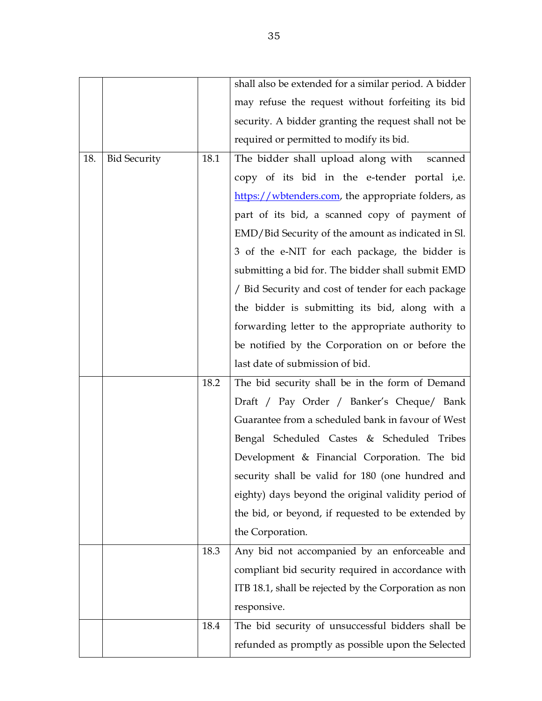|     |                     |      | shall also be extended for a similar period. A bidder |  |  |
|-----|---------------------|------|-------------------------------------------------------|--|--|
|     |                     |      | may refuse the request without forfeiting its bid     |  |  |
|     |                     |      | security. A bidder granting the request shall not be  |  |  |
|     |                     |      | required or permitted to modify its bid.              |  |  |
| 18. | <b>Bid Security</b> | 18.1 | The bidder shall upload along with scanned            |  |  |
|     |                     |      | copy of its bid in the e-tender portal i,e.           |  |  |
|     |                     |      | https://wbtenders.com, the appropriate folders, as    |  |  |
|     |                     |      | part of its bid, a scanned copy of payment of         |  |  |
|     |                     |      | EMD/Bid Security of the amount as indicated in Sl.    |  |  |
|     |                     |      | 3 of the e-NIT for each package, the bidder is        |  |  |
|     |                     |      | submitting a bid for. The bidder shall submit EMD     |  |  |
|     |                     |      | / Bid Security and cost of tender for each package    |  |  |
|     |                     |      | the bidder is submitting its bid, along with a        |  |  |
|     |                     |      | forwarding letter to the appropriate authority to     |  |  |
|     |                     |      | be notified by the Corporation on or before the       |  |  |
|     |                     |      | last date of submission of bid.                       |  |  |
|     |                     | 18.2 | The bid security shall be in the form of Demand       |  |  |
|     |                     |      | Draft / Pay Order / Banker's Cheque/ Bank             |  |  |
|     |                     |      | Guarantee from a scheduled bank in favour of West     |  |  |
|     |                     |      | Bengal Scheduled Castes & Scheduled Tribes            |  |  |
|     |                     |      | Development & Financial Corporation. The bid          |  |  |
|     |                     |      | security shall be valid for 180 (one hundred and      |  |  |
|     |                     |      | eighty) days beyond the original validity period of   |  |  |
|     |                     |      | the bid, or beyond, if requested to be extended by    |  |  |
|     |                     |      | the Corporation.                                      |  |  |
|     |                     | 18.3 | Any bid not accompanied by an enforceable and         |  |  |
|     |                     |      | compliant bid security required in accordance with    |  |  |
|     |                     |      | ITB 18.1, shall be rejected by the Corporation as non |  |  |
|     |                     |      | responsive.                                           |  |  |
|     |                     | 18.4 | The bid security of unsuccessful bidders shall be     |  |  |
|     |                     |      | refunded as promptly as possible upon the Selected    |  |  |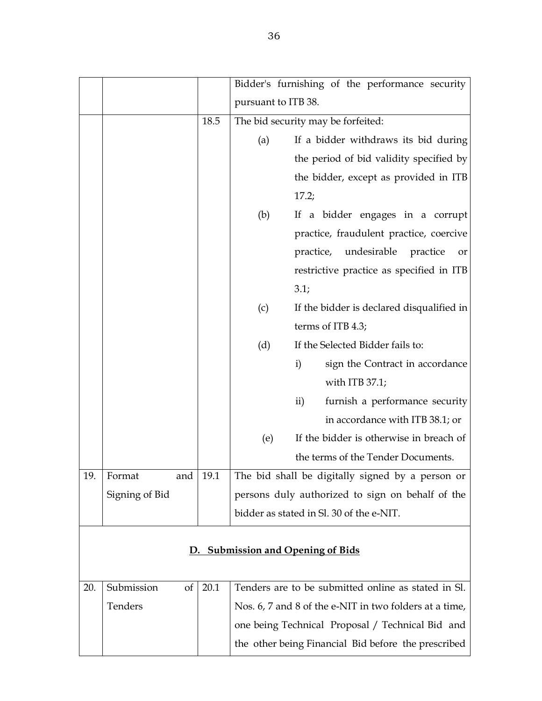|     |                  |            |                     | Bidder's furnishing of the performance security        |  |  |
|-----|------------------|------------|---------------------|--------------------------------------------------------|--|--|
|     |                  |            | pursuant to ITB 38. |                                                        |  |  |
|     |                  | 18.5       |                     | The bid security may be forfeited:                     |  |  |
|     |                  |            | (a)                 | If a bidder withdraws its bid during                   |  |  |
|     |                  |            |                     | the period of bid validity specified by                |  |  |
|     |                  |            |                     | the bidder, except as provided in ITB                  |  |  |
|     |                  |            |                     | 17.2;                                                  |  |  |
|     |                  |            | (b)                 | If a bidder engages in a corrupt                       |  |  |
|     |                  |            |                     | practice, fraudulent practice, coercive                |  |  |
|     |                  |            |                     | practice,<br>undesirable<br>practice<br>or             |  |  |
|     |                  |            |                     | restrictive practice as specified in ITB               |  |  |
|     |                  |            |                     | 3.1;                                                   |  |  |
|     |                  |            | (c)                 | If the bidder is declared disqualified in              |  |  |
|     |                  |            |                     | terms of ITB 4.3;                                      |  |  |
|     |                  |            | (d)                 | If the Selected Bidder fails to:                       |  |  |
|     |                  |            |                     | $\mathbf{i}$<br>sign the Contract in accordance        |  |  |
|     |                  |            |                     | with ITB $37.1$ ;                                      |  |  |
|     |                  |            |                     | furnish a performance security<br>$\mathbf{ii}$        |  |  |
|     |                  |            |                     | in accordance with ITB 38.1; or                        |  |  |
|     |                  |            | (e)                 | If the bidder is otherwise in breach of                |  |  |
|     |                  |            |                     | the terms of the Tender Documents.                     |  |  |
| 19. | Format           | and   19.1 |                     | The bid shall be digitally signed by a person or       |  |  |
|     | Signing of Bid   |            |                     | persons duly authorized to sign on behalf of the       |  |  |
|     |                  |            |                     | bidder as stated in Sl. 30 of the e-NIT.               |  |  |
|     |                  |            |                     |                                                        |  |  |
|     |                  |            |                     | D. Submission and Opening of Bids                      |  |  |
|     |                  |            |                     |                                                        |  |  |
| 20. | Submission<br>of | 20.1       |                     | Tenders are to be submitted online as stated in Sl.    |  |  |
|     | Tenders          |            |                     | Nos. 6, 7 and 8 of the e-NIT in two folders at a time, |  |  |
|     |                  |            |                     | one being Technical Proposal / Technical Bid and       |  |  |
|     |                  |            |                     | the other being Financial Bid before the prescribed    |  |  |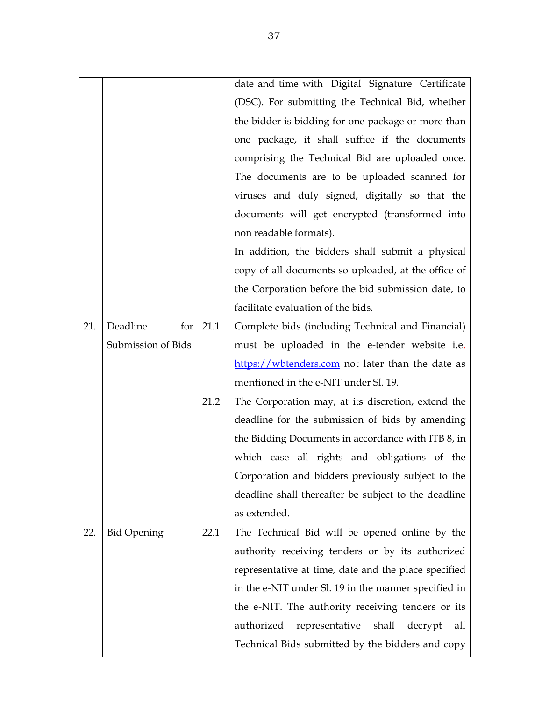|     |                    |      | date and time with Digital Signature Certificate        |
|-----|--------------------|------|---------------------------------------------------------|
|     |                    |      | (DSC). For submitting the Technical Bid, whether        |
|     |                    |      | the bidder is bidding for one package or more than      |
|     |                    |      | one package, it shall suffice if the documents          |
|     |                    |      | comprising the Technical Bid are uploaded once.         |
|     |                    |      | The documents are to be uploaded scanned for            |
|     |                    |      | viruses and duly signed, digitally so that the          |
|     |                    |      | documents will get encrypted (transformed into          |
|     |                    |      | non readable formats).                                  |
|     |                    |      | In addition, the bidders shall submit a physical        |
|     |                    |      | copy of all documents so uploaded, at the office of     |
|     |                    |      | the Corporation before the bid submission date, to      |
|     |                    |      | facilitate evaluation of the bids.                      |
| 21. | Deadline<br>for    | 21.1 | Complete bids (including Technical and Financial)       |
|     | Submission of Bids |      | must be uploaded in the e-tender website i.e.           |
|     |                    |      | https://wbtenders.com not later than the date as        |
|     |                    |      | mentioned in the e-NIT under Sl. 19.                    |
|     |                    | 21.2 | The Corporation may, at its discretion, extend the      |
|     |                    |      | deadline for the submission of bids by amending         |
|     |                    |      | the Bidding Documents in accordance with ITB 8, in      |
|     |                    |      | which case all rights and obligations of the            |
|     |                    |      | Corporation and bidders previously subject to the       |
|     |                    |      | deadline shall thereafter be subject to the deadline    |
|     |                    |      | as extended.                                            |
| 22. | <b>Bid Opening</b> | 22.1 | The Technical Bid will be opened online by the          |
|     |                    |      | authority receiving tenders or by its authorized        |
|     |                    |      | representative at time, date and the place specified    |
|     |                    |      | in the e-NIT under Sl. 19 in the manner specified in    |
|     |                    |      | the e-NIT. The authority receiving tenders or its       |
|     |                    |      | representative<br>authorized<br>shall<br>decrypt<br>all |
|     |                    |      | Technical Bids submitted by the bidders and copy        |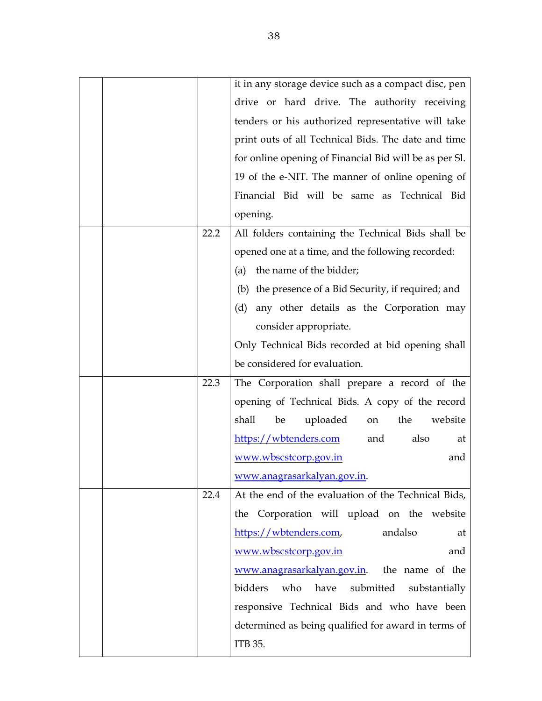|      | it in any storage device such as a compact disc, pen   |
|------|--------------------------------------------------------|
|      | drive or hard drive. The authority receiving           |
|      | tenders or his authorized representative will take     |
|      | print outs of all Technical Bids. The date and time    |
|      | for online opening of Financial Bid will be as per Sl. |
|      | 19 of the e-NIT. The manner of online opening of       |
|      | Financial Bid will be same as Technical Bid            |
|      | opening.                                               |
| 22.2 | All folders containing the Technical Bids shall be     |
|      | opened one at a time, and the following recorded:      |
|      | the name of the bidder;<br>(a)                         |
|      | (b) the presence of a Bid Security, if required; and   |
|      | any other details as the Corporation may<br>(d)        |
|      | consider appropriate.                                  |
|      | Only Technical Bids recorded at bid opening shall      |
|      | be considered for evaluation.                          |
| 22.3 | The Corporation shall prepare a record of the          |
|      | opening of Technical Bids. A copy of the record        |
|      | uploaded<br>shall<br>be<br>the<br>website<br>on        |
|      | https://wbtenders.com<br>and<br>also<br>at             |
|      | www.wbscstcorp.gov.in<br>and                           |
|      | www.anagrasarkalyan.gov.in.                            |
| 22.4 | At the end of the evaluation of the Technical Bids,    |
|      | the Corporation will upload on the website             |
|      | https://wbtenders.com,<br>andalso<br>at                |
|      | and<br>www.wbscstcorp.gov.in                           |
|      | www.anagrasarkalyan.gov.in. the name of the            |
|      | have<br>bidders<br>who<br>submitted                    |
|      | substantially                                          |
|      | responsive Technical Bids and who have been            |
|      | determined as being qualified for award in terms of    |
|      | ITB 35.                                                |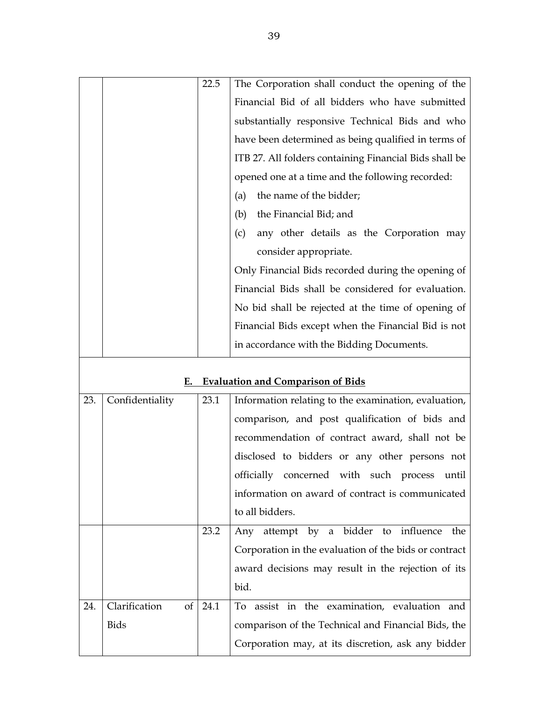|  | 22.5 | The Corporation shall conduct the opening of the       |
|--|------|--------------------------------------------------------|
|  |      | Financial Bid of all bidders who have submitted        |
|  |      | substantially responsive Technical Bids and who        |
|  |      | have been determined as being qualified in terms of    |
|  |      | ITB 27. All folders containing Financial Bids shall be |
|  |      | opened one at a time and the following recorded:       |
|  |      | the name of the bidder;<br>(a)                         |
|  |      | the Financial Bid; and<br>(b)                          |
|  |      | any other details as the Corporation may<br>(c)        |
|  |      | consider appropriate.                                  |
|  |      | Only Financial Bids recorded during the opening of     |
|  |      | Financial Bids shall be considered for evaluation.     |
|  |      | No bid shall be rejected at the time of opening of     |
|  |      | Financial Bids except when the Financial Bid is not    |
|  |      | in accordance with the Bidding Documents.              |
|  |      |                                                        |

## **E. Evaluation and Comparison of Bids**

| 23. | Confidentiality     | 23.1 | Information relating to the examination, evaluation,  |
|-----|---------------------|------|-------------------------------------------------------|
|     |                     |      | comparison, and post qualification of bids and        |
|     |                     |      | recommendation of contract award, shall not be        |
|     |                     |      | disclosed to bidders or any other persons not         |
|     |                     |      | officially concerned with such process until          |
|     |                     |      | information on award of contract is communicated      |
|     |                     |      | to all bidders.                                       |
|     |                     | 23.2 | Any attempt by a bidder to influence<br>the           |
|     |                     |      | Corporation in the evaluation of the bids or contract |
|     |                     |      | award decisions may result in the rejection of its    |
|     |                     |      | bid.                                                  |
| 24. | of<br>Clarification | 24.1 | To assist in the examination, evaluation and          |
|     | <b>Bids</b>         |      | comparison of the Technical and Financial Bids, the   |
|     |                     |      | Corporation may, at its discretion, ask any bidder    |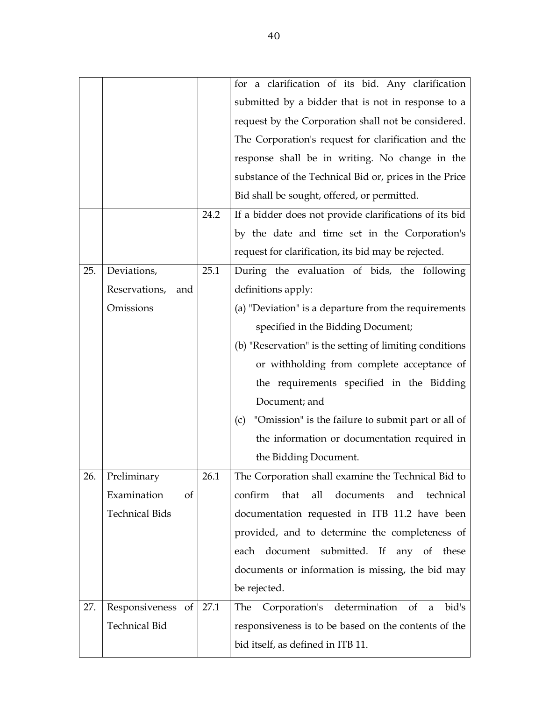|     |                              |      | for a clarification of its bid. Any clarification               |
|-----|------------------------------|------|-----------------------------------------------------------------|
|     |                              |      | submitted by a bidder that is not in response to a              |
|     |                              |      | request by the Corporation shall not be considered.             |
|     |                              |      | The Corporation's request for clarification and the             |
|     |                              |      | response shall be in writing. No change in the                  |
|     |                              |      | substance of the Technical Bid or, prices in the Price          |
|     |                              |      | Bid shall be sought, offered, or permitted.                     |
|     |                              | 24.2 | If a bidder does not provide clarifications of its bid          |
|     |                              |      | by the date and time set in the Corporation's                   |
|     |                              |      | request for clarification, its bid may be rejected.             |
| 25. | Deviations,                  | 25.1 | During the evaluation of bids, the following                    |
|     | Reservations,<br>and         |      | definitions apply:                                              |
|     | Omissions                    |      | (a) "Deviation" is a departure from the requirements            |
|     |                              |      | specified in the Bidding Document;                              |
|     |                              |      | (b) "Reservation" is the setting of limiting conditions         |
|     |                              |      | or withholding from complete acceptance of                      |
|     |                              |      | the requirements specified in the Bidding                       |
|     |                              |      | Document; and                                                   |
|     |                              |      | "Omission" is the failure to submit part or all of<br>(c)       |
|     |                              |      | the information or documentation required in                    |
|     |                              |      | the Bidding Document.                                           |
| 26. | Preliminary                  | 26.1 | The Corporation shall examine the Technical Bid to              |
|     | Examination<br><sub>of</sub> |      | confirm<br>that<br>all<br>documents<br>and<br>technical         |
|     | <b>Technical Bids</b>        |      | documentation requested in ITB 11.2 have been                   |
|     |                              |      | provided, and to determine the completeness of                  |
|     |                              |      | document submitted. If any of these<br>each                     |
|     |                              |      | documents or information is missing, the bid may                |
|     |                              |      | be rejected.                                                    |
| 27. | Responsiveness of            | 27.1 | determination<br>Corporation's<br>bid's<br>$\sigma$<br>The<br>a |
|     | <b>Technical Bid</b>         |      | responsiveness is to be based on the contents of the            |
|     |                              |      | bid itself, as defined in ITB 11.                               |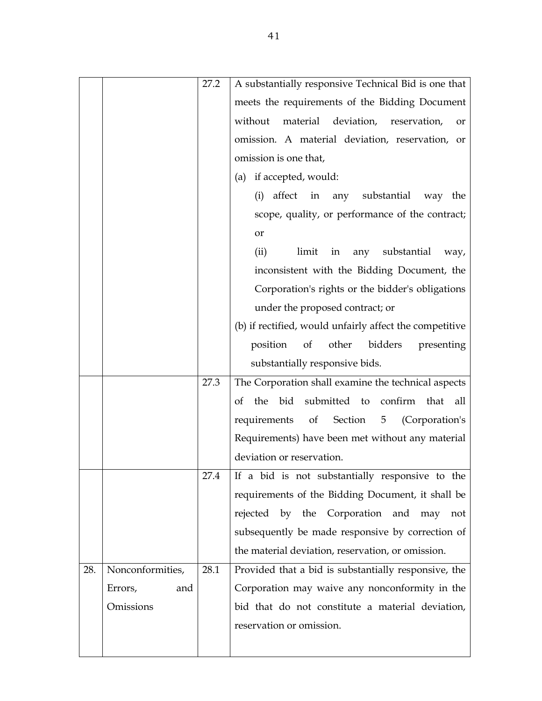|     |                  | 27.2 | A substantially responsive Technical Bid is one that              |
|-----|------------------|------|-------------------------------------------------------------------|
|     |                  |      | meets the requirements of the Bidding Document                    |
|     |                  |      | material deviation, reservation,<br>without<br>or                 |
|     |                  |      | omission. A material deviation, reservation, or                   |
|     |                  |      | omission is one that,                                             |
|     |                  |      | (a) if accepted, would:                                           |
|     |                  |      | (i) affect in any substantial way the                             |
|     |                  |      | scope, quality, or performance of the contract;                   |
|     |                  |      | or                                                                |
|     |                  |      | limit in any<br>substantial<br>(ii)<br>way,                       |
|     |                  |      | inconsistent with the Bidding Document, the                       |
|     |                  |      | Corporation's rights or the bidder's obligations                  |
|     |                  |      | under the proposed contract; or                                   |
|     |                  |      | (b) if rectified, would unfairly affect the competitive           |
|     |                  |      | position<br>of<br>other<br>bidders<br>presenting                  |
|     |                  |      | substantially responsive bids.                                    |
|     |                  | 27.3 | The Corporation shall examine the technical aspects               |
|     |                  |      | the bid submitted to confirm that all<br>of                       |
|     |                  |      | requirements<br>of<br>Section<br>5 <sub>5</sub><br>(Corporation's |
|     |                  |      | Requirements) have been met without any material                  |
|     |                  |      | deviation or reservation.                                         |
|     |                  | 27.4 | If a bid is not substantially responsive to the                   |
|     |                  |      | requirements of the Bidding Document, it shall be                 |
|     |                  |      | rejected by the Corporation and may<br>not                        |
|     |                  |      | subsequently be made responsive by correction of                  |
|     |                  |      | the material deviation, reservation, or omission.                 |
| 28. | Nonconformities, | 28.1 | Provided that a bid is substantially responsive, the              |
|     | Errors,<br>and   |      | Corporation may waive any nonconformity in the                    |
|     | Omissions        |      | bid that do not constitute a material deviation,                  |
|     |                  |      | reservation or omission.                                          |
|     |                  |      |                                                                   |
|     |                  |      |                                                                   |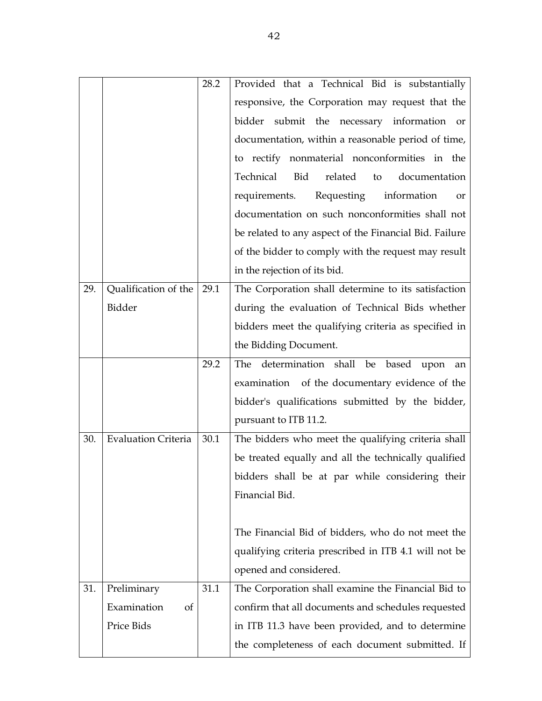|     |                            | 28.2 | Provided that a Technical Bid is substantially         |
|-----|----------------------------|------|--------------------------------------------------------|
|     |                            |      | responsive, the Corporation may request that the       |
|     |                            |      | bidder submit the necessary information or             |
|     |                            |      | documentation, within a reasonable period of time,     |
|     |                            |      | to rectify nonmaterial nonconformities in the          |
|     |                            |      | Technical<br>Bid<br>related<br>documentation<br>to     |
|     |                            |      | Requesting information<br>requirements.<br>or          |
|     |                            |      | documentation on such nonconformities shall not        |
|     |                            |      | be related to any aspect of the Financial Bid. Failure |
|     |                            |      | of the bidder to comply with the request may result    |
|     |                            |      | in the rejection of its bid.                           |
| 29. | Qualification of the       | 29.1 | The Corporation shall determine to its satisfaction    |
|     | Bidder                     |      | during the evaluation of Technical Bids whether        |
|     |                            |      | bidders meet the qualifying criteria as specified in   |
|     |                            |      | the Bidding Document.                                  |
|     |                            | 29.2 | determination shall be based upon<br>The<br>an         |
|     |                            |      | examination of the documentary evidence of the         |
|     |                            |      | bidder's qualifications submitted by the bidder,       |
|     |                            |      | pursuant to ITB 11.2.                                  |
| 30. | <b>Evaluation Criteria</b> | 30.1 | The bidders who meet the qualifying criteria shall     |
|     |                            |      | be treated equally and all the technically qualified   |
|     |                            |      | bidders shall be at par while considering their        |
|     |                            |      | Financial Bid.                                         |
|     |                            |      |                                                        |
|     |                            |      | The Financial Bid of bidders, who do not meet the      |
|     |                            |      | qualifying criteria prescribed in ITB 4.1 will not be  |
|     |                            |      | opened and considered.                                 |
| 31. | Preliminary                | 31.1 | The Corporation shall examine the Financial Bid to     |
|     | Examination<br>of          |      | confirm that all documents and schedules requested     |
|     | Price Bids                 |      | in ITB 11.3 have been provided, and to determine       |
|     |                            |      | the completeness of each document submitted. If        |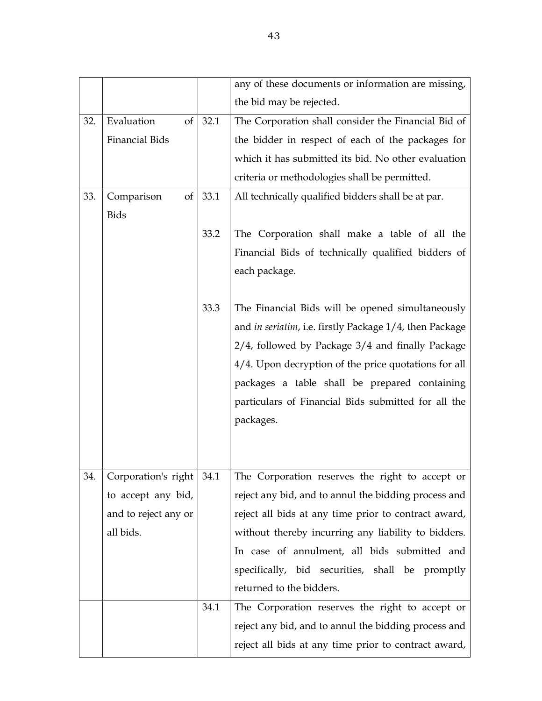|     |                        |      | any of these documents or information are missing,      |
|-----|------------------------|------|---------------------------------------------------------|
|     |                        |      | the bid may be rejected.                                |
| 32. | Evaluation<br>$\sigma$ | 32.1 | The Corporation shall consider the Financial Bid of     |
|     | Financial Bids         |      | the bidder in respect of each of the packages for       |
|     |                        |      | which it has submitted its bid. No other evaluation     |
|     |                        |      | criteria or methodologies shall be permitted.           |
| 33. | Comparison<br>of       | 33.1 | All technically qualified bidders shall be at par.      |
|     | <b>Bids</b>            |      |                                                         |
|     |                        | 33.2 | The Corporation shall make a table of all the           |
|     |                        |      | Financial Bids of technically qualified bidders of      |
|     |                        |      | each package.                                           |
|     |                        |      |                                                         |
|     |                        | 33.3 | The Financial Bids will be opened simultaneously        |
|     |                        |      | and in seriatim, i.e. firstly Package 1/4, then Package |
|     |                        |      | 2/4, followed by Package 3/4 and finally Package        |
|     |                        |      | 4/4. Upon decryption of the price quotations for all    |
|     |                        |      | packages a table shall be prepared containing           |
|     |                        |      | particulars of Financial Bids submitted for all the     |
|     |                        |      | packages.                                               |
|     |                        |      |                                                         |
|     |                        |      |                                                         |
| 34. | Corporation's right    | 34.1 | The Corporation reserves the right to accept or         |
|     | to accept any bid,     |      | reject any bid, and to annul the bidding process and    |
|     | and to reject any or   |      | reject all bids at any time prior to contract award,    |
|     | all bids.              |      | without thereby incurring any liability to bidders.     |
|     |                        |      | In case of annulment, all bids submitted and            |
|     |                        |      | specifically, bid securities, shall be promptly         |
|     |                        |      | returned to the bidders.                                |
|     |                        | 34.1 | The Corporation reserves the right to accept or         |
|     |                        |      | reject any bid, and to annul the bidding process and    |
|     |                        |      | reject all bids at any time prior to contract award,    |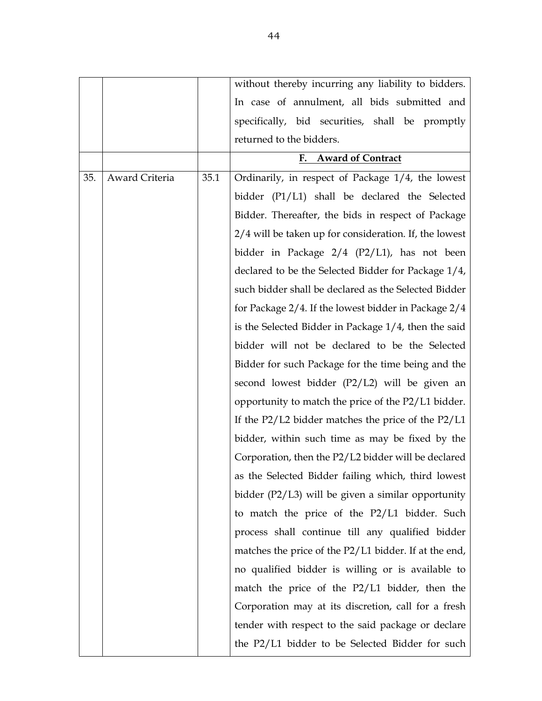|     |                |      | without thereby incurring any liability to bidders.    |
|-----|----------------|------|--------------------------------------------------------|
|     |                |      | In case of annulment, all bids submitted and           |
|     |                |      | specifically, bid securities, shall be promptly        |
|     |                |      | returned to the bidders.                               |
|     |                |      | F. Award of Contract                                   |
| 35. | Award Criteria | 35.1 | Ordinarily, in respect of Package 1/4, the lowest      |
|     |                |      | bidder (P1/L1) shall be declared the Selected          |
|     |                |      | Bidder. Thereafter, the bids in respect of Package     |
|     |                |      | 2/4 will be taken up for consideration. If, the lowest |
|     |                |      | bidder in Package 2/4 (P2/L1), has not been            |
|     |                |      | declared to be the Selected Bidder for Package 1/4,    |
|     |                |      | such bidder shall be declared as the Selected Bidder   |
|     |                |      | for Package 2/4. If the lowest bidder in Package 2/4   |
|     |                |      | is the Selected Bidder in Package 1/4, then the said   |
|     |                |      | bidder will not be declared to be the Selected         |
|     |                |      | Bidder for such Package for the time being and the     |
|     |                |      | second lowest bidder (P2/L2) will be given an          |
|     |                |      | opportunity to match the price of the P2/L1 bidder.    |
|     |                |      | If the $P2/L2$ bidder matches the price of the $P2/L1$ |
|     |                |      | bidder, within such time as may be fixed by the        |
|     |                |      | Corporation, then the P2/L2 bidder will be declared    |
|     |                |      | as the Selected Bidder failing which, third lowest     |
|     |                |      | bidder $(P2/L3)$ will be given a similar opportunity   |
|     |                |      | to match the price of the P2/L1 bidder. Such           |
|     |                |      | process shall continue till any qualified bidder       |
|     |                |      | matches the price of the P2/L1 bidder. If at the end,  |
|     |                |      | no qualified bidder is willing or is available to      |
|     |                |      | match the price of the P2/L1 bidder, then the          |
|     |                |      | Corporation may at its discretion, call for a fresh    |
|     |                |      | tender with respect to the said package or declare     |
|     |                |      | the P2/L1 bidder to be Selected Bidder for such        |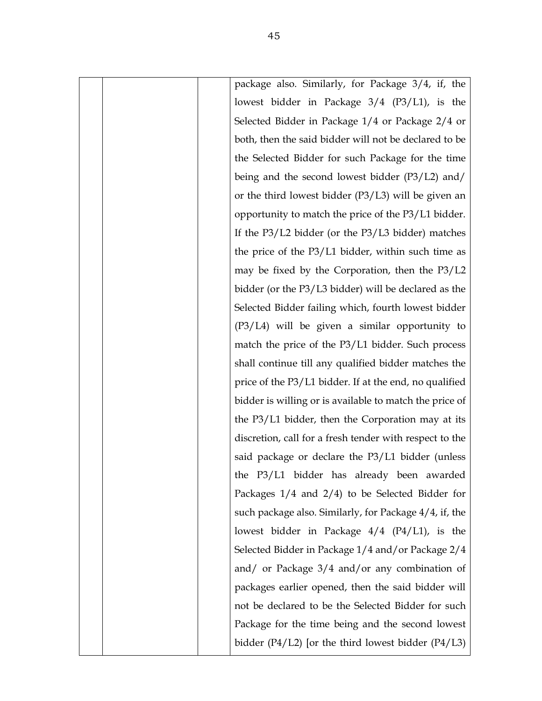| package also. Similarly, for Package 3/4, if, the        |
|----------------------------------------------------------|
| lowest bidder in Package 3/4 (P3/L1), is the             |
| Selected Bidder in Package 1/4 or Package 2/4 or         |
| both, then the said bidder will not be declared to be    |
| the Selected Bidder for such Package for the time        |
| being and the second lowest bidder (P3/L2) and/          |
| or the third lowest bidder (P3/L3) will be given an      |
| opportunity to match the price of the P3/L1 bidder.      |
| If the $P3/L2$ bidder (or the $P3/L3$ bidder) matches    |
| the price of the P3/L1 bidder, within such time as       |
| may be fixed by the Corporation, then the P3/L2          |
| bidder (or the P3/L3 bidder) will be declared as the     |
| Selected Bidder failing which, fourth lowest bidder      |
| $(P3/L4)$ will be given a similar opportunity to         |
| match the price of the P3/L1 bidder. Such process        |
| shall continue till any qualified bidder matches the     |
| price of the P3/L1 bidder. If at the end, no qualified   |
| bidder is willing or is available to match the price of  |
| the P3/L1 bidder, then the Corporation may at its        |
| discretion, call for a fresh tender with respect to the  |
| said package or declare the P3/L1 bidder (unless         |
| the P3/L1 bidder has already been awarded                |
| Packages $1/4$ and $2/4$ ) to be Selected Bidder for     |
| such package also. Similarly, for Package 4/4, if, the   |
| lowest bidder in Package $4/4$ (P $4/L1$ ), is the       |
| Selected Bidder in Package 1/4 and/or Package 2/4        |
| and/ or Package $3/4$ and/or any combination of          |
| packages earlier opened, then the said bidder will       |
| not be declared to be the Selected Bidder for such       |
| Package for the time being and the second lowest         |
| bidder $(P4/L2)$ [or the third lowest bidder $(P4/L3)$ ] |
|                                                          |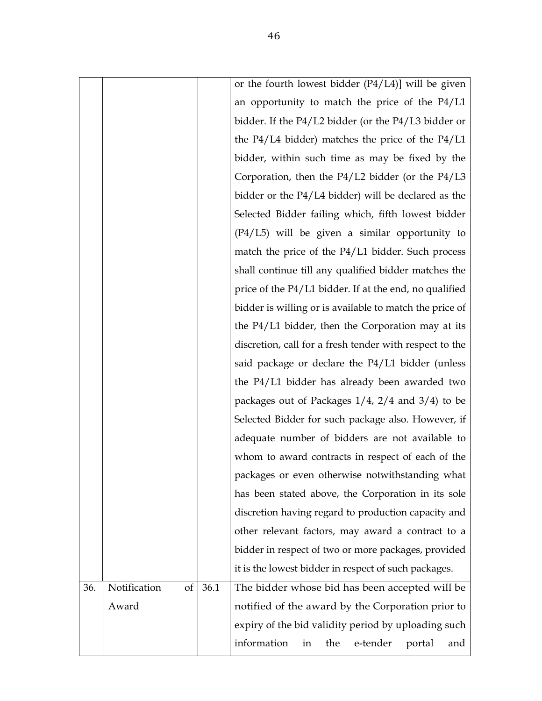|     |                    |      | or the fourth lowest bidder (P4/L4)] will be given       |
|-----|--------------------|------|----------------------------------------------------------|
|     |                    |      | an opportunity to match the price of the $P4/L1$         |
|     |                    |      | bidder. If the P4/L2 bidder (or the P4/L3 bidder or      |
|     |                    |      | the $P4/L4$ bidder) matches the price of the $P4/L1$     |
|     |                    |      | bidder, within such time as may be fixed by the          |
|     |                    |      | Corporation, then the $P4/L2$ bidder (or the $P4/L3$     |
|     |                    |      | bidder or the P4/L4 bidder) will be declared as the      |
|     |                    |      | Selected Bidder failing which, fifth lowest bidder       |
|     |                    |      | $(P4/L5)$ will be given a similar opportunity to         |
|     |                    |      | match the price of the P4/L1 bidder. Such process        |
|     |                    |      | shall continue till any qualified bidder matches the     |
|     |                    |      | price of the P4/L1 bidder. If at the end, no qualified   |
|     |                    |      | bidder is willing or is available to match the price of  |
|     |                    |      | the P4/L1 bidder, then the Corporation may at its        |
|     |                    |      | discretion, call for a fresh tender with respect to the  |
|     |                    |      | said package or declare the P4/L1 bidder (unless         |
|     |                    |      | the P4/L1 bidder has already been awarded two            |
|     |                    |      | packages out of Packages $1/4$ , $2/4$ and $3/4$ ) to be |
|     |                    |      | Selected Bidder for such package also. However, if       |
|     |                    |      | adequate number of bidders are not available to          |
|     |                    |      | whom to award contracts in respect of each of the        |
|     |                    |      | packages or even otherwise notwithstanding what          |
|     |                    |      | has been stated above, the Corporation in its sole       |
|     |                    |      | discretion having regard to production capacity and      |
|     |                    |      | other relevant factors, may award a contract to a        |
|     |                    |      | bidder in respect of two or more packages, provided      |
|     |                    |      | it is the lowest bidder in respect of such packages.     |
| 36. | Notification<br>of | 36.1 | The bidder whose bid has been accepted will be           |
|     | Award              |      | notified of the award by the Corporation prior to        |
|     |                    |      | expiry of the bid validity period by uploading such      |
|     |                    |      | information<br>e-tender<br>the<br>in<br>portal<br>and    |
|     |                    |      |                                                          |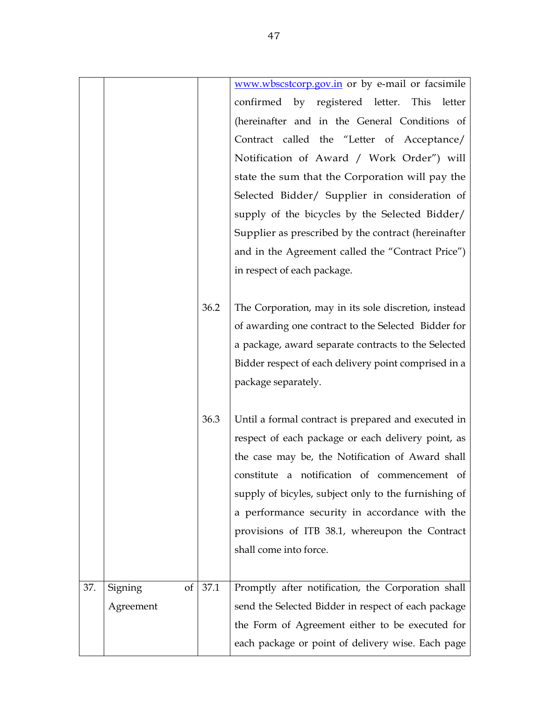|     |               |      | www.wbscstcorp.gov.in or by e-mail or facsimile      |
|-----|---------------|------|------------------------------------------------------|
|     |               |      | confirmed by registered letter. This<br>letter       |
|     |               |      | (hereinafter and in the General Conditions of        |
|     |               |      | Contract called the "Letter of Acceptance/           |
|     |               |      | Notification of Award / Work Order") will            |
|     |               |      | state the sum that the Corporation will pay the      |
|     |               |      | Selected Bidder/ Supplier in consideration of        |
|     |               |      | supply of the bicycles by the Selected Bidder/       |
|     |               |      | Supplier as prescribed by the contract (hereinafter  |
|     |               |      | and in the Agreement called the "Contract Price")    |
|     |               |      | in respect of each package.                          |
|     |               |      |                                                      |
|     |               | 36.2 | The Corporation, may in its sole discretion, instead |
|     |               |      | of awarding one contract to the Selected Bidder for  |
|     |               |      | a package, award separate contracts to the Selected  |
|     |               |      | Bidder respect of each delivery point comprised in a |
|     |               |      | package separately.                                  |
|     |               |      |                                                      |
|     |               | 36.3 | Until a formal contract is prepared and executed in  |
|     |               |      | respect of each package or each delivery point, as   |
|     |               |      | the case may be, the Notification of Award shall     |
|     |               |      | constitute a notification of commencement of         |
|     |               |      | supply of bicyles, subject only to the furnishing of |
|     |               |      | a performance security in accordance with the        |
|     |               |      | provisions of ITB 38.1, whereupon the Contract       |
|     |               |      | shall come into force.                               |
|     |               |      |                                                      |
| 37. | of<br>Signing | 37.1 | Promptly after notification, the Corporation shall   |
|     | Agreement     |      | send the Selected Bidder in respect of each package  |
|     |               |      | the Form of Agreement either to be executed for      |
|     |               |      | each package or point of delivery wise. Each page    |
|     |               |      |                                                      |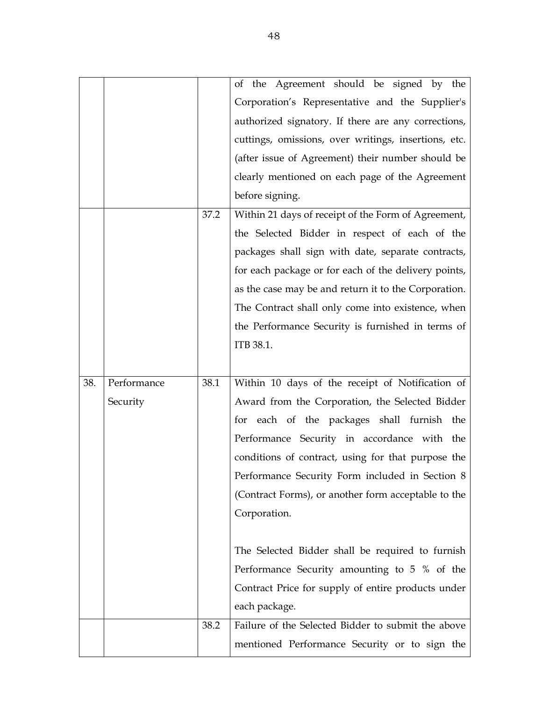|     |             |      | of the Agreement should be signed by the             |
|-----|-------------|------|------------------------------------------------------|
|     |             |      | Corporation's Representative and the Supplier's      |
|     |             |      | authorized signatory. If there are any corrections,  |
|     |             |      | cuttings, omissions, over writings, insertions, etc. |
|     |             |      | (after issue of Agreement) their number should be    |
|     |             |      | clearly mentioned on each page of the Agreement      |
|     |             |      | before signing.                                      |
|     |             | 37.2 | Within 21 days of receipt of the Form of Agreement,  |
|     |             |      | the Selected Bidder in respect of each of the        |
|     |             |      | packages shall sign with date, separate contracts,   |
|     |             |      | for each package or for each of the delivery points, |
|     |             |      | as the case may be and return it to the Corporation. |
|     |             |      | The Contract shall only come into existence, when    |
|     |             |      | the Performance Security is furnished in terms of    |
|     |             |      | ITB 38.1.                                            |
|     |             |      |                                                      |
| 38. | Performance | 38.1 | Within 10 days of the receipt of Notification of     |
|     | Security    |      | Award from the Corporation, the Selected Bidder      |
|     |             |      | for each of the packages shall furnish the           |
|     |             |      | Performance Security in accordance with the          |
|     |             |      | conditions of contract, using for that purpose the   |
|     |             |      | Performance Security Form included in Section 8      |
|     |             |      | (Contract Forms), or another form acceptable to the  |
|     |             |      | Corporation.                                         |
|     |             |      |                                                      |
|     |             |      | The Selected Bidder shall be required to furnish     |
|     |             |      | Performance Security amounting to 5 % of the         |
|     |             |      | Contract Price for supply of entire products under   |
|     |             |      | each package.                                        |
|     |             | 38.2 | Failure of the Selected Bidder to submit the above   |
|     |             |      |                                                      |
|     |             |      | mentioned Performance Security or to sign the        |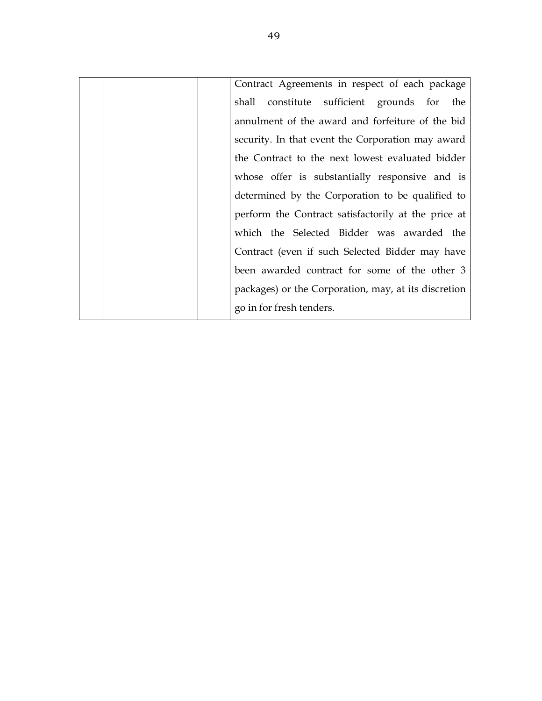| Contract Agreements in respect of each package       |
|------------------------------------------------------|
| constitute sufficient grounds for the<br>shall       |
| annulment of the award and forfeiture of the bid     |
| security. In that event the Corporation may award    |
| the Contract to the next lowest evaluated bidder     |
| whose offer is substantially responsive and is       |
| determined by the Corporation to be qualified to     |
| perform the Contract satisfactorily at the price at  |
| which the Selected Bidder was awarded the            |
| Contract (even if such Selected Bidder may have      |
| been awarded contract for some of the other 3        |
| packages) or the Corporation, may, at its discretion |
| go in for fresh tenders.                             |
|                                                      |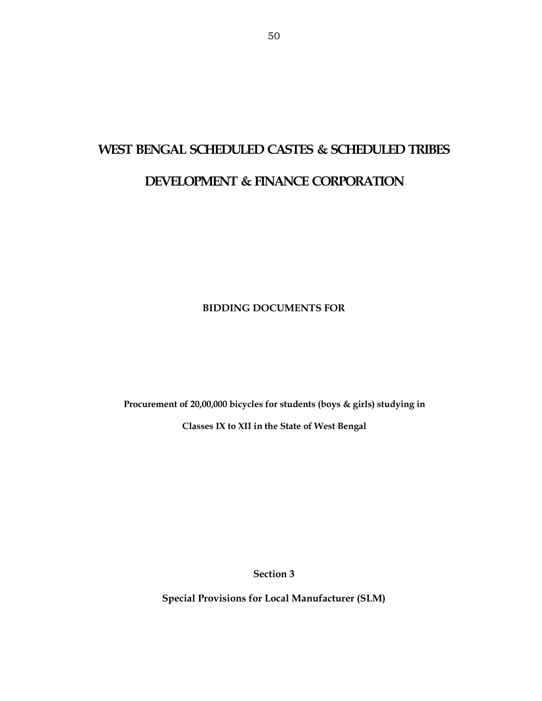# **WEST BENGAL SCHEDULED CASTES & SCHEDULED TRIBES**

## **DEVELOPMENT & FINANCE CORPORATION**

**BIDDING DOCUMENTS FOR** 

**Procurement of 20,00,000 bicycles for students (boys & girls) studying in** 

**Classes IX to XII in the State of West Bengal** 

**Section 3** 

**Special Provisions for Local Manufacturer (SLM)**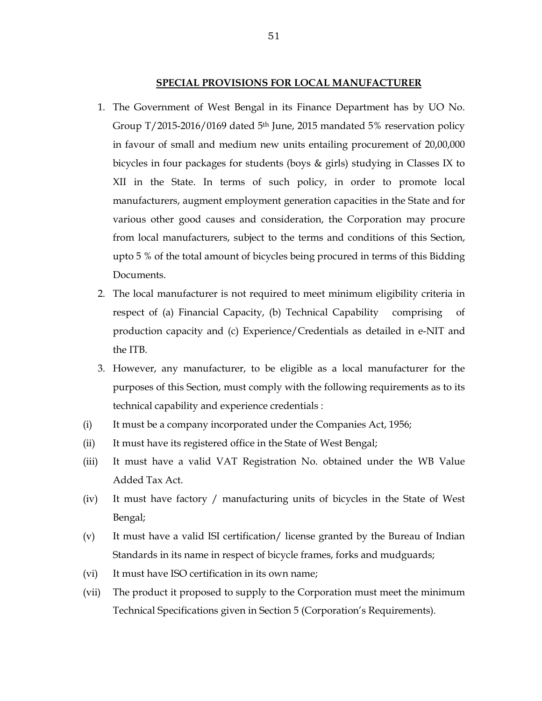#### **SPECIAL PROVISIONS FOR LOCAL MANUFACTURER**

- 1. The Government of West Bengal in its Finance Department has by UO No. Group T/2015-2016/0169 dated 5<sup>th</sup> June, 2015 mandated 5% reservation policy in favour of small and medium new units entailing procurement of 20,00,000 bicycles in four packages for students (boys & girls) studying in Classes IX to XII in the State. In terms of such policy, in order to promote local manufacturers, augment employment generation capacities in the State and for various other good causes and consideration, the Corporation may procure from local manufacturers, subject to the terms and conditions of this Section, upto 5 % of the total amount of bicycles being procured in terms of this Bidding Documents.
- 2. The local manufacturer is not required to meet minimum eligibility criteria in respect of (a) Financial Capacity, (b) Technical Capability comprising production capacity and (c) Experience/Credentials as detailed in e-NIT and the ITB.
- 3. However, any manufacturer, to be eligible as a local manufacturer for the purposes of this Section, must comply with the following requirements as to its technical capability and experience credentials :
- (i) It must be a company incorporated under the Companies Act, 1956;
- (ii) It must have its registered office in the State of West Bengal;
- (iii) It must have a valid VAT Registration No. obtained under the WB Value Added Tax Act.
- (iv) It must have factory / manufacturing units of bicycles in the State of West Bengal;
- (v) It must have a valid ISI certification/ license granted by the Bureau of Indian Standards in its name in respect of bicycle frames, forks and mudguards;
- (vi) It must have ISO certification in its own name;
- (vii) The product it proposed to supply to the Corporation must meet the minimum Technical Specifications given in Section 5 (Corporation's Requirements).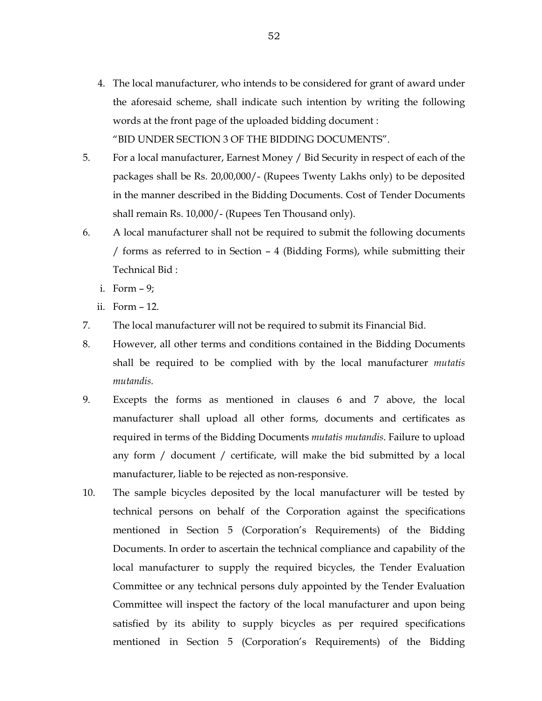- 4. The local manufacturer, who intends to be considered for grant of award under the aforesaid scheme, shall indicate such intention by writing the following words at the front page of the uploaded bidding document : "BID UNDER SECTION 3 OF THE BIDDING DOCUMENTS".
- 5. For a local manufacturer, Earnest Money / Bid Security in respect of each of the packages shall be Rs. 20,00,000/- (Rupees Twenty Lakhs only) to be deposited in the manner described in the Bidding Documents. Cost of Tender Documents shall remain Rs. 10,000/- (Rupees Ten Thousand only).
- 6. A local manufacturer shall not be required to submit the following documents / forms as referred to in Section – 4 (Bidding Forms), while submitting their Technical Bid :
	- i. Form 9;
	- ii. Form 12.
- 7. The local manufacturer will not be required to submit its Financial Bid.
- 8. However, all other terms and conditions contained in the Bidding Documents shall be required to be complied with by the local manufacturer *mutatis mutandis.*
- 9. Excepts the forms as mentioned in clauses 6 and 7 above, the local manufacturer shall upload all other forms, documents and certificates as required in terms of the Bidding Documents *mutatis mutandis*. Failure to upload any form / document / certificate, will make the bid submitted by a local manufacturer, liable to be rejected as non-responsive.
- 10. The sample bicycles deposited by the local manufacturer will be tested by technical persons on behalf of the Corporation against the specifications mentioned in Section 5 (Corporation's Requirements) of the Bidding Documents. In order to ascertain the technical compliance and capability of the local manufacturer to supply the required bicycles, the Tender Evaluation Committee or any technical persons duly appointed by the Tender Evaluation Committee will inspect the factory of the local manufacturer and upon being satisfied by its ability to supply bicycles as per required specifications mentioned in Section 5 (Corporation's Requirements) of the Bidding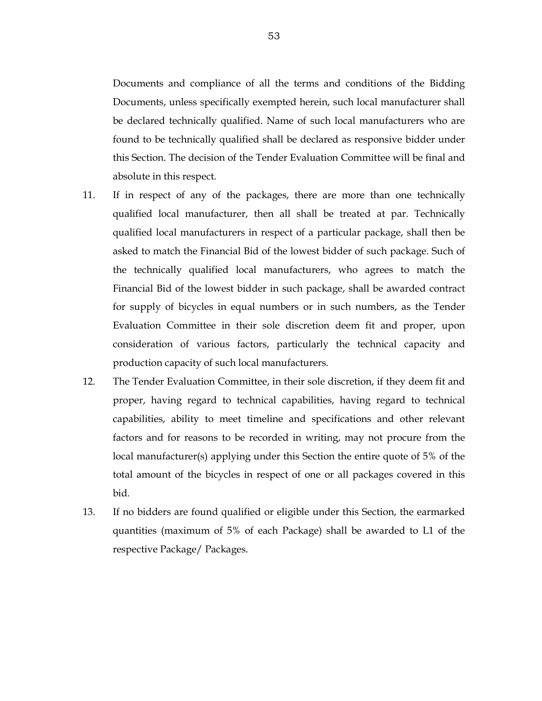Documents and compliance of all the terms and conditions of the Bidding Documents, unless specifically exempted herein, such local manufacturer shall be declared technically qualified. Name of such local manufacturers who are found to be technically qualified shall be declared as responsive bidder under this Section. The decision of the Tender Evaluation Committee will be final and absolute in this respect.

- 11. If in respect of any of the packages, there are more than one technically qualified local manufacturer, then all shall be treated at par. Technically qualified local manufacturers in respect of a particular package, shall then be asked to match the Financial Bid of the lowest bidder of such package. Such of the technically qualified local manufacturers, who agrees to match the Financial Bid of the lowest bidder in such package, shall be awarded contract for supply of bicycles in equal numbers or in such numbers, as the Tender Evaluation Committee in their sole discretion deem fit and proper, upon consideration of various factors, particularly the technical capacity and production capacity of such local manufacturers.
- 12. The Tender Evaluation Committee, in their sole discretion, if they deem fit and proper, having regard to technical capabilities, having regard to technical capabilities, ability to meet timeline and specifications and other relevant factors and for reasons to be recorded in writing, may not procure from the local manufacturer(s) applying under this Section the entire quote of 5% of the total amount of the bicycles in respect of one or all packages covered in this bid.
- 13. If no bidders are found qualified or eligible under this Section, the earmarked quantities (maximum of 5% of each Package) shall be awarded to L1 of the respective Package/ Packages.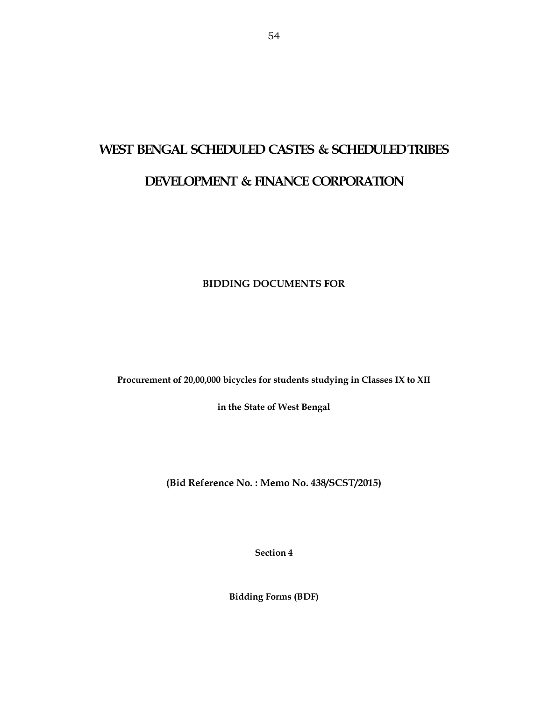## **WEST BENGAL SCHEDULED CASTES & SCHEDULED TRIBES DEVELOPMENT & FINANCE CORPORATION**

**BIDDING DOCUMENTS FOR** 

**Procurement of 20,00,000 bicycles for students studying in Classes IX to XII** 

**in the State of West Bengal** 

**(Bid Reference No. : Memo No. 438/SCST/2015)** 

**Section 4** 

**Bidding Forms (BDF)**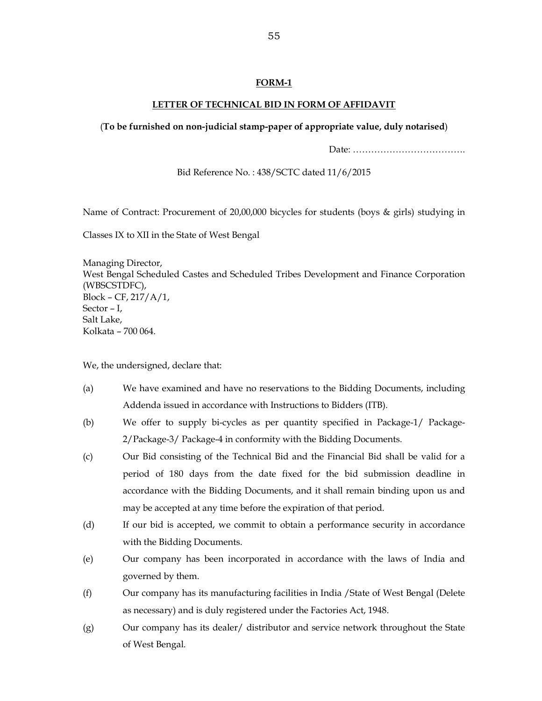#### **LETTER OF TECHNICAL BID IN FORM OF AFFIDAVIT**

#### (**To be furnished on non-judicial stamp-paper of appropriate value, duly notarised**)

Date: ……………………………….

Bid Reference No. : 438/SCTC dated 11/6/2015

Name of Contract: Procurement of 20,00,000 bicycles for students (boys & girls) studying in

Classes IX to XII in the State of West Bengal

Managing Director, West Bengal Scheduled Castes and Scheduled Tribes Development and Finance Corporation (WBSCSTDFC), Block – CF, 217/A/1, Sector – I, Salt Lake, Kolkata – 700 064.

We, the undersigned, declare that:

- (a) We have examined and have no reservations to the Bidding Documents, including Addenda issued in accordance with Instructions to Bidders (ITB).
- (b) We offer to supply bi-cycles as per quantity specified in Package-1/ Package-2/Package-3/ Package-4 in conformity with the Bidding Documents.
- (c) Our Bid consisting of the Technical Bid and the Financial Bid shall be valid for a period of 180 days from the date fixed for the bid submission deadline in accordance with the Bidding Documents, and it shall remain binding upon us and may be accepted at any time before the expiration of that period.
- (d) If our bid is accepted, we commit to obtain a performance security in accordance with the Bidding Documents.
- (e) Our company has been incorporated in accordance with the laws of India and governed by them.
- (f) Our company has its manufacturing facilities in India /State of West Bengal (Delete as necessary) and is duly registered under the Factories Act, 1948.
- (g) Our company has its dealer/ distributor and service network throughout the State of West Bengal.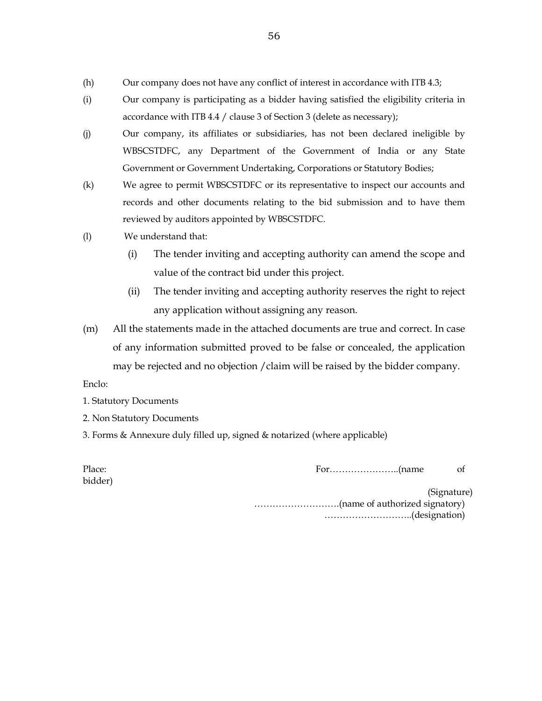- (h) Our company does not have any conflict of interest in accordance with ITB 4.3;
- (i) Our company is participating as a bidder having satisfied the eligibility criteria in accordance with ITB 4.4 / clause 3 of Section 3 (delete as necessary);
- (j) Our company, its affiliates or subsidiaries, has not been declared ineligible by WBSCSTDFC, any Department of the Government of India or any State Government or Government Undertaking, Corporations or Statutory Bodies;
- (k) We agree to permit WBSCSTDFC or its representative to inspect our accounts and records and other documents relating to the bid submission and to have them reviewed by auditors appointed by WBSCSTDFC.
- (l) We understand that:
	- (i) The tender inviting and accepting authority can amend the scope and value of the contract bid under this project.
	- (ii) The tender inviting and accepting authority reserves the right to reject any application without assigning any reason.
- (m) All the statements made in the attached documents are true and correct. In case of any information submitted proved to be false or concealed, the application may be rejected and no objection /claim will be raised by the bidder company.

Enclo:

- 1. Statutory Documents
- 2. Non Statutory Documents
- 3. Forms & Annexure duly filled up, signed & notarized (where applicable)

| Place:  | of          |
|---------|-------------|
| bidder) |             |
|         | (Signature) |
|         |             |
|         |             |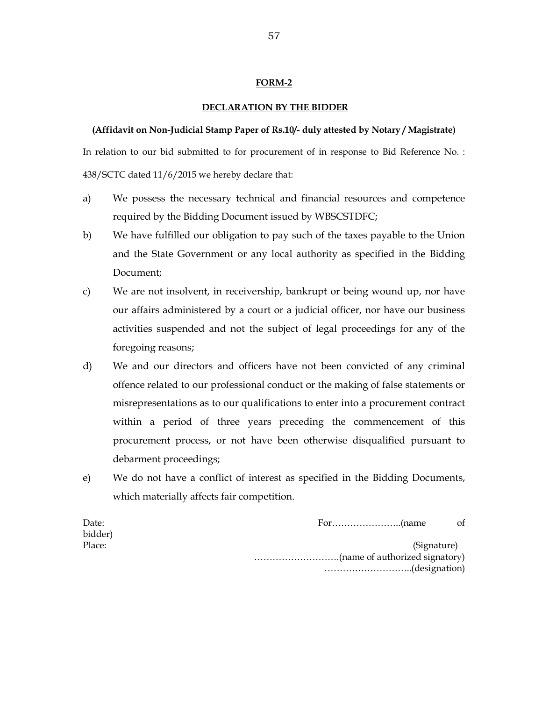#### **DECLARATION BY THE BIDDER**

#### **(Affidavit on Non-Judicial Stamp Paper of Rs.10/- duly attested by Notary / Magistrate)**

In relation to our bid submitted to for procurement of in response to Bid Reference No. : 438/SCTC dated 11/6/2015 we hereby declare that:

- a) We possess the necessary technical and financial resources and competence required by the Bidding Document issued by WBSCSTDFC;
- b) We have fulfilled our obligation to pay such of the taxes payable to the Union and the State Government or any local authority as specified in the Bidding Document;
- c) We are not insolvent, in receivership, bankrupt or being wound up, nor have our affairs administered by a court or a judicial officer, nor have our business activities suspended and not the subject of legal proceedings for any of the foregoing reasons;
- d) We and our directors and officers have not been convicted of any criminal offence related to our professional conduct or the making of false statements or misrepresentations as to our qualifications to enter into a procurement contract within a period of three years preceding the commencement of this procurement process, or not have been otherwise disqualified pursuant to debarment proceedings;
- e) We do not have a conflict of interest as specified in the Bidding Documents, which materially affects fair competition.

| Date:   |             | of |
|---------|-------------|----|
| bidder) |             |    |
| Place:  | (Signature) |    |
|         |             |    |
|         |             |    |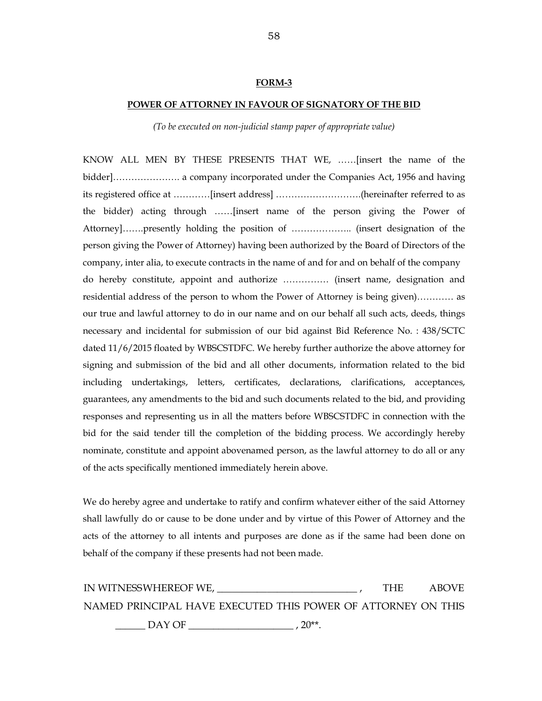#### **POWER OF ATTORNEY IN FAVOUR OF SIGNATORY OF THE BID**

*(To be executed on non-judicial stamp paper of appropriate value)* 

KNOW ALL MEN BY THESE PRESENTS THAT WE, ……[insert the name of the bidder]…………………. a company incorporated under the Companies Act, 1956 and having its registered office at …………[insert address] ……………………….(hereinafter referred to as the bidder) acting through ……[insert name of the person giving the Power of Attorney]…….presently holding the position of ……………….. (insert designation of the person giving the Power of Attorney) having been authorized by the Board of Directors of the company, inter alia, to execute contracts in the name of and for and on behalf of the company do hereby constitute, appoint and authorize …………… (insert name, designation and residential address of the person to whom the Power of Attorney is being given)………… as our true and lawful attorney to do in our name and on our behalf all such acts, deeds, things necessary and incidental for submission of our bid against Bid Reference No. : 438/SCTC dated 11/6/2015 floated by WBSCSTDFC. We hereby further authorize the above attorney for signing and submission of the bid and all other documents, information related to the bid including undertakings, letters, certificates, declarations, clarifications, acceptances, guarantees, any amendments to the bid and such documents related to the bid, and providing responses and representing us in all the matters before WBSCSTDFC in connection with the bid for the said tender till the completion of the bidding process. We accordingly hereby nominate, constitute and appoint abovenamed person, as the lawful attorney to do all or any of the acts specifically mentioned immediately herein above.

We do hereby agree and undertake to ratify and confirm whatever either of the said Attorney shall lawfully do or cause to be done under and by virtue of this Power of Attorney and the acts of the attorney to all intents and purposes are done as if the same had been done on behalf of the company if these presents had not been made.

IN WITNESS WHEREOF WE, \_\_\_\_\_\_\_\_\_\_\_\_\_\_\_\_\_\_\_\_\_\_\_\_\_\_\_\_ , THE ABOVE NAMED PRINCIPAL HAVE EXECUTED THIS POWER OF ATTORNEY ON THIS \_\_\_\_\_\_ DAY OF \_\_\_\_\_\_\_\_\_\_\_\_\_\_\_\_\_\_\_\_\_ , 20\*\*.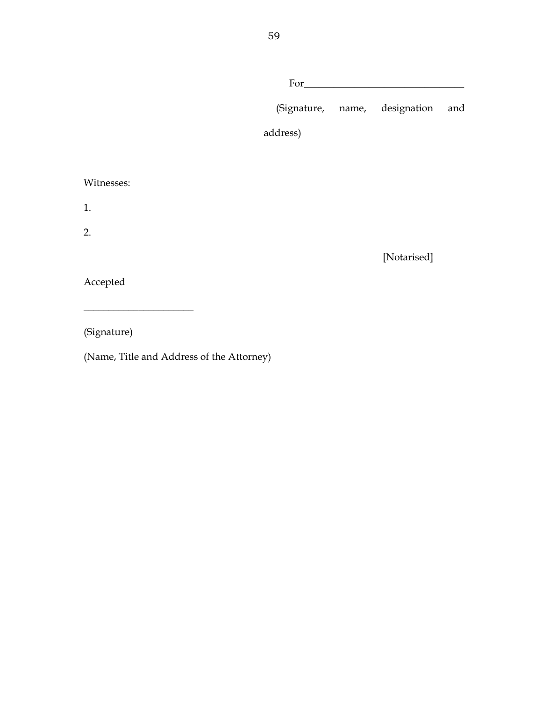|            |          | $For \_\_$                    |     |
|------------|----------|-------------------------------|-----|
|            |          | (Signature, name, designation | and |
|            | address) |                               |     |
|            |          |                               |     |
| Witnesses: |          |                               |     |
| 1.         |          |                               |     |
| 2.         |          |                               |     |
|            |          | [Notarised]                   |     |
| Accepted   |          |                               |     |
|            |          |                               |     |

(Signature)

(Name, Title and Address of the Attorney)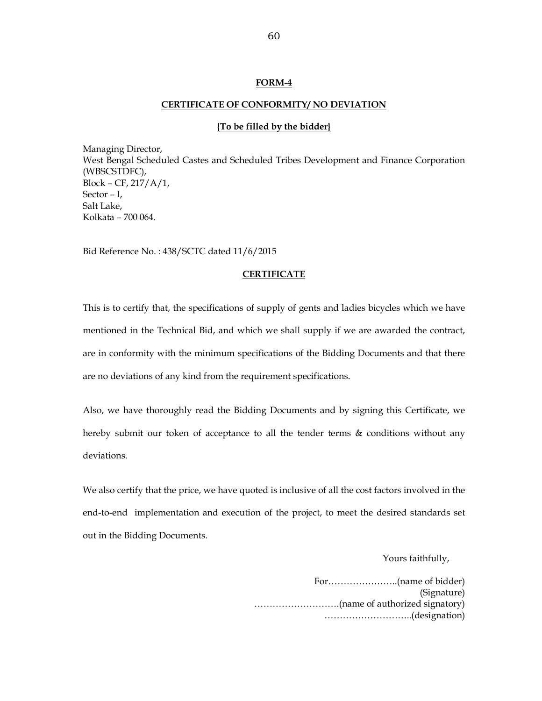#### **CERTIFICATE OF CONFORMITY/ NO DEVIATION**

#### **{To be filled by the bidder}**

Managing Director, West Bengal Scheduled Castes and Scheduled Tribes Development and Finance Corporation (WBSCSTDFC), Block – CF, 217/A/1, Sector – I, Salt Lake, Kolkata – 700 064.

Bid Reference No. : 438/SCTC dated 11/6/2015

#### **CERTIFICATE**

This is to certify that, the specifications of supply of gents and ladies bicycles which we have mentioned in the Technical Bid, and which we shall supply if we are awarded the contract, are in conformity with the minimum specifications of the Bidding Documents and that there are no deviations of any kind from the requirement specifications.

Also, we have thoroughly read the Bidding Documents and by signing this Certificate, we hereby submit our token of acceptance to all the tender terms & conditions without any deviations.

We also certify that the price, we have quoted is inclusive of all the cost factors involved in the end-to-end implementation and execution of the project, to meet the desired standards set out in the Bidding Documents.

Yours faithfully,

For…………………..(name of bidder) (Signature) ……………………….(name of authorized signatory) ………………………..(designation)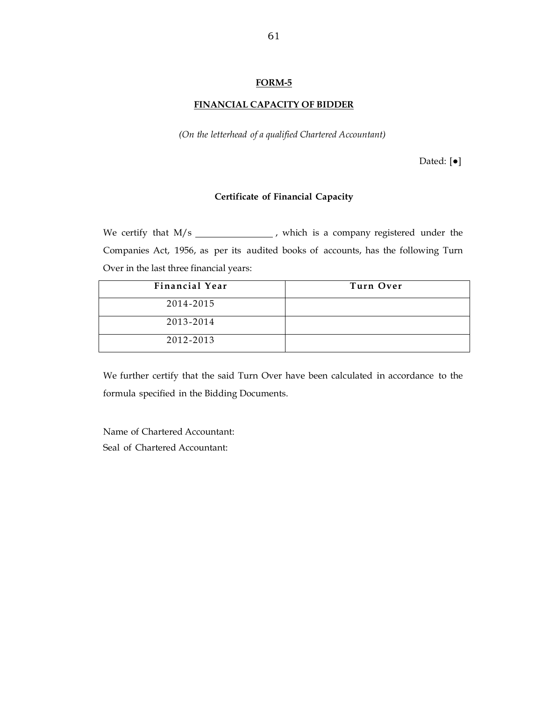#### **FINANCIAL CAPACITY OF BIDDER**

*(On the letterhead of a qualified Chartered Accountant)*

Dated: [●]

#### **Certificate of Financial Capacity**

We certify that  $M/s$   $\qquad \qquad$  , which is a company registered under the Companies Act, 1956, as per its audited books of accounts, has the following Turn Over in the last three financial years:

| <b>Financial Year</b> | Turn Over |
|-----------------------|-----------|
| 2014-2015             |           |
| 2013-2014             |           |
| 2012-2013             |           |

We further certify that the said Turn Over have been calculated in accordance to the formula specified in the Bidding Documents.

Name of Chartered Accountant: Seal of Chartered Accountant: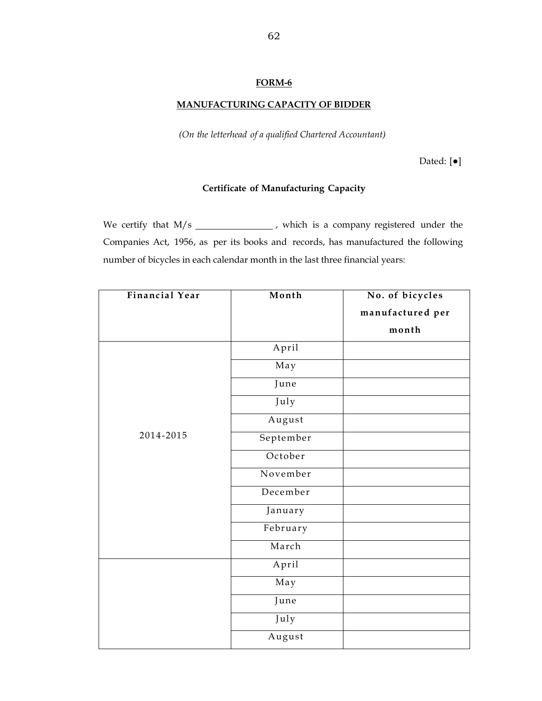## **MANUFACTURING CAPACITY OF BIDDER**

*(On the letterhead of a qualified Chartered Accountant)*

Dated: [●]

#### **Certificate of Manufacturing Capacity**

We certify that  $M/s$   $\qquad \qquad$  , which is a company registered under the Companies Act, 1956, as per its books and records, has manufactured the following number of bicycles in each calendar month in the last three financial years:

| <b>Financial Year</b> | Month     | No. of bicycles  |
|-----------------------|-----------|------------------|
|                       |           | manufactured per |
|                       |           | month            |
|                       | April     |                  |
|                       | May       |                  |
|                       | June      |                  |
|                       | July      |                  |
|                       | August    |                  |
| 2014-2015             | September |                  |
|                       | October   |                  |
|                       | November  |                  |
|                       | December  |                  |
|                       | January   |                  |
|                       | February  |                  |
|                       | March     |                  |
|                       | April     |                  |
|                       | May       |                  |
|                       | June      |                  |
|                       | July      |                  |
|                       | August    |                  |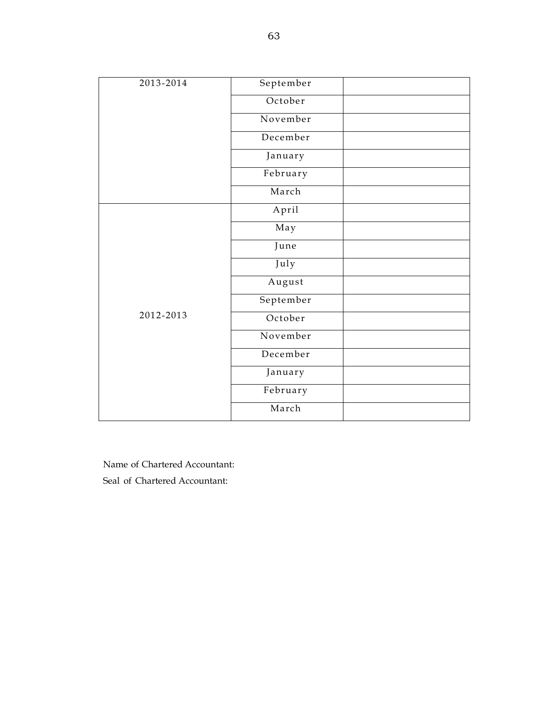| 2013-2014 | September |  |
|-----------|-----------|--|
|           | October   |  |
|           | November  |  |
|           | December  |  |
|           | January   |  |
|           | February  |  |
|           | March     |  |
|           | April     |  |
|           | May       |  |
|           | June      |  |
|           | July      |  |
|           | August    |  |
|           | September |  |
| 2012-2013 | October   |  |
|           | November  |  |
|           | December  |  |
|           | January   |  |
|           | February  |  |
|           | March     |  |

Name of Chartered Accountant: Seal of Chartered Accountant: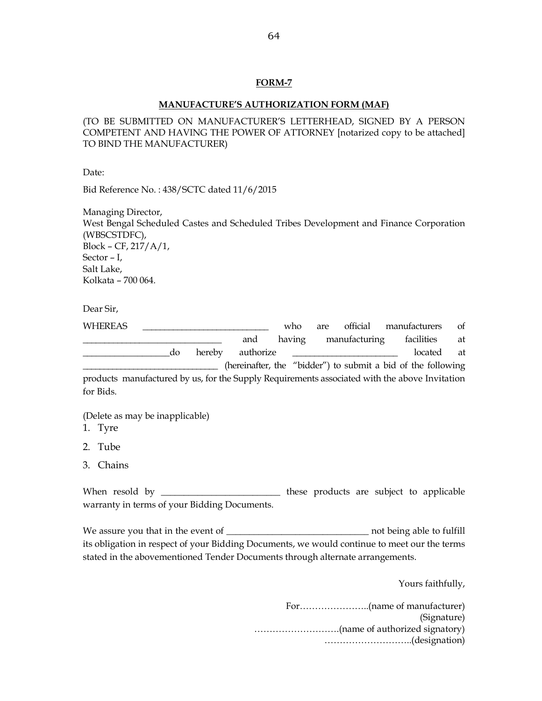#### **MANUFACTURE'S AUTHORIZATION FORM (MAF)**

(TO BE SUBMITTED ON MANUFACTURER'S LETTERHEAD, SIGNED BY A PERSON COMPETENT AND HAVING THE POWER OF ATTORNEY [notarized copy to be attached] TO BIND THE MANUFACTURER)

Date:

Bid Reference No. : 438/SCTC dated 11/6/2015

Managing Director, West Bengal Scheduled Castes and Scheduled Tribes Development and Finance Corporation (WBSCSTDFC), Block – CF, 217/A/1, Sector – I, Salt Lake, Kolkata – 700 064.

Dear Sir,

| WHEREAS   |    |        |           | who    | are |               | official manufacturers                                                                        | of |
|-----------|----|--------|-----------|--------|-----|---------------|-----------------------------------------------------------------------------------------------|----|
|           |    |        | and       | having |     | manufacturing | facilities                                                                                    | at |
|           | do | hereby | authorize |        |     |               | located                                                                                       | at |
|           |    |        |           |        |     |               | (hereinafter, the "bidder") to submit a bid of the following                                  |    |
|           |    |        |           |        |     |               | products manufactured by us, for the Supply Requirements associated with the above Invitation |    |
| for Bids. |    |        |           |        |     |               |                                                                                               |    |

(Delete as may be inapplicable)

- 1. Tyre
- 2. Tube
- 3. Chains

When resold by \_\_\_\_\_\_\_\_\_\_\_\_\_\_\_\_\_\_\_\_\_\_\_\_\_\_\_\_\_ these products are subject to applicable warranty in terms of your Bidding Documents.

We assure you that in the event of \_\_\_\_\_\_\_\_\_\_\_\_\_\_\_\_\_\_\_\_\_\_\_\_\_\_\_\_\_\_\_ not being able to fulfill its obligation in respect of your Bidding Documents, we would continue to meet our the terms stated in the abovementioned Tender Documents through alternate arrangements.

Yours faithfully,

For…………………..(name of manufacturer) (Signature) ……………………….(name of authorized signatory) ………………………..(designation)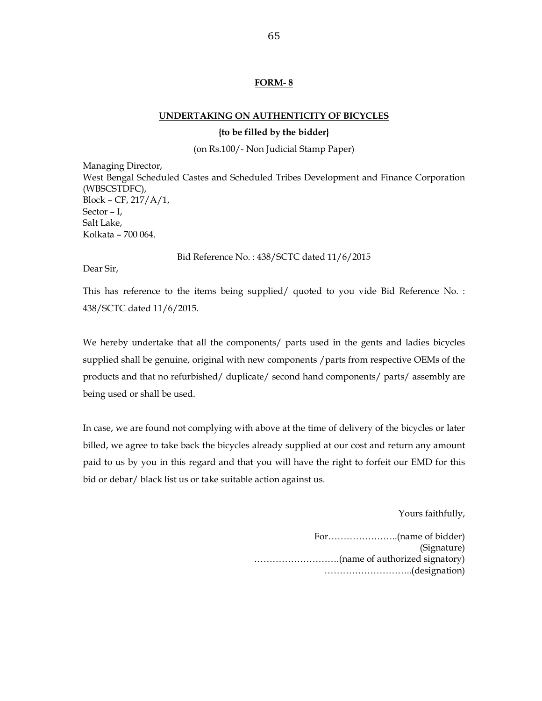#### **UNDERTAKING ON AUTHENTICITY OF BICYCLES**

#### **{to be filled by the bidder}**

(on Rs.100/- Non Judicial Stamp Paper)

Managing Director, West Bengal Scheduled Castes and Scheduled Tribes Development and Finance Corporation (WBSCSTDFC), Block – CF, 217/A/1, Sector – I, Salt Lake, Kolkata – 700 064.

Bid Reference No. : 438/SCTC dated 11/6/2015

Dear Sir,

This has reference to the items being supplied/ quoted to you vide Bid Reference No. : 438/SCTC dated 11/6/2015.

We hereby undertake that all the components/ parts used in the gents and ladies bicycles supplied shall be genuine, original with new components / parts from respective OEMs of the products and that no refurbished/ duplicate/ second hand components/ parts/ assembly are being used or shall be used.

In case, we are found not complying with above at the time of delivery of the bicycles or later billed, we agree to take back the bicycles already supplied at our cost and return any amount paid to us by you in this regard and that you will have the right to forfeit our EMD for this bid or debar/ black list us or take suitable action against us.

Yours faithfully,

For…………………..(name of bidder) (Signature) ……………………….(name of authorized signatory) ………………………..(designation)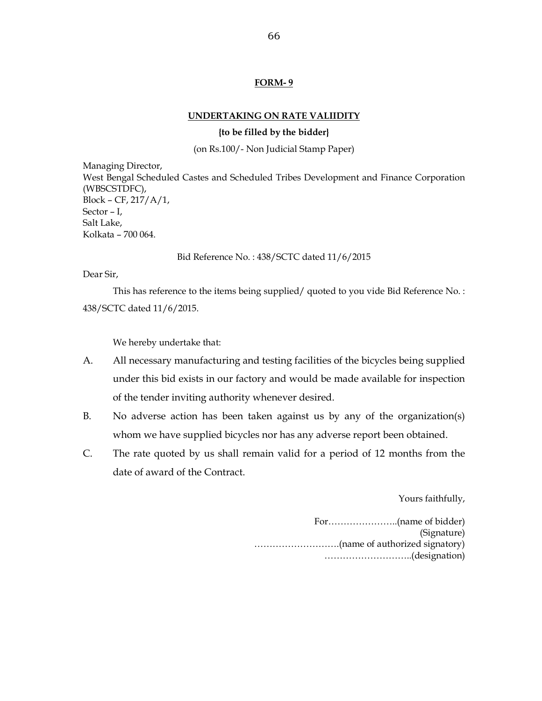#### **UNDERTAKING ON RATE VALIIDITY**

#### **{to be filled by the bidder}**

(on Rs.100/- Non Judicial Stamp Paper)

Managing Director, West Bengal Scheduled Castes and Scheduled Tribes Development and Finance Corporation (WBSCSTDFC), Block – CF, 217/A/1, Sector – I, Salt Lake, Kolkata – 700 064.

Bid Reference No. : 438/SCTC dated 11/6/2015

Dear Sir,

This has reference to the items being supplied/ quoted to you vide Bid Reference No. : 438/SCTC dated 11/6/2015.

We hereby undertake that:

- A. All necessary manufacturing and testing facilities of the bicycles being supplied under this bid exists in our factory and would be made available for inspection of the tender inviting authority whenever desired.
- B. No adverse action has been taken against us by any of the organization(s) whom we have supplied bicycles nor has any adverse report been obtained.
- C. The rate quoted by us shall remain valid for a period of 12 months from the date of award of the Contract.

Yours faithfully,

For…………………..(name of bidder) (Signature) ……………………….(name of authorized signatory) ………………………..(designation)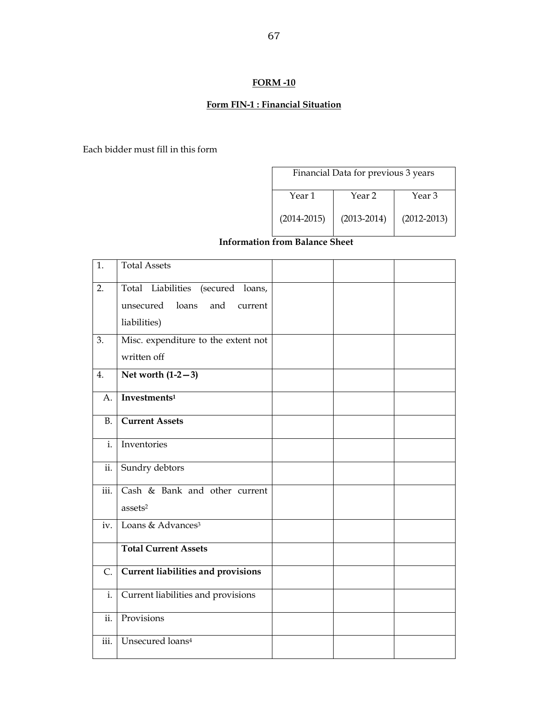## **Form FIN-1 : Financial Situation**

Each bidder must fill in this form

| Financial Data for previous 3 years   |                 |                 |  |  |  |
|---------------------------------------|-----------------|-----------------|--|--|--|
| Year 1<br>Year <sub>2</sub><br>Year 3 |                 |                 |  |  |  |
| $(2014 - 2015)$                       | $(2013 - 2014)$ | $(2012 - 2013)$ |  |  |  |

## **Information from Balance Sheet**

| 1.             | <b>Total Assets</b>                                                                          |  |  |
|----------------|----------------------------------------------------------------------------------------------|--|--|
| 2.             | Total Liabilities<br>(secured loans,<br>loans<br>and<br>unsecured<br>current<br>liabilities) |  |  |
| 3.             | Misc. expenditure to the extent not<br>written off                                           |  |  |
| 4.             | Net worth $(1-2-3)$                                                                          |  |  |
| A.             | Investments <sup>1</sup>                                                                     |  |  |
| <b>B.</b>      | <b>Current Assets</b>                                                                        |  |  |
| $\mathbf{i}$ . | Inventories                                                                                  |  |  |
| ii.            | Sundry debtors                                                                               |  |  |
| iii.           | Cash & Bank and other current<br>assets <sup>2</sup>                                         |  |  |
| iv.            | Loans & Advances <sup>3</sup>                                                                |  |  |
|                | <b>Total Current Assets</b>                                                                  |  |  |
| $\mathsf{C}$ . | Current liabilities and provisions                                                           |  |  |
| i.             | Current liabilities and provisions                                                           |  |  |
| ii.            | Provisions                                                                                   |  |  |
| iii.           | Unsecured loans <sup>4</sup>                                                                 |  |  |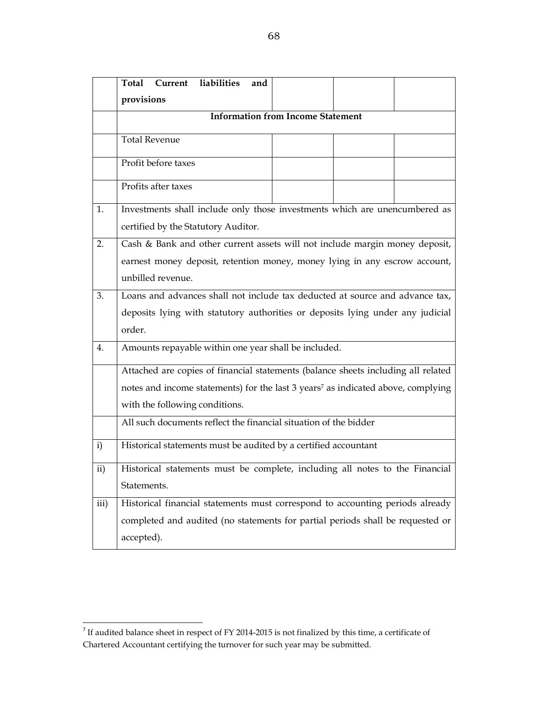|      | Current<br>liabilities<br>Total<br>and                                                       |  |  |  |  |  |  |
|------|----------------------------------------------------------------------------------------------|--|--|--|--|--|--|
|      | provisions                                                                                   |  |  |  |  |  |  |
|      | <b>Information from Income Statement</b>                                                     |  |  |  |  |  |  |
|      | <b>Total Revenue</b>                                                                         |  |  |  |  |  |  |
|      | Profit before taxes                                                                          |  |  |  |  |  |  |
|      | Profits after taxes                                                                          |  |  |  |  |  |  |
| 1.   | Investments shall include only those investments which are unencumbered as                   |  |  |  |  |  |  |
|      | certified by the Statutory Auditor.                                                          |  |  |  |  |  |  |
| 2.   | Cash & Bank and other current assets will not include margin money deposit,                  |  |  |  |  |  |  |
|      | earnest money deposit, retention money, money lying in any escrow account,                   |  |  |  |  |  |  |
|      | unbilled revenue.                                                                            |  |  |  |  |  |  |
| 3.   | Loans and advances shall not include tax deducted at source and advance tax,                 |  |  |  |  |  |  |
|      | deposits lying with statutory authorities or deposits lying under any judicial               |  |  |  |  |  |  |
|      | order.                                                                                       |  |  |  |  |  |  |
| 4.   | Amounts repayable within one year shall be included.                                         |  |  |  |  |  |  |
|      | Attached are copies of financial statements (balance sheets including all related            |  |  |  |  |  |  |
|      | notes and income statements) for the last 3 years <sup>7</sup> as indicated above, complying |  |  |  |  |  |  |
|      | with the following conditions.                                                               |  |  |  |  |  |  |
|      | All such documents reflect the financial situation of the bidder                             |  |  |  |  |  |  |
| i)   | Historical statements must be audited by a certified accountant                              |  |  |  |  |  |  |
| ii)  | Historical statements must be complete, including all notes to the Financial                 |  |  |  |  |  |  |
|      | Statements.                                                                                  |  |  |  |  |  |  |
| iii) | Historical financial statements must correspond to accounting periods already                |  |  |  |  |  |  |
|      | completed and audited (no statements for partial periods shall be requested or               |  |  |  |  |  |  |
|      | accepted).                                                                                   |  |  |  |  |  |  |

<sup>&</sup>lt;sup>7</sup> If audited balance sheet in respect of FY 2014-2015 is not finalized by this time, a certificate of Chartered Accountant certifying the turnover for such year may be submitted.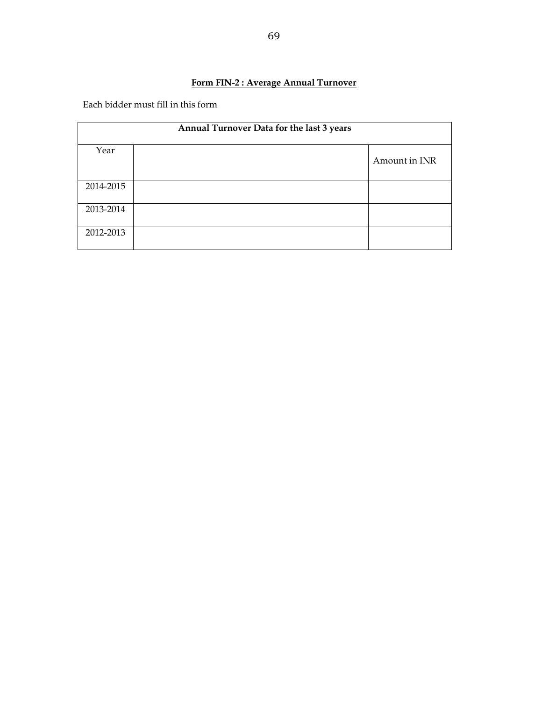## **Form FIN-2 : Average Annual Turnover**

Each bidder must fill in this form

| Annual Turnover Data for the last 3 years |  |               |
|-------------------------------------------|--|---------------|
| Year                                      |  | Amount in INR |
| 2014-2015                                 |  |               |
| 2013-2014                                 |  |               |
| 2012-2013                                 |  |               |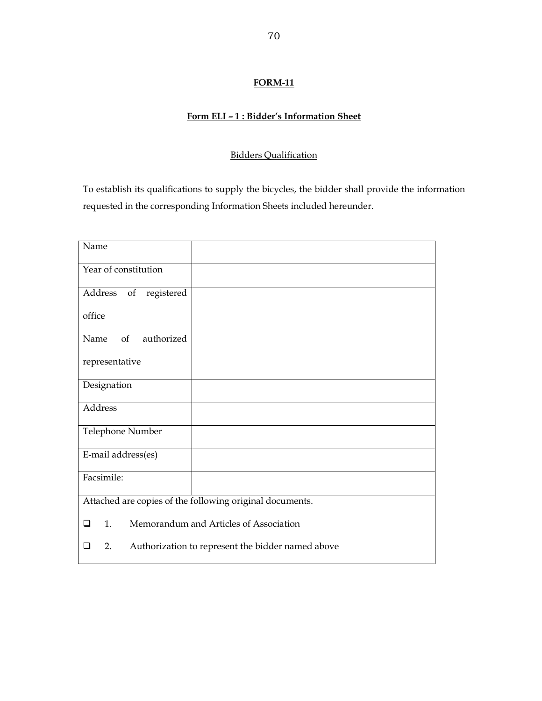## **Form ELI – 1 : Bidder's Information Sheet**

## Bidders Qualification

To establish its qualifications to supply the bicycles, the bidder shall provide the information requested in the corresponding Information Sheets included hereunder.

| Name                                                         |  |  |
|--------------------------------------------------------------|--|--|
| Year of constitution                                         |  |  |
| Address of<br>registered                                     |  |  |
| office                                                       |  |  |
| authorized<br>of<br>Name                                     |  |  |
| representative                                               |  |  |
| Designation                                                  |  |  |
| Address                                                      |  |  |
| Telephone Number                                             |  |  |
| E-mail address(es)                                           |  |  |
| Facsimile:                                                   |  |  |
| Attached are copies of the following original documents.     |  |  |
| Memorandum and Articles of Association<br>1.<br>❏            |  |  |
| Authorization to represent the bidder named above<br>2.<br>□ |  |  |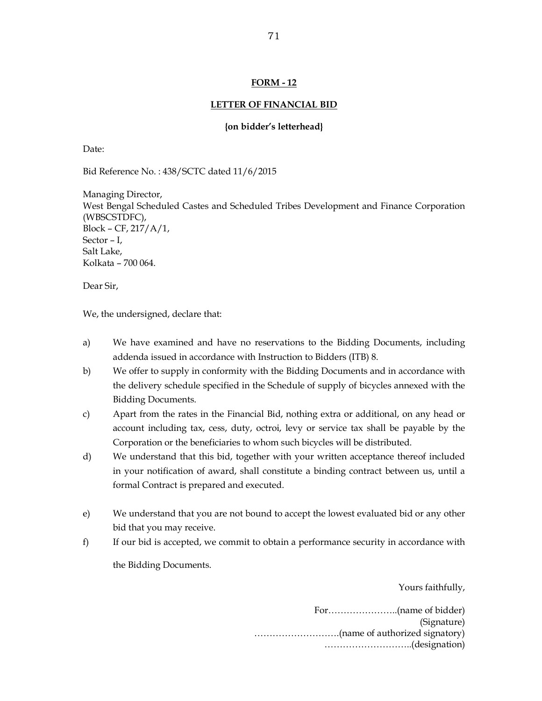#### **LETTER OF FINANCIAL BID**

#### **{on bidder's letterhead}**

Date:

Bid Reference No. : 438/SCTC dated 11/6/2015

Managing Director, West Bengal Scheduled Castes and Scheduled Tribes Development and Finance Corporation (WBSCSTDFC), Block – CF, 217/A/1, Sector – I, Salt Lake, Kolkata – 700 064.

Dear Sir,

We, the undersigned, declare that:

- a) We have examined and have no reservations to the Bidding Documents, including addenda issued in accordance with Instruction to Bidders (ITB) 8.
- b) We offer to supply in conformity with the Bidding Documents and in accordance with the delivery schedule specified in the Schedule of supply of bicycles annexed with the Bidding Documents.
- c) Apart from the rates in the Financial Bid, nothing extra or additional, on any head or account including tax, cess, duty, octroi, levy or service tax shall be payable by the Corporation or the beneficiaries to whom such bicycles will be distributed.
- d) We understand that this bid, together with your written acceptance thereof included in your notification of award, shall constitute a binding contract between us, until a formal Contract is prepared and executed.
- e) We understand that you are not bound to accept the lowest evaluated bid or any other bid that you may receive.
- f) If our bid is accepted, we commit to obtain a performance security in accordance with the Bidding Documents.

Yours faithfully,

For…………………..(name of bidder) (Signature) ……………………….(name of authorized signatory) ………………………..(designation)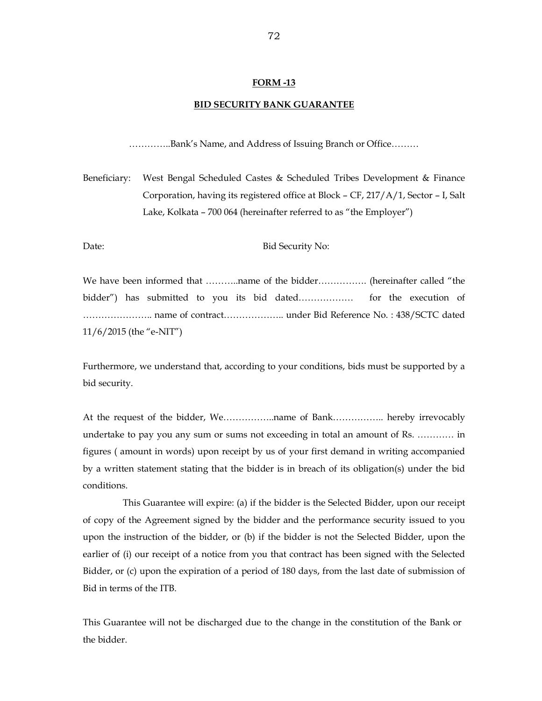#### **BID SECURITY BANK GUARANTEE**

…………..Bank's Name, and Address of Issuing Branch or Office………

Beneficiary: West Bengal Scheduled Castes & Scheduled Tribes Development & Finance Corporation, having its registered office at Block – CF, 217/A/1, Sector – I, Salt Lake, Kolkata – 700 064 (hereinafter referred to as "the Employer")

Date: Bid Security No:

We have been informed that ………..name of the bidder……………. (hereinafter called "the bidder") has submitted to you its bid dated……………… for the execution of ………………….. name of contract……………….. under Bid Reference No. : 438/SCTC dated 11/6/2015 (the "e-NIT")

Furthermore, we understand that, according to your conditions, bids must be supported by a bid security.

At the request of the bidder, We……………..name of Bank…………….. hereby irrevocably undertake to pay you any sum or sums not exceeding in total an amount of Rs. ………… in figures ( amount in words) upon receipt by us of your first demand in writing accompanied by a written statement stating that the bidder is in breach of its obligation(s) under the bid conditions.

 This Guarantee will expire: (a) if the bidder is the Selected Bidder, upon our receipt of copy of the Agreement signed by the bidder and the performance security issued to you upon the instruction of the bidder, or (b) if the bidder is not the Selected Bidder, upon the earlier of (i) our receipt of a notice from you that contract has been signed with the Selected Bidder, or (c) upon the expiration of a period of 180 days, from the last date of submission of Bid in terms of the ITB.

This Guarantee will not be discharged due to the change in the constitution of the Bank or the bidder.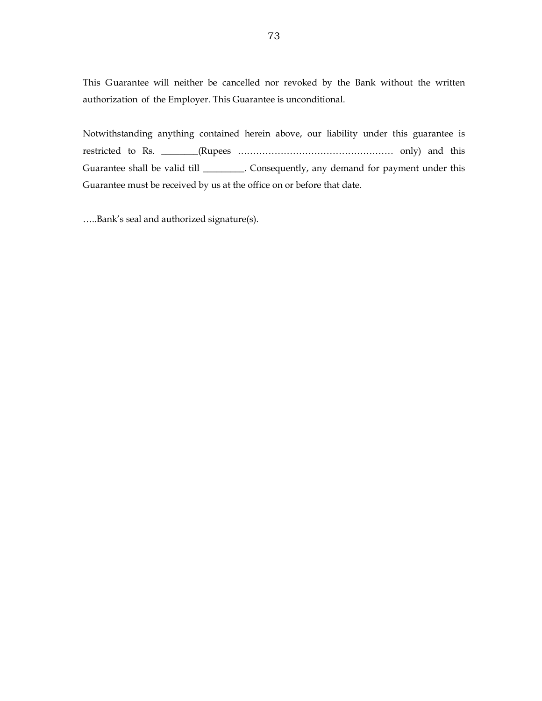This Guarantee will neither be cancelled nor revoked by the Bank without the written authorization of the Employer. This Guarantee is unconditional.

Notwithstanding anything contained herein above, our liability under this guarantee is restricted to Rs. \_\_\_\_\_\_\_\_(Rupees …………………………………………… only) and this Guarantee shall be valid till \_\_\_\_\_\_\_\_\_. Consequently, any demand for payment under this Guarantee must be received by us at the office on or before that date.

…..Bank's seal and authorized signature(s).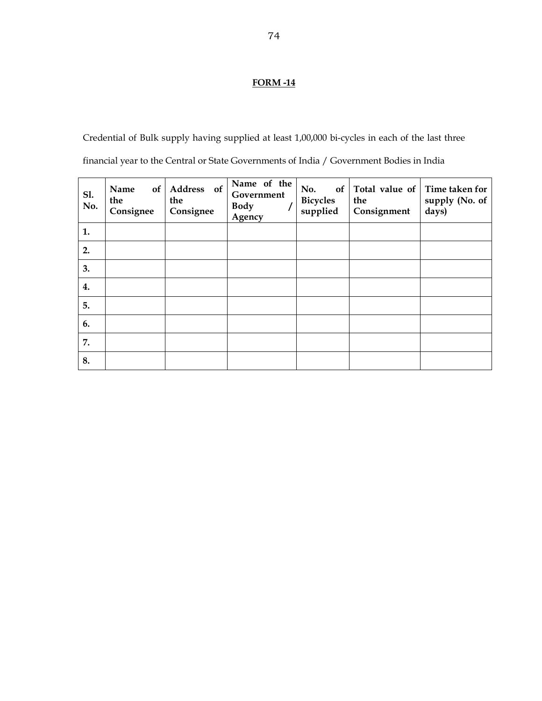# **FORM -14**

Credential of Bulk supply having supplied at least 1,00,000 bi-cycles in each of the last three financial year to the Central or State Governments of India / Government Bodies in India

| S1.<br>No. | Name<br>of<br>the<br>Consignee | Address of<br>the<br>Consignee | Name of the<br>Government<br><b>Body</b><br>Agency | No.<br><b>Bicycles</b><br>supplied | of Total value of<br>the<br>Consignment | Time taken for<br>supply (No. of<br>days) |
|------------|--------------------------------|--------------------------------|----------------------------------------------------|------------------------------------|-----------------------------------------|-------------------------------------------|
| 1.         |                                |                                |                                                    |                                    |                                         |                                           |
| 2.         |                                |                                |                                                    |                                    |                                         |                                           |
| 3.         |                                |                                |                                                    |                                    |                                         |                                           |
| 4.         |                                |                                |                                                    |                                    |                                         |                                           |
| 5.         |                                |                                |                                                    |                                    |                                         |                                           |
| 6.         |                                |                                |                                                    |                                    |                                         |                                           |
| 7.         |                                |                                |                                                    |                                    |                                         |                                           |
| 8.         |                                |                                |                                                    |                                    |                                         |                                           |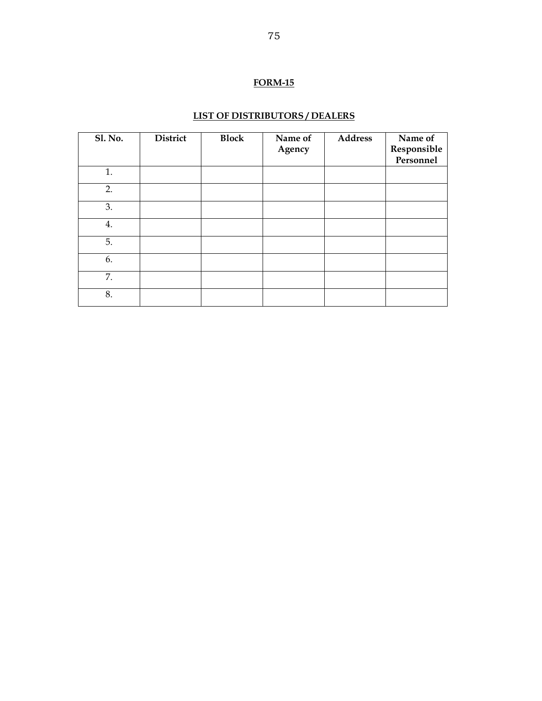# **FORM-15**

# **LIST OF DISTRIBUTORS / DEALERS**

| <b>Sl. No.</b> | District | <b>Block</b> | Name of<br>Agency | <b>Address</b> | Name of<br>Responsible<br>Personnel |
|----------------|----------|--------------|-------------------|----------------|-------------------------------------|
| 1.             |          |              |                   |                |                                     |
| 2.             |          |              |                   |                |                                     |
| 3.             |          |              |                   |                |                                     |
| 4.             |          |              |                   |                |                                     |
| 5.             |          |              |                   |                |                                     |
| 6.             |          |              |                   |                |                                     |
| 7.             |          |              |                   |                |                                     |
| 8.             |          |              |                   |                |                                     |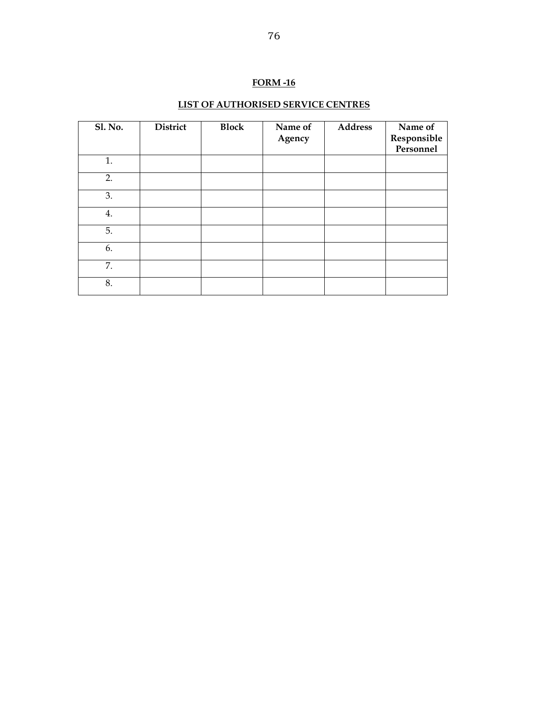# **FORM -16**

# **LIST OF AUTHORISED SERVICE CENTRES**

| <b>Sl. No.</b> | District | <b>Block</b> | Name of<br>Agency | <b>Address</b> | Name of<br>Responsible<br>Personnel |
|----------------|----------|--------------|-------------------|----------------|-------------------------------------|
| 1.             |          |              |                   |                |                                     |
| 2.             |          |              |                   |                |                                     |
| 3.             |          |              |                   |                |                                     |
| 4.             |          |              |                   |                |                                     |
| 5.             |          |              |                   |                |                                     |
| 6.             |          |              |                   |                |                                     |
| 7.             |          |              |                   |                |                                     |
| 8.             |          |              |                   |                |                                     |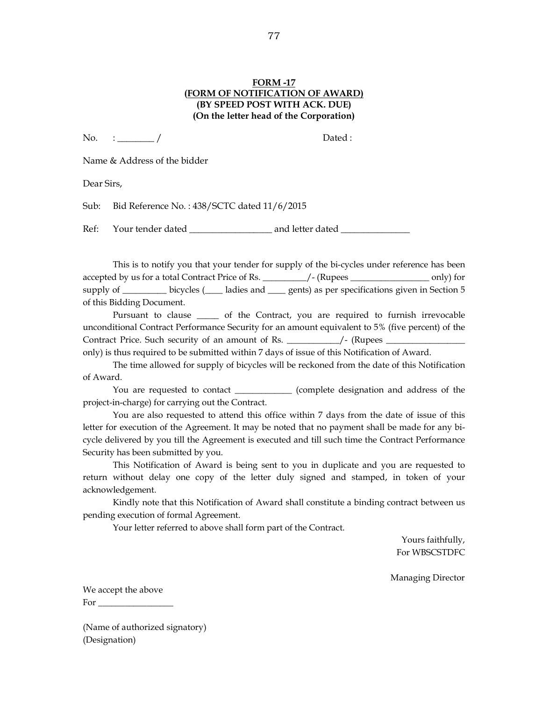#### **FORM -17 (FORM OF NOTIFICATION OF AWARD) (BY SPEED POST WITH ACK. DUE) (On the letter head of the Corporation)**

 $\text{No.} \quad : \underline{\hspace{1cm}} / \underline{\hspace{1cm}}$  Dated :

Name & Address of the bidder

Dear Sirs,

Sub: Bid Reference No. : 438/SCTC dated 11/6/2015

Ref: Your tender dated \_\_\_\_\_\_\_\_\_\_\_\_\_\_\_\_\_\_\_\_\_ and letter dated \_\_\_\_\_\_\_\_\_\_\_\_\_\_\_\_\_\_

This is to notify you that your tender for supply of the bi-cycles under reference has been accepted by us for a total Contract Price of Rs. \_\_\_\_\_\_\_/- (Rupees \_\_\_\_\_\_\_\_\_\_\_\_\_\_\_\_\_\_\_ only) for supply of bicycles ( $\Box$  ladies and  $\Box$  gents) as per specifications given in Section 5 of this Bidding Document.

 Pursuant to clause \_\_\_\_\_ of the Contract, you are required to furnish irrevocable unconditional Contract Performance Security for an amount equivalent to 5% (five percent) of the Contract Price. Such security of an amount of Rs. \_\_\_\_\_\_\_\_\_\_\_\_\_\_\_\_/- (Rupees \_\_\_\_\_\_\_\_\_\_

only) is thus required to be submitted within 7 days of issue of this Notification of Award.

 The time allowed for supply of bicycles will be reckoned from the date of this Notification of Award.

You are requested to contact \_\_\_\_\_\_\_\_\_\_\_\_\_ (complete designation and address of the project-in-charge) for carrying out the Contract.

 You are also requested to attend this office within 7 days from the date of issue of this letter for execution of the Agreement. It may be noted that no payment shall be made for any bicycle delivered by you till the Agreement is executed and till such time the Contract Performance Security has been submitted by you.

 This Notification of Award is being sent to you in duplicate and you are requested to return without delay one copy of the letter duly signed and stamped, in token of your acknowledgement.

 Kindly note that this Notification of Award shall constitute a binding contract between us pending execution of formal Agreement.

Your letter referred to above shall form part of the Contract.

Yours faithfully, For WBSCSTDFC

Managing Director

We accept the above For  $\Box$ 

(Name of authorized signatory) (Designation)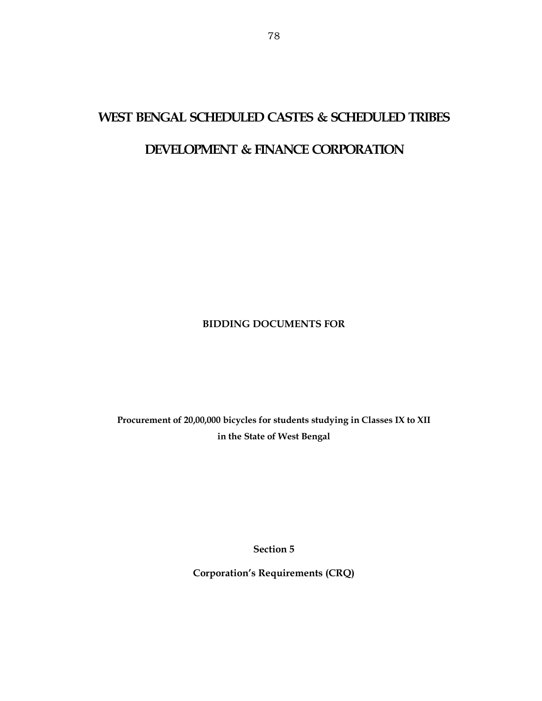# **WEST BENGAL SCHEDULED CASTES & SCHEDULED TRIBES**

# **DEVELOPMENT & FINANCE CORPORATION**

# **BIDDING DOCUMENTS FOR**

**Procurement of 20,00,000 bicycles for students studying in Classes IX to XII in the State of West Bengal** 

**Section 5** 

**Corporation's Requirements (CRQ)**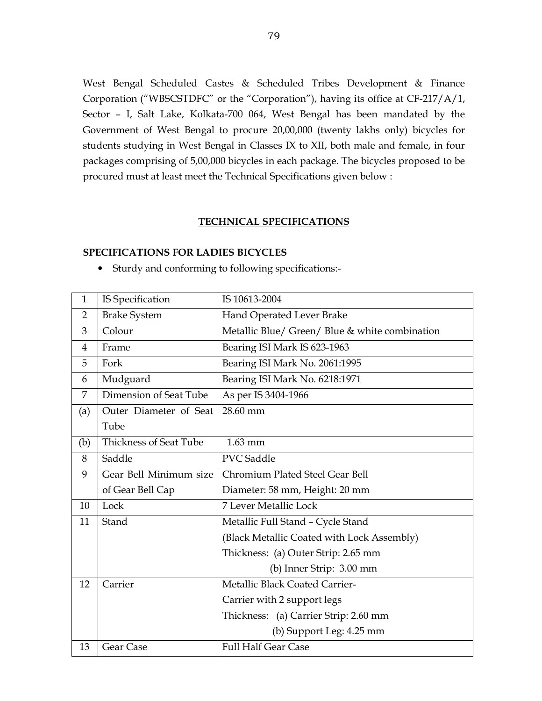West Bengal Scheduled Castes & Scheduled Tribes Development & Finance Corporation ("WBSCSTDFC" or the "Corporation"), having its office at CF-217/A/1, Sector – I, Salt Lake, Kolkata-700 064, West Bengal has been mandated by the Government of West Bengal to procure 20,00,000 (twenty lakhs only) bicycles for students studying in West Bengal in Classes IX to XII, both male and female, in four packages comprising of 5,00,000 bicycles in each package. The bicycles proposed to be procured must at least meet the Technical Specifications given below :

#### **TECHNICAL SPECIFICATIONS**

#### **SPECIFICATIONS FOR LADIES BICYCLES**

• Sturdy and conforming to following specifications:-

| $\mathbf{1}$   | IS Specification            | IS 10613-2004                                  |  |  |  |  |
|----------------|-----------------------------|------------------------------------------------|--|--|--|--|
| $\overline{2}$ | <b>Brake System</b>         | Hand Operated Lever Brake                      |  |  |  |  |
| 3              | Colour                      | Metallic Blue/ Green/ Blue & white combination |  |  |  |  |
| 4              | Frame                       | Bearing ISI Mark IS 623-1963                   |  |  |  |  |
| 5              | Fork                        | Bearing ISI Mark No. 2061:1995                 |  |  |  |  |
| 6              | Mudguard                    | Bearing ISI Mark No. 6218:1971                 |  |  |  |  |
| 7              | Dimension of Seat Tube      | As per IS 3404-1966                            |  |  |  |  |
| (a)            | Outer Diameter of Seat      | 28.60 mm                                       |  |  |  |  |
|                | Tube                        |                                                |  |  |  |  |
| (b)            | Thickness of Seat Tube      | $1.63$ mm                                      |  |  |  |  |
| 8              | Saddle<br><b>PVC</b> Saddle |                                                |  |  |  |  |
| 9              | Gear Bell Minimum size      | Chromium Plated Steel Gear Bell                |  |  |  |  |
|                | of Gear Bell Cap            | Diameter: 58 mm, Height: 20 mm                 |  |  |  |  |
| 10             | Lock                        | <b>7 Lever Metallic Lock</b>                   |  |  |  |  |
| 11             | Stand                       | Metallic Full Stand - Cycle Stand              |  |  |  |  |
|                |                             | (Black Metallic Coated with Lock Assembly)     |  |  |  |  |
|                |                             | Thickness: (a) Outer Strip: 2.65 mm            |  |  |  |  |
|                |                             | (b) Inner Strip: 3.00 mm                       |  |  |  |  |
| 12             | Carrier                     | Metallic Black Coated Carrier-                 |  |  |  |  |
|                |                             | Carrier with 2 support legs                    |  |  |  |  |
|                |                             | Thickness: (a) Carrier Strip: 2.60 mm          |  |  |  |  |
|                |                             | (b) Support Leg: 4.25 mm                       |  |  |  |  |
| 13             | Gear Case                   | <b>Full Half Gear Case</b>                     |  |  |  |  |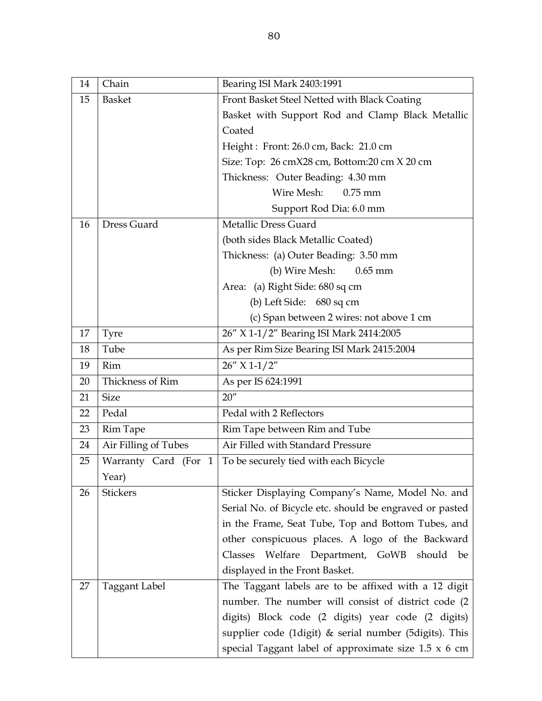| 14 | Chain                | Bearing ISI Mark 2403:1991                                  |
|----|----------------------|-------------------------------------------------------------|
| 15 | <b>Basket</b>        | Front Basket Steel Netted with Black Coating                |
|    |                      | Basket with Support Rod and Clamp Black Metallic            |
|    |                      | Coated                                                      |
|    |                      | Height: Front: 26.0 cm, Back: 21.0 cm                       |
|    |                      | Size: Top: 26 cmX28 cm, Bottom:20 cm X 20 cm                |
|    |                      | Thickness: Outer Beading: 4.30 mm                           |
|    |                      | Wire Mesh:<br>$0.75$ mm                                     |
|    |                      | Support Rod Dia: 6.0 mm                                     |
| 16 | Dress Guard          | <b>Metallic Dress Guard</b>                                 |
|    |                      | (both sides Black Metallic Coated)                          |
|    |                      | Thickness: (a) Outer Beading: 3.50 mm                       |
|    |                      | (b) Wire Mesh:<br>$0.65$ mm                                 |
|    |                      | Area: (a) Right Side: 680 sq cm                             |
|    |                      | (b) Left Side: 680 sq cm                                    |
|    |                      | (c) Span between 2 wires: not above 1 cm                    |
| 17 | <b>Tyre</b>          | 26" X 1-1/2" Bearing ISI Mark 2414:2005                     |
| 18 | Tube                 | As per Rim Size Bearing ISI Mark 2415:2004                  |
| 19 | Rim                  | $26''$ X 1-1/2"                                             |
| 20 | Thickness of Rim     | As per IS 624:1991                                          |
| 21 | <b>Size</b>          | 20''                                                        |
| 22 | Pedal                | Pedal with 2 Reflectors                                     |
| 23 | <b>Rim Tape</b>      | Rim Tape between Rim and Tube                               |
| 24 | Air Filling of Tubes | Air Filled with Standard Pressure                           |
| 25 | Warranty Card (For 1 | To be securely tied with each Bicycle                       |
|    | Year)                |                                                             |
| 26 | <b>Stickers</b>      | Sticker Displaying Company's Name, Model No. and            |
|    |                      | Serial No. of Bicycle etc. should be engraved or pasted     |
|    |                      | in the Frame, Seat Tube, Top and Bottom Tubes, and          |
|    |                      | other conspicuous places. A logo of the Backward            |
|    |                      | Welfare Department, GoWB<br>should<br>Classes<br>be         |
|    |                      | displayed in the Front Basket.                              |
| 27 | <b>Taggant Label</b> | The Taggant labels are to be affixed with a 12 digit        |
|    |                      | number. The number will consist of district code (2)        |
|    |                      | digits) Block code (2 digits) year code (2 digits)          |
|    |                      | supplier code (1digit) & serial number (5digits). This      |
|    |                      | special Taggant label of approximate size $1.5 \times 6$ cm |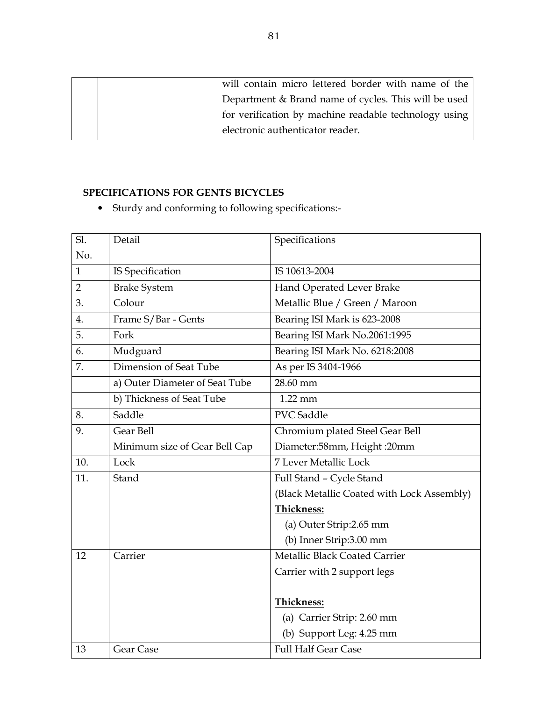| will contain micro lettered border with name of the   |
|-------------------------------------------------------|
| Department & Brand name of cycles. This will be used  |
| for verification by machine readable technology using |
| electronic authenticator reader.                      |

# **SPECIFICATIONS FOR GENTS BICYCLES**

• Sturdy and conforming to following specifications:-

| Sl.            | Detail                         | Specifications                             |
|----------------|--------------------------------|--------------------------------------------|
| No.            |                                |                                            |
| $\mathbf{1}$   | <b>IS Specification</b>        | IS 10613-2004                              |
| $\overline{2}$ | <b>Brake System</b>            | Hand Operated Lever Brake                  |
| 3.             | Colour                         | Metallic Blue / Green / Maroon             |
| 4.             | Frame S/Bar - Gents            | Bearing ISI Mark is 623-2008               |
| 5.             | Fork                           | Bearing ISI Mark No.2061:1995              |
| 6.             | Mudguard                       | Bearing ISI Mark No. 6218:2008             |
| 7.             | Dimension of Seat Tube         | As per IS 3404-1966                        |
|                | a) Outer Diameter of Seat Tube | 28.60 mm                                   |
|                | b) Thickness of Seat Tube      | $1.22$ mm                                  |
| 8.             | Saddle                         | <b>PVC</b> Saddle                          |
| 9.             | Gear Bell                      | Chromium plated Steel Gear Bell            |
|                | Minimum size of Gear Bell Cap  | Diameter:58mm, Height :20mm                |
| 10.            | Lock                           | <b>7 Lever Metallic Lock</b>               |
| 11.            | Stand                          | Full Stand - Cycle Stand                   |
|                |                                | (Black Metallic Coated with Lock Assembly) |
|                |                                | <b>Thickness:</b>                          |
|                |                                | (a) Outer Strip: 2.65 mm                   |
|                |                                | (b) Inner Strip:3.00 mm                    |
| 12             | Carrier                        | Metallic Black Coated Carrier              |
|                |                                | Carrier with 2 support legs                |
|                |                                |                                            |
|                |                                | Thickness:                                 |
|                |                                | (a) Carrier Strip: 2.60 mm                 |
|                |                                | (b) Support Leg: 4.25 mm                   |
| 13             | Gear Case                      | <b>Full Half Gear Case</b>                 |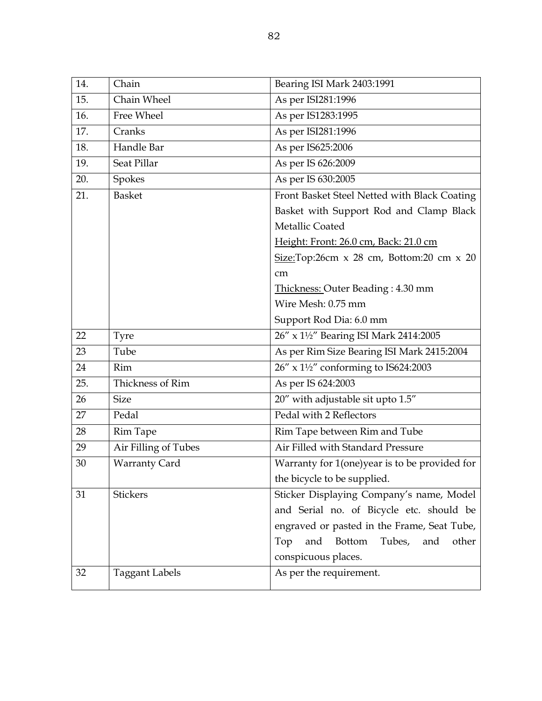| 14. | Chain                 | Bearing ISI Mark 2403:1991                                 |
|-----|-----------------------|------------------------------------------------------------|
| 15. | Chain Wheel           | As per ISI281:1996                                         |
| 16. | Free Wheel            | As per IS1283:1995                                         |
| 17. | Cranks                | As per ISI281:1996                                         |
| 18. | Handle Bar            | As per IS625:2006                                          |
| 19. | Seat Pillar           | As per IS 626:2009                                         |
| 20. | Spokes                | As per IS 630:2005                                         |
| 21. | <b>Basket</b>         | Front Basket Steel Netted with Black Coating               |
|     |                       | Basket with Support Rod and Clamp Black                    |
|     |                       | Metallic Coated                                            |
|     |                       | Height: Front: 26.0 cm, Back: 21.0 cm                      |
|     |                       | $Size: Top: 26cm \times 28 cm$ , Bottom: 20 cm $\times 20$ |
|     |                       | cm                                                         |
|     |                       | Thickness: Outer Beading: 4.30 mm                          |
|     |                       | Wire Mesh: 0.75 mm                                         |
|     |                       | Support Rod Dia: 6.0 mm                                    |
| 22  | Tyre                  | 26" x 1½" Bearing ISI Mark 2414:2005                       |
| 23  | Tube                  | As per Rim Size Bearing ISI Mark 2415:2004                 |
| 24  | Rim                   | 26" x 1½" conforming to IS624:2003                         |
| 25. | Thickness of Rim      | As per IS 624:2003                                         |
| 26  | <b>Size</b>           | 20" with adjustable sit upto 1.5"                          |
| 27  | Pedal                 | Pedal with 2 Reflectors                                    |
| 28  | <b>Rim Tape</b>       | Rim Tape between Rim and Tube                              |
| 29  | Air Filling of Tubes  | Air Filled with Standard Pressure                          |
| 30  | <b>Warranty Card</b>  | Warranty for 1(one)year is to be provided for              |
|     |                       | the bicycle to be supplied.                                |
| 31  | <b>Stickers</b>       | Sticker Displaying Company's name, Model                   |
|     |                       | and Serial no. of Bicycle etc. should be                   |
|     |                       | engraved or pasted in the Frame, Seat Tube,                |
|     |                       | Tubes,<br>and<br>and<br>Top<br><b>Bottom</b><br>other      |
|     |                       | conspicuous places.                                        |
| 32  | <b>Taggant Labels</b> | As per the requirement.                                    |
|     |                       |                                                            |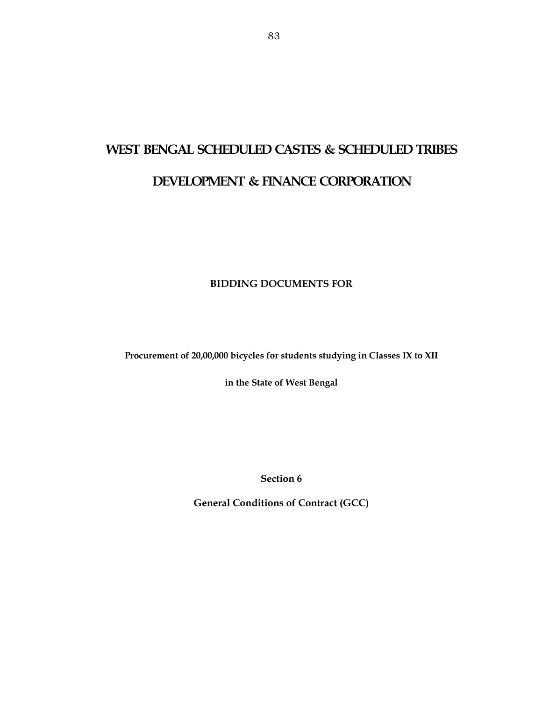# **WEST BENGAL SCHEDULED CASTES & SCHEDULED TRIBES DEVELOPMENT & FINANCE CORPORATION**

# **BIDDING DOCUMENTS FOR**

**Procurement of 20,00,000 bicycles for students studying in Classes IX to XII** 

**in the State of West Bengal** 

**Section 6** 

**General Conditions of Contract (GCC)**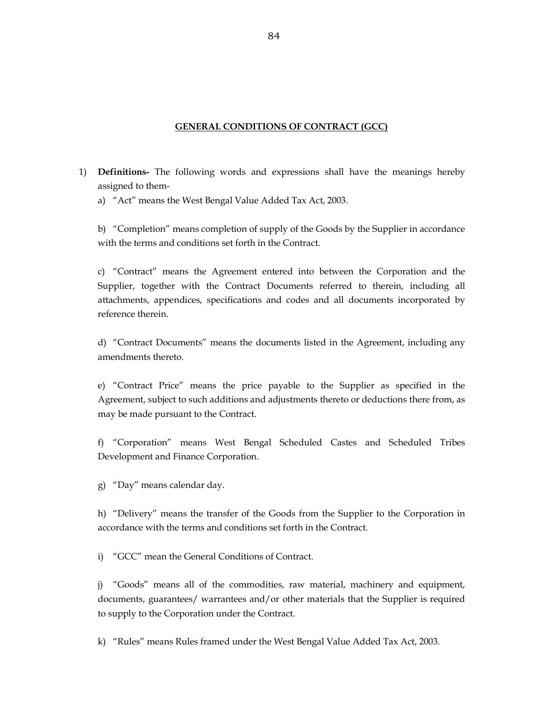#### **GENERAL CONDITIONS OF CONTRACT (GCC)**

- 1) **Definitions-** The following words and expressions shall have the meanings hereby assigned to them
	- a) "Act" means the West Bengal Value Added Tax Act, 2003.

 b) "Completion" means completion of supply of the Goods by the Supplier in accordance with the terms and conditions set forth in the Contract.

 c) "Contract" means the Agreement entered into between the Corporation and the Supplier, together with the Contract Documents referred to therein, including all attachments, appendices, specifications and codes and all documents incorporated by reference therein.

 d) "Contract Documents" means the documents listed in the Agreement, including any amendments thereto.

 e) "Contract Price" means the price payable to the Supplier as specified in the Agreement, subject to such additions and adjustments thereto or deductions there from, as may be made pursuant to the Contract.

 f) "Corporation" means West Bengal Scheduled Castes and Scheduled Tribes Development and Finance Corporation.

g) "Day" means calendar day.

 h) "Delivery" means the transfer of the Goods from the Supplier to the Corporation in accordance with the terms and conditions set forth in the Contract.

i) "GCC" mean the General Conditions of Contract.

 j) "Goods" means all of the commodities, raw material, machinery and equipment, documents, guarantees/ warrantees and/or other materials that the Supplier is required to supply to the Corporation under the Contract.

k) "Rules" means Rules framed under the West Bengal Value Added Tax Act, 2003.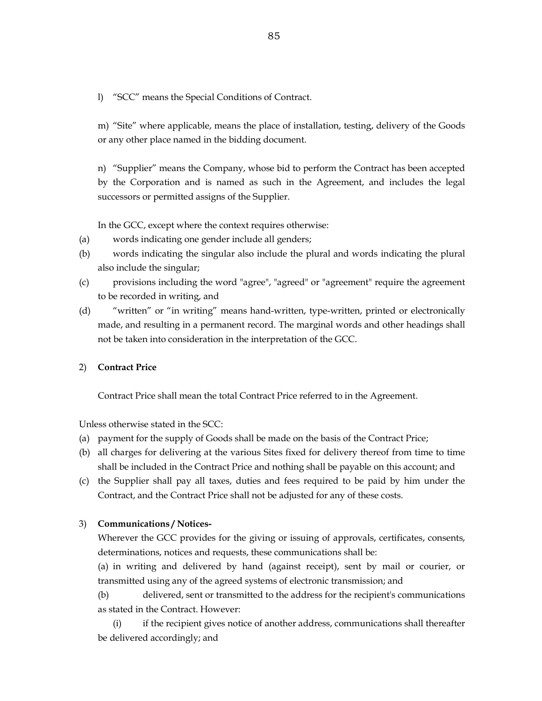l) "SCC" means the Special Conditions of Contract.

 m) "Site" where applicable, means the place of installation, testing, delivery of the Goods or any other place named in the bidding document.

 n) "Supplier" means the Company, whose bid to perform the Contract has been accepted by the Corporation and is named as such in the Agreement, and includes the legal successors or permitted assigns of the Supplier.

In the GCC, except where the context requires otherwise:

- (a) words indicating one gender include all genders;
- (b) words indicating the singular also include the plural and words indicating the plural also include the singular;
- (c) provisions including the word "agree", "agreed" or "agreement" require the agreement to be recorded in writing, and
- (d) "written" or "in writing" means hand-written, type-written, printed or electronically made, and resulting in a permanent record. The marginal words and other headings shall not be taken into consideration in the interpretation of the GCC.

#### 2) **Contract Price**

Contract Price shall mean the total Contract Price referred to in the Agreement.

Unless otherwise stated in the SCC:

- (a) payment for the supply of Goods shall be made on the basis of the Contract Price;
- (b) all charges for delivering at the various Sites fixed for delivery thereof from time to time shall be included in the Contract Price and nothing shall be payable on this account; and
- (c) the Supplier shall pay all taxes, duties and fees required to be paid by him under the Contract, and the Contract Price shall not be adjusted for any of these costs.

#### 3) **Communications / Notices-**

 Wherever the GCC provides for the giving or issuing of approvals, certificates, consents, determinations, notices and requests, these communications shall be:

 (a) in writing and delivered by hand (against receipt), sent by mail or courier, or transmitted using any of the agreed systems of electronic transmission; and

 (b) delivered, sent or transmitted to the address for the recipient's communications as stated in the Contract. However:

 (i) if the recipient gives notice of another address, communications shall thereafter be delivered accordingly; and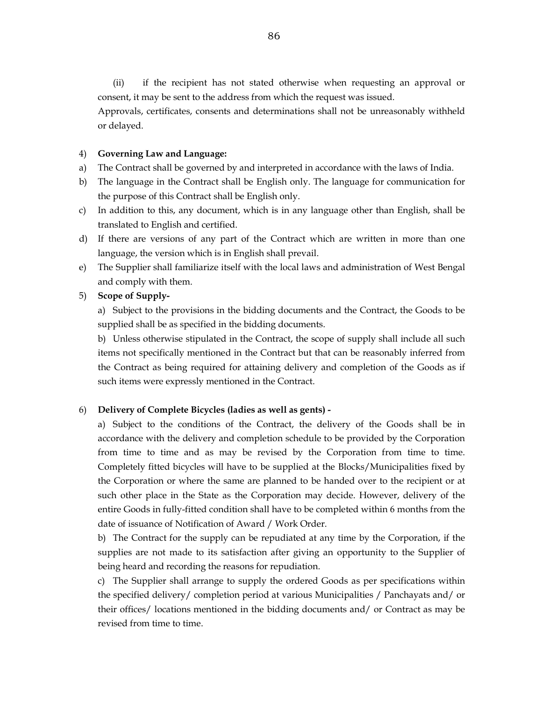(ii) if the recipient has not stated otherwise when requesting an approval or consent, it may be sent to the address from which the request was issued.

 Approvals, certificates, consents and determinations shall not be unreasonably withheld or delayed.

#### 4) **Governing Law and Language:**

- a) The Contract shall be governed by and interpreted in accordance with the laws of India.
- b) The language in the Contract shall be English only. The language for communication for the purpose of this Contract shall be English only.
- c) In addition to this, any document, which is in any language other than English, shall be translated to English and certified.
- d) If there are versions of any part of the Contract which are written in more than one language, the version which is in English shall prevail.
- e) The Supplier shall familiarize itself with the local laws and administration of West Bengal and comply with them.

#### 5) **Scope of Supply-**

 a) Subject to the provisions in the bidding documents and the Contract, the Goods to be supplied shall be as specified in the bidding documents.

 b) Unless otherwise stipulated in the Contract, the scope of supply shall include all such items not specifically mentioned in the Contract but that can be reasonably inferred from the Contract as being required for attaining delivery and completion of the Goods as if such items were expressly mentioned in the Contract.

#### 6) **Delivery of Complete Bicycles (ladies as well as gents) -**

 a) Subject to the conditions of the Contract, the delivery of the Goods shall be in accordance with the delivery and completion schedule to be provided by the Corporation from time to time and as may be revised by the Corporation from time to time. Completely fitted bicycles will have to be supplied at the Blocks/Municipalities fixed by the Corporation or where the same are planned to be handed over to the recipient or at such other place in the State as the Corporation may decide. However, delivery of the entire Goods in fully-fitted condition shall have to be completed within 6 months from the date of issuance of Notification of Award / Work Order.

 b) The Contract for the supply can be repudiated at any time by the Corporation, if the supplies are not made to its satisfaction after giving an opportunity to the Supplier of being heard and recording the reasons for repudiation.

 c) The Supplier shall arrange to supply the ordered Goods as per specifications within the specified delivery/ completion period at various Municipalities / Panchayats and/ or their offices/ locations mentioned in the bidding documents and/ or Contract as may be revised from time to time.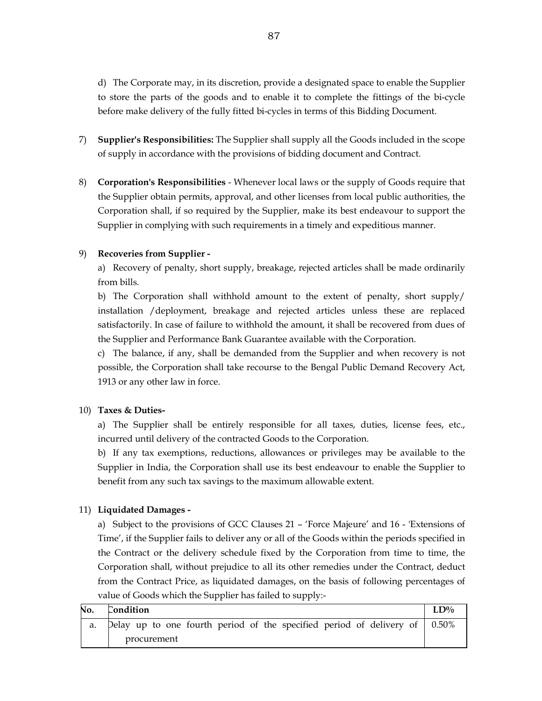d) The Corporate may, in its discretion, provide a designated space to enable the Supplier to store the parts of the goods and to enable it to complete the fittings of the bi-cycle before make delivery of the fully fitted bi-cycles in terms of this Bidding Document.

- 7) **Supplier's Responsibilities:** The Supplier shall supply all the Goods included in the scope of supply in accordance with the provisions of bidding document and Contract.
- 8) **Corporation's Responsibilities**  Whenever local laws or the supply of Goods require that the Supplier obtain permits, approval, and other licenses from local public authorities, the Corporation shall, if so required by the Supplier, make its best endeavour to support the Supplier in complying with such requirements in a timely and expeditious manner.

## 9) **Recoveries from Supplier -**

 a) Recovery of penalty, short supply, breakage, rejected articles shall be made ordinarily from bills.

 b) The Corporation shall withhold amount to the extent of penalty, short supply/ installation /deployment, breakage and rejected articles unless these are replaced satisfactorily. In case of failure to withhold the amount, it shall be recovered from dues of the Supplier and Performance Bank Guarantee available with the Corporation.

 c) The balance, if any, shall be demanded from the Supplier and when recovery is not possible, the Corporation shall take recourse to the Bengal Public Demand Recovery Act, 1913 or any other law in force.

#### 10) **Taxes & Duties-**

 a) The Supplier shall be entirely responsible for all taxes, duties, license fees, etc., incurred until delivery of the contracted Goods to the Corporation.

 b) If any tax exemptions, reductions, allowances or privileges may be available to the Supplier in India, the Corporation shall use its best endeavour to enable the Supplier to benefit from any such tax savings to the maximum allowable extent.

## 11) **Liquidated Damages -**

 a) Subject to the provisions of GCC Clauses 21 – 'Force Majeure' and 16 - 'Extensions of Time', if the Supplier fails to deliver any or all of the Goods within the periods specified in the Contract or the delivery schedule fixed by the Corporation from time to time, the Corporation shall, without prejudice to all its other remedies under the Contract, deduct from the Contract Price, as liquidated damages, on the basis of following percentages of value of Goods which the Supplier has failed to supply:-

| No. | Condition |  |             |  |  |  |                                                                                    | $LD\%$ |
|-----|-----------|--|-------------|--|--|--|------------------------------------------------------------------------------------|--------|
|     |           |  |             |  |  |  | Delay up to one fourth period of the specified period of delivery of $\vert$ 0.50% |        |
|     |           |  | procurement |  |  |  |                                                                                    |        |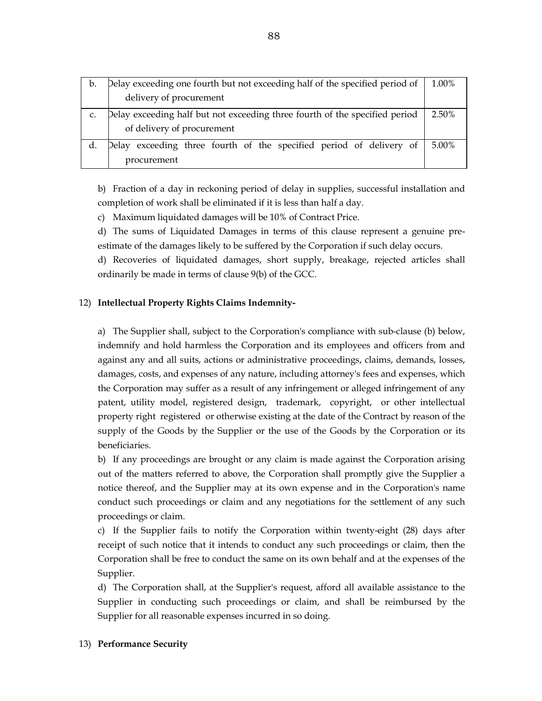| b. | Delay exceeding one fourth but not exceeding half of the specified period of<br>1.00% |       |  |  |  |
|----|---------------------------------------------------------------------------------------|-------|--|--|--|
|    | delivery of procurement                                                               |       |  |  |  |
|    | Delay exceeding half but not exceeding three fourth of the specified period<br>2.50%  |       |  |  |  |
|    | of delivery of procurement                                                            |       |  |  |  |
|    | Delay exceeding three fourth of the specified period of delivery of                   | 5.00% |  |  |  |
|    | procurement                                                                           |       |  |  |  |

 b) Fraction of a day in reckoning period of delay in supplies, successful installation and completion of work shall be eliminated if it is less than half a day.

c) Maximum liquidated damages will be 10% of Contract Price.

 d) The sums of Liquidated Damages in terms of this clause represent a genuine preestimate of the damages likely to be suffered by the Corporation if such delay occurs.

 d) Recoveries of liquidated damages, short supply, breakage, rejected articles shall ordinarily be made in terms of clause 9(b) of the GCC.

#### 12) **Intellectual Property Rights Claims Indemnity-**

 a) The Supplier shall, subject to the Corporation's compliance with sub-clause (b) below, indemnify and hold harmless the Corporation and its employees and officers from and against any and all suits, actions or administrative proceedings, claims, demands, losses, damages, costs, and expenses of any nature, including attorney's fees and expenses, which the Corporation may suffer as a result of any infringement or alleged infringement of any patent, utility model, registered design, trademark, copyright, or other intellectual property right registered or otherwise existing at the date of the Contract by reason of the supply of the Goods by the Supplier or the use of the Goods by the Corporation or its beneficiaries.

 b) If any proceedings are brought or any claim is made against the Corporation arising out of the matters referred to above, the Corporation shall promptly give the Supplier a notice thereof, and the Supplier may at its own expense and in the Corporation's name conduct such proceedings or claim and any negotiations for the settlement of any such proceedings or claim.

 c) If the Supplier fails to notify the Corporation within twenty-eight (28) days after receipt of such notice that it intends to conduct any such proceedings or claim, then the Corporation shall be free to conduct the same on its own behalf and at the expenses of the Supplier.

 d) The Corporation shall, at the Supplier's request, afford all available assistance to the Supplier in conducting such proceedings or claim, and shall be reimbursed by the Supplier for all reasonable expenses incurred in so doing.

#### 13) **Performance Security**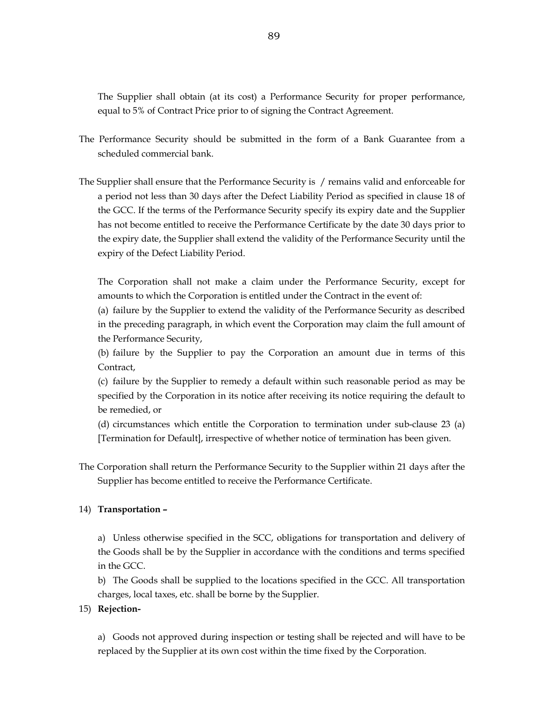The Supplier shall obtain (at its cost) a Performance Security for proper performance, equal to 5% of Contract Price prior to of signing the Contract Agreement.

- The Performance Security should be submitted in the form of a Bank Guarantee from a scheduled commercial bank.
- The Supplier shall ensure that the Performance Security is / remains valid and enforceable for a period not less than 30 days after the Defect Liability Period as specified in clause 18 of the GCC. If the terms of the Performance Security specify its expiry date and the Supplier has not become entitled to receive the Performance Certificate by the date 30 days prior to the expiry date, the Supplier shall extend the validity of the Performance Security until the expiry of the Defect Liability Period.

 The Corporation shall not make a claim under the Performance Security, except for amounts to which the Corporation is entitled under the Contract in the event of:

 (a) failure by the Supplier to extend the validity of the Performance Security as described in the preceding paragraph, in which event the Corporation may claim the full amount of the Performance Security,

 (b) failure by the Supplier to pay the Corporation an amount due in terms of this Contract,

 (c) failure by the Supplier to remedy a default within such reasonable period as may be specified by the Corporation in its notice after receiving its notice requiring the default to be remedied, or

 (d) circumstances which entitle the Corporation to termination under sub-clause 23 (a) [Termination for Default], irrespective of whether notice of termination has been given.

The Corporation shall return the Performance Security to the Supplier within 21 days after the Supplier has become entitled to receive the Performance Certificate.

#### 14) **Transportation –**

a) Unless otherwise specified in the SCC, obligations for transportation and delivery of the Goods shall be by the Supplier in accordance with the conditions and terms specified in the GCC.

 b) The Goods shall be supplied to the locations specified in the GCC. All transportation charges, local taxes, etc. shall be borne by the Supplier.

#### 15) **Rejection-**

a) Goods not approved during inspection or testing shall be rejected and will have to be replaced by the Supplier at its own cost within the time fixed by the Corporation.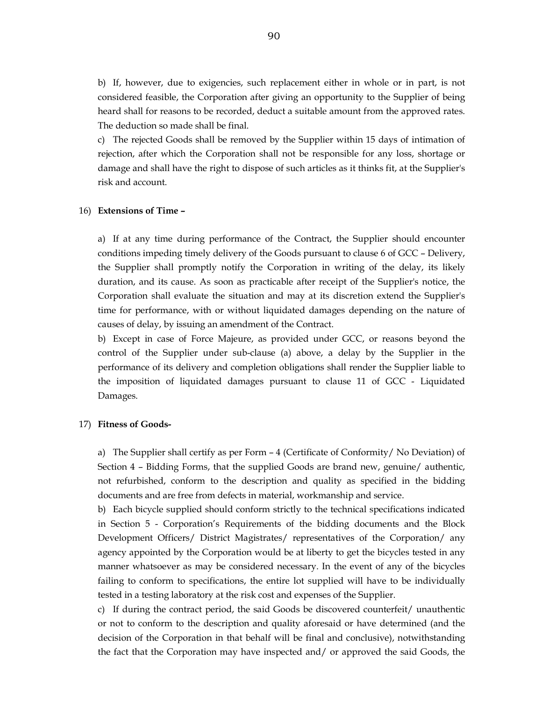b) If, however, due to exigencies, such replacement either in whole or in part, is not considered feasible, the Corporation after giving an opportunity to the Supplier of being heard shall for reasons to be recorded, deduct a suitable amount from the approved rates. The deduction so made shall be final.

 c) The rejected Goods shall be removed by the Supplier within 15 days of intimation of rejection, after which the Corporation shall not be responsible for any loss, shortage or damage and shall have the right to dispose of such articles as it thinks fit, at the Supplier's risk and account.

#### 16) **Extensions of Time –**

a) If at any time during performance of the Contract, the Supplier should encounter conditions impeding timely delivery of the Goods pursuant to clause 6 of GCC – Delivery, the Supplier shall promptly notify the Corporation in writing of the delay, its likely duration, and its cause. As soon as practicable after receipt of the Supplier's notice, the Corporation shall evaluate the situation and may at its discretion extend the Supplier's time for performance, with or without liquidated damages depending on the nature of causes of delay, by issuing an amendment of the Contract.

 b) Except in case of Force Majeure, as provided under GCC, or reasons beyond the control of the Supplier under sub-clause (a) above, a delay by the Supplier in the performance of its delivery and completion obligations shall render the Supplier liable to the imposition of liquidated damages pursuant to clause 11 of GCC - Liquidated Damages.

#### 17) **Fitness of Goods-**

 a) The Supplier shall certify as per Form – 4 (Certificate of Conformity/ No Deviation) of Section 4 – Bidding Forms, that the supplied Goods are brand new, genuine/ authentic, not refurbished, conform to the description and quality as specified in the bidding documents and are free from defects in material, workmanship and service.

 b) Each bicycle supplied should conform strictly to the technical specifications indicated in Section 5 - Corporation's Requirements of the bidding documents and the Block Development Officers/ District Magistrates/ representatives of the Corporation/ any agency appointed by the Corporation would be at liberty to get the bicycles tested in any manner whatsoever as may be considered necessary. In the event of any of the bicycles failing to conform to specifications, the entire lot supplied will have to be individually tested in a testing laboratory at the risk cost and expenses of the Supplier.

 c) If during the contract period, the said Goods be discovered counterfeit/ unauthentic or not to conform to the description and quality aforesaid or have determined (and the decision of the Corporation in that behalf will be final and conclusive), notwithstanding the fact that the Corporation may have inspected and/ or approved the said Goods, the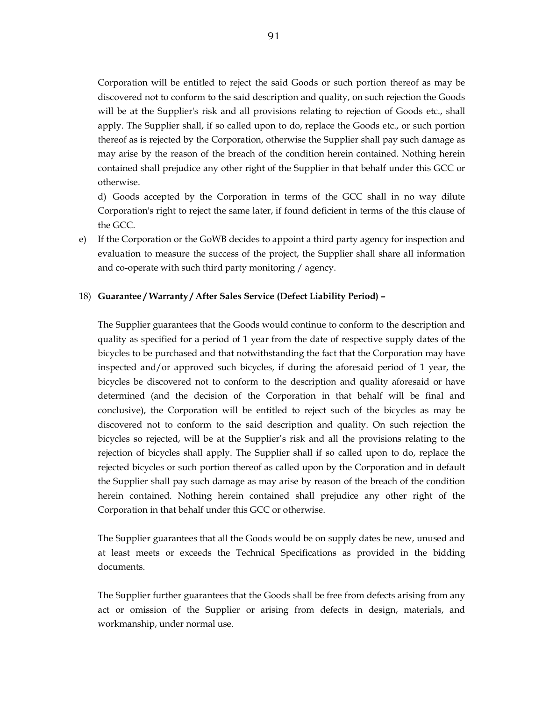Corporation will be entitled to reject the said Goods or such portion thereof as may be discovered not to conform to the said description and quality, on such rejection the Goods will be at the Supplier's risk and all provisions relating to rejection of Goods etc., shall apply. The Supplier shall, if so called upon to do, replace the Goods etc., or such portion thereof as is rejected by the Corporation, otherwise the Supplier shall pay such damage as may arise by the reason of the breach of the condition herein contained. Nothing herein contained shall prejudice any other right of the Supplier in that behalf under this GCC or otherwise.

 d) Goods accepted by the Corporation in terms of the GCC shall in no way dilute Corporation's right to reject the same later, if found deficient in terms of the this clause of the GCC.

e) If the Corporation or the GoWB decides to appoint a third party agency for inspection and evaluation to measure the success of the project, the Supplier shall share all information and co-operate with such third party monitoring / agency.

#### 18) **Guarantee / Warranty / After Sales Service (Defect Liability Period) –**

 The Supplier guarantees that the Goods would continue to conform to the description and quality as specified for a period of 1 year from the date of respective supply dates of the bicycles to be purchased and that notwithstanding the fact that the Corporation may have inspected and/or approved such bicycles, if during the aforesaid period of 1 year, the bicycles be discovered not to conform to the description and quality aforesaid or have determined (and the decision of the Corporation in that behalf will be final and conclusive), the Corporation will be entitled to reject such of the bicycles as may be discovered not to conform to the said description and quality. On such rejection the bicycles so rejected, will be at the Supplier's risk and all the provisions relating to the rejection of bicycles shall apply. The Supplier shall if so called upon to do, replace the rejected bicycles or such portion thereof as called upon by the Corporation and in default the Supplier shall pay such damage as may arise by reason of the breach of the condition herein contained. Nothing herein contained shall prejudice any other right of the Corporation in that behalf under this GCC or otherwise.

 The Supplier guarantees that all the Goods would be on supply dates be new, unused and at least meets or exceeds the Technical Specifications as provided in the bidding documents.

 The Supplier further guarantees that the Goods shall be free from defects arising from any act or omission of the Supplier or arising from defects in design, materials, and workmanship, under normal use.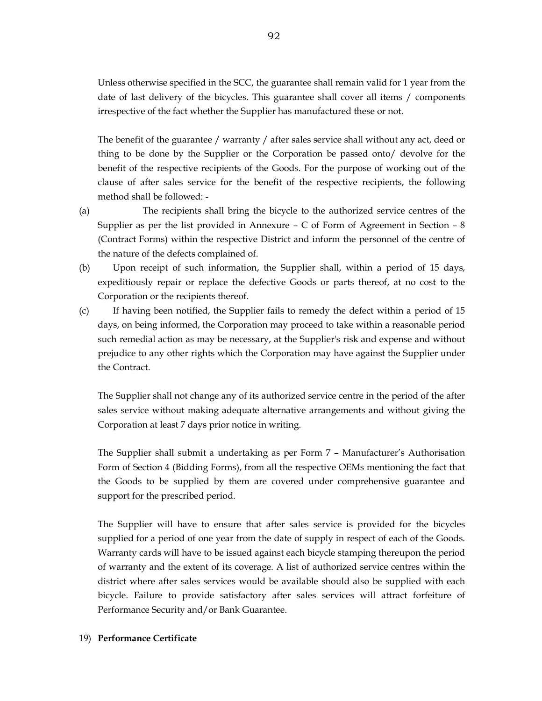Unless otherwise specified in the SCC, the guarantee shall remain valid for 1 year from the date of last delivery of the bicycles. This guarantee shall cover all items / components irrespective of the fact whether the Supplier has manufactured these or not.

 The benefit of the guarantee / warranty / after sales service shall without any act, deed or thing to be done by the Supplier or the Corporation be passed onto/ devolve for the benefit of the respective recipients of the Goods. For the purpose of working out of the clause of after sales service for the benefit of the respective recipients, the following method shall be followed: -

- (a) The recipients shall bring the bicycle to the authorized service centres of the Supplier as per the list provided in Annexure – C of Form of Agreement in Section – 8 (Contract Forms) within the respective District and inform the personnel of the centre of the nature of the defects complained of.
- (b) Upon receipt of such information, the Supplier shall, within a period of 15 days, expeditiously repair or replace the defective Goods or parts thereof, at no cost to the Corporation or the recipients thereof.
- (c) If having been notified, the Supplier fails to remedy the defect within a period of 15 days, on being informed, the Corporation may proceed to take within a reasonable period such remedial action as may be necessary, at the Supplier's risk and expense and without prejudice to any other rights which the Corporation may have against the Supplier under the Contract.

 The Supplier shall not change any of its authorized service centre in the period of the after sales service without making adequate alternative arrangements and without giving the Corporation at least 7 days prior notice in writing.

 The Supplier shall submit a undertaking as per Form 7 – Manufacturer's Authorisation Form of Section 4 (Bidding Forms), from all the respective OEMs mentioning the fact that the Goods to be supplied by them are covered under comprehensive guarantee and support for the prescribed period.

 The Supplier will have to ensure that after sales service is provided for the bicycles supplied for a period of one year from the date of supply in respect of each of the Goods. Warranty cards will have to be issued against each bicycle stamping thereupon the period of warranty and the extent of its coverage. A list of authorized service centres within the district where after sales services would be available should also be supplied with each bicycle. Failure to provide satisfactory after sales services will attract forfeiture of Performance Security and/or Bank Guarantee.

## 19) **Performance Certificate**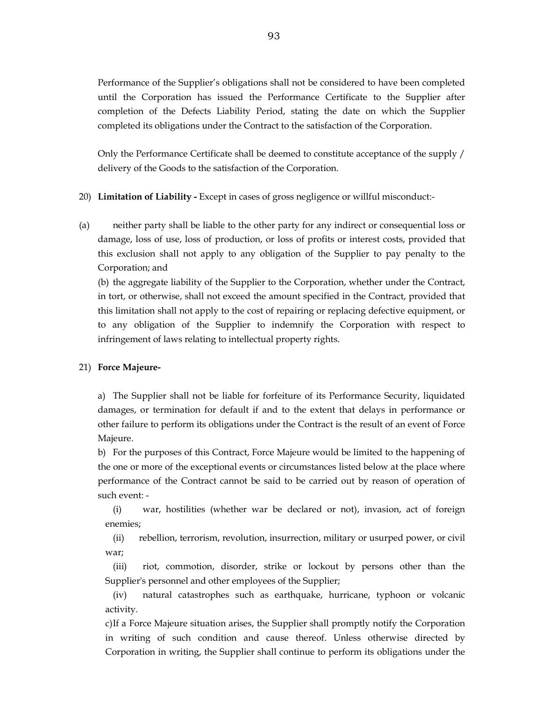Performance of the Supplier's obligations shall not be considered to have been completed until the Corporation has issued the Performance Certificate to the Supplier after completion of the Defects Liability Period, stating the date on which the Supplier completed its obligations under the Contract to the satisfaction of the Corporation.

 Only the Performance Certificate shall be deemed to constitute acceptance of the supply / delivery of the Goods to the satisfaction of the Corporation.

- 20) **Limitation of Liability** Except in cases of gross negligence or willful misconduct:-
- (a) neither party shall be liable to the other party for any indirect or consequential loss or damage, loss of use, loss of production, or loss of profits or interest costs, provided that this exclusion shall not apply to any obligation of the Supplier to pay penalty to the Corporation; and

 (b) the aggregate liability of the Supplier to the Corporation, whether under the Contract, in tort, or otherwise, shall not exceed the amount specified in the Contract, provided that this limitation shall not apply to the cost of repairing or replacing defective equipment, or to any obligation of the Supplier to indemnify the Corporation with respect to infringement of laws relating to intellectual property rights.

#### 21) **Force Majeure-**

a) The Supplier shall not be liable for forfeiture of its Performance Security, liquidated damages, or termination for default if and to the extent that delays in performance or other failure to perform its obligations under the Contract is the result of an event of Force Majeure.

 b) For the purposes of this Contract, Force Majeure would be limited to the happening of the one or more of the exceptional events or circumstances listed below at the place where performance of the Contract cannot be said to be carried out by reason of operation of such event: -

 (i) war, hostilities (whether war be declared or not), invasion, act of foreign enemies;

 (ii) rebellion, terrorism, revolution, insurrection, military or usurped power, or civil war;

 (iii) riot, commotion, disorder, strike or lockout by persons other than the Supplier's personnel and other employees of the Supplier;

 (iv) natural catastrophes such as earthquake, hurricane, typhoon or volcanic activity.

 c) If a Force Majeure situation arises, the Supplier shall promptly notify the Corporation in writing of such condition and cause thereof. Unless otherwise directed by Corporation in writing, the Supplier shall continue to perform its obligations under the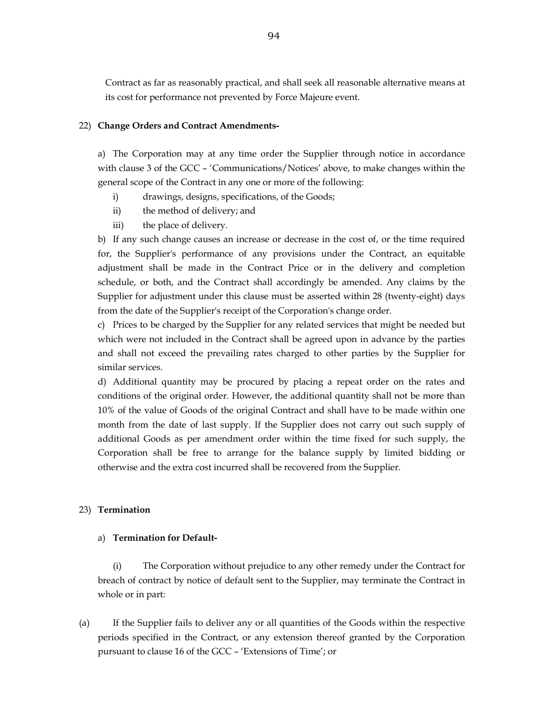Contract as far as reasonably practical, and shall seek all reasonable alternative means at its cost for performance not prevented by Force Majeure event.

#### 22) **Change Orders and Contract Amendments-**

 a) The Corporation may at any time order the Supplier through notice in accordance with clause 3 of the GCC – 'Communications/Notices' above, to make changes within the general scope of the Contract in any one or more of the following:

- i) drawings, designs, specifications, of the Goods;
- ii) the method of delivery; and
- iii) the place of delivery.

 b) If any such change causes an increase or decrease in the cost of, or the time required for, the Supplier's performance of any provisions under the Contract, an equitable adjustment shall be made in the Contract Price or in the delivery and completion schedule, or both, and the Contract shall accordingly be amended. Any claims by the Supplier for adjustment under this clause must be asserted within 28 (twenty-eight) days from the date of the Supplier's receipt of the Corporation's change order.

 c) Prices to be charged by the Supplier for any related services that might be needed but which were not included in the Contract shall be agreed upon in advance by the parties and shall not exceed the prevailing rates charged to other parties by the Supplier for similar services.

 d) Additional quantity may be procured by placing a repeat order on the rates and conditions of the original order. However, the additional quantity shall not be more than 10% of the value of Goods of the original Contract and shall have to be made within one month from the date of last supply. If the Supplier does not carry out such supply of additional Goods as per amendment order within the time fixed for such supply, the Corporation shall be free to arrange for the balance supply by limited bidding or otherwise and the extra cost incurred shall be recovered from the Supplier.

#### 23) **Termination**

#### a) **Termination for Default-**

(i) The Corporation without prejudice to any other remedy under the Contract for breach of contract by notice of default sent to the Supplier, may terminate the Contract in whole or in part:

(a) If the Supplier fails to deliver any or all quantities of the Goods within the respective periods specified in the Contract, or any extension thereof granted by the Corporation pursuant to clause 16 of the GCC – 'Extensions of Time'; or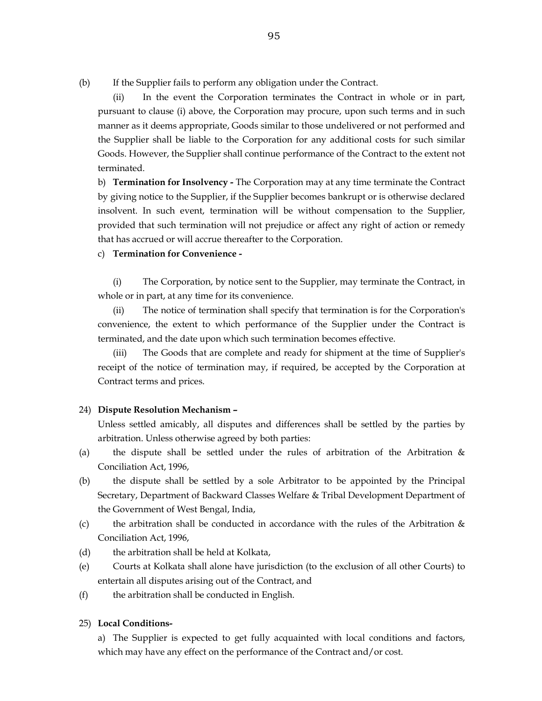(b) If the Supplier fails to perform any obligation under the Contract.

 (ii) In the event the Corporation terminates the Contract in whole or in part, pursuant to clause (i) above, the Corporation may procure, upon such terms and in such manner as it deems appropriate, Goods similar to those undelivered or not performed and the Supplier shall be liable to the Corporation for any additional costs for such similar Goods. However, the Supplier shall continue performance of the Contract to the extent not terminated.

 b) **Termination for Insolvency -** The Corporation may at any time terminate the Contract by giving notice to the Supplier, if the Supplier becomes bankrupt or is otherwise declared insolvent. In such event, termination will be without compensation to the Supplier, provided that such termination will not prejudice or affect any right of action or remedy that has accrued or will accrue thereafter to the Corporation.

c) **Termination for Convenience -** 

(i) The Corporation, by notice sent to the Supplier, may terminate the Contract, in whole or in part, at any time for its convenience.

 (ii) The notice of termination shall specify that termination is for the Corporation's convenience, the extent to which performance of the Supplier under the Contract is terminated, and the date upon which such termination becomes effective.

 (iii) The Goods that are complete and ready for shipment at the time of Supplier's receipt of the notice of termination may, if required, be accepted by the Corporation at Contract terms and prices.

#### 24) **Dispute Resolution Mechanism –**

Unless settled amicably, all disputes and differences shall be settled by the parties by arbitration. Unless otherwise agreed by both parties:

- (a) the dispute shall be settled under the rules of arbitration of the Arbitration & Conciliation Act, 1996,
- (b) the dispute shall be settled by a sole Arbitrator to be appointed by the Principal Secretary, Department of Backward Classes Welfare & Tribal Development Department of the Government of West Bengal, India,
- (c) the arbitration shall be conducted in accordance with the rules of the Arbitration  $\&$ Conciliation Act, 1996,
- (d) the arbitration shall be held at Kolkata,
- (e) Courts at Kolkata shall alone have jurisdiction (to the exclusion of all other Courts) to entertain all disputes arising out of the Contract, and
- (f) the arbitration shall be conducted in English.

#### 25) **Local Conditions-**

a) The Supplier is expected to get fully acquainted with local conditions and factors, which may have any effect on the performance of the Contract and/or cost.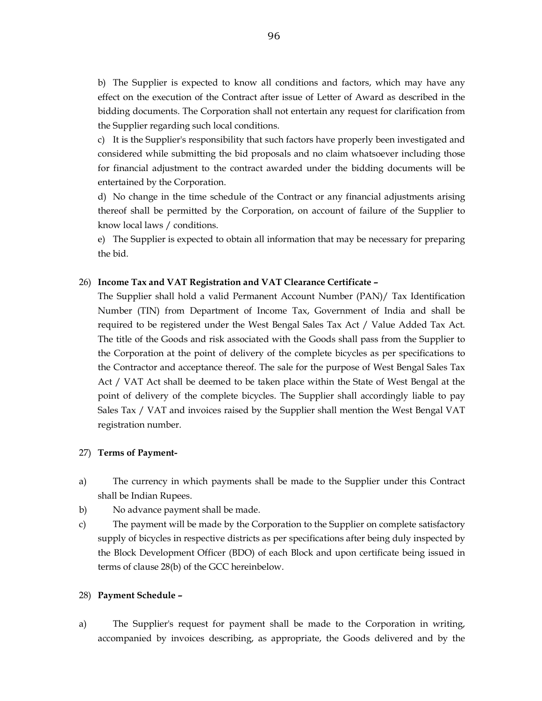b) The Supplier is expected to know all conditions and factors, which may have any effect on the execution of the Contract after issue of Letter of Award as described in the bidding documents. The Corporation shall not entertain any request for clarification from the Supplier regarding such local conditions.

 c) It is the Supplier's responsibility that such factors have properly been investigated and considered while submitting the bid proposals and no claim whatsoever including those for financial adjustment to the contract awarded under the bidding documents will be entertained by the Corporation.

 d) No change in the time schedule of the Contract or any financial adjustments arising thereof shall be permitted by the Corporation, on account of failure of the Supplier to know local laws / conditions.

 e) The Supplier is expected to obtain all information that may be necessary for preparing the bid.

#### 26) **Income Tax and VAT Registration and VAT Clearance Certificate –**

 The Supplier shall hold a valid Permanent Account Number (PAN)/ Tax Identification Number (TIN) from Department of Income Tax, Government of India and shall be required to be registered under the West Bengal Sales Tax Act / Value Added Tax Act. The title of the Goods and risk associated with the Goods shall pass from the Supplier to the Corporation at the point of delivery of the complete bicycles as per specifications to the Contractor and acceptance thereof. The sale for the purpose of West Bengal Sales Tax Act / VAT Act shall be deemed to be taken place within the State of West Bengal at the point of delivery of the complete bicycles. The Supplier shall accordingly liable to pay Sales Tax / VAT and invoices raised by the Supplier shall mention the West Bengal VAT registration number.

#### 27) **Terms of Payment-**

- a) The currency in which payments shall be made to the Supplier under this Contract shall be Indian Rupees.
- b) No advance payment shall be made.
- c) The payment will be made by the Corporation to the Supplier on complete satisfactory supply of bicycles in respective districts as per specifications after being duly inspected by the Block Development Officer (BDO) of each Block and upon certificate being issued in terms of clause 28(b) of the GCC hereinbelow.

#### 28) **Payment Schedule –**

a) The Supplier's request for payment shall be made to the Corporation in writing, accompanied by invoices describing, as appropriate, the Goods delivered and by the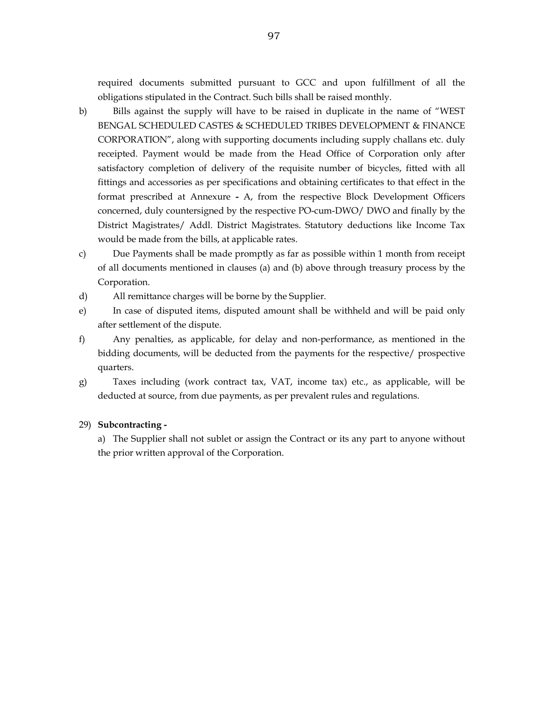required documents submitted pursuant to GCC and upon fulfillment of all the obligations stipulated in the Contract. Such bills shall be raised monthly.

- b) Bills against the supply will have to be raised in duplicate in the name of "WEST BENGAL SCHEDULED CASTES & SCHEDULED TRIBES DEVELOPMENT & FINANCE CORPORATION", along with supporting documents including supply challans etc. duly receipted. Payment would be made from the Head Office of Corporation only after satisfactory completion of delivery of the requisite number of bicycles, fitted with all fittings and accessories as per specifications and obtaining certificates to that effect in the format prescribed at Annexure **-** A, from the respective Block Development Officers concerned, duly countersigned by the respective PO-cum-DWO/ DWO and finally by the District Magistrates/ Addl. District Magistrates. Statutory deductions like Income Tax would be made from the bills, at applicable rates.
- c) Due Payments shall be made promptly as far as possible within 1 month from receipt of all documents mentioned in clauses (a) and (b) above through treasury process by the Corporation.
- d) All remittance charges will be borne by the Supplier.
- e) In case of disputed items, disputed amount shall be withheld and will be paid only after settlement of the dispute.
- f) Any penalties, as applicable, for delay and non-performance, as mentioned in the bidding documents, will be deducted from the payments for the respective/ prospective quarters.
- g) Taxes including (work contract tax, VAT, income tax) etc., as applicable, will be deducted at source, from due payments, as per prevalent rules and regulations.

#### 29) **Subcontracting -**

 a) The Supplier shall not sublet or assign the Contract or its any part to anyone without the prior written approval of the Corporation.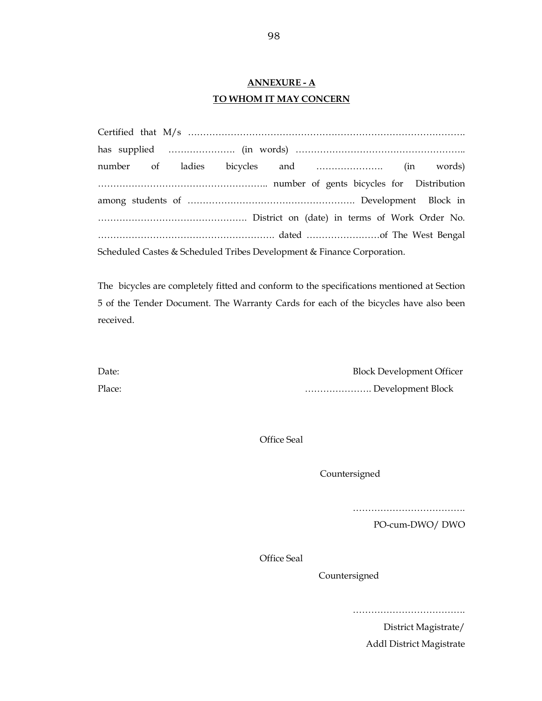# **ANNEXURE - A TO WHOM IT MAY CONCERN**

|  |  |  | Scheduled Castes & Scheduled Tribes Development & Finance Corporation. |  |  |  |
|--|--|--|------------------------------------------------------------------------|--|--|--|

The bicycles are completely fitted and conform to the specifications mentioned at Section 5 of the Tender Document. The Warranty Cards for each of the bicycles have also been received.

| Date:  | <b>Block Development Officer</b> |
|--------|----------------------------------|
| Place: | Development Block                |

Office Seal

Countersigned

……………………………….

PO-cum-DWO/ DWO

Office Seal

Countersigned

……………………………….

District Magistrate/

Addl District Magistrate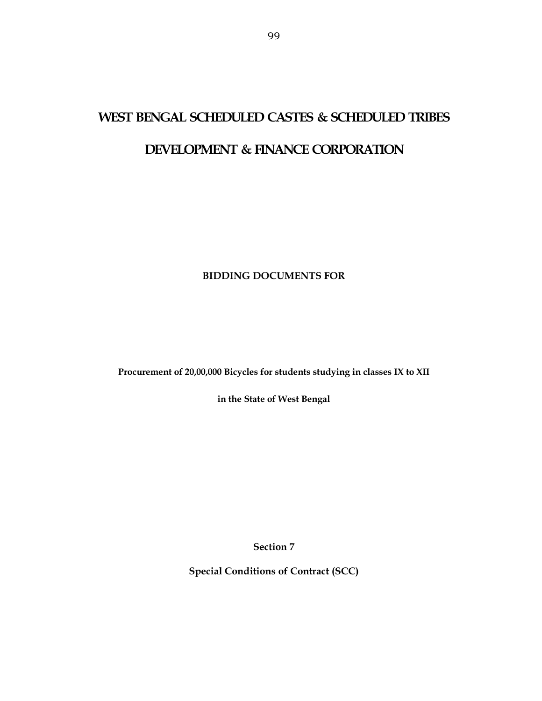# **WEST BENGAL SCHEDULED CASTES & SCHEDULED TRIBES**

# **DEVELOPMENT & FINANCE CORPORATION**

# **BIDDING DOCUMENTS FOR**

**Procurement of 20,00,000 Bicycles for students studying in classes IX to XII** 

**in the State of West Bengal** 

**Section 7** 

**Special Conditions of Contract (SCC)**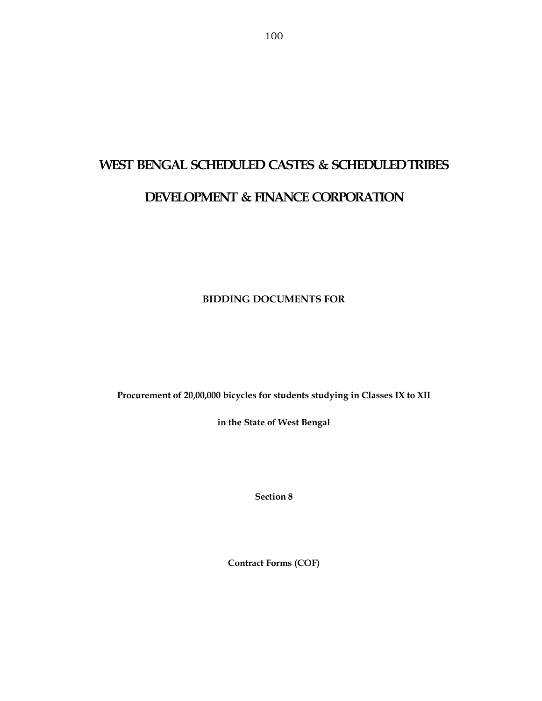# **WEST BENGAL SCHEDULED CASTES & SCHEDULED TRIBES DEVELOPMENT & FINANCE CORPORATION**

**BIDDING DOCUMENTS FOR** 

**Procurement of 20,00,000 bicycles for students studying in Classes IX to XII** 

**in the State of West Bengal** 

**Section 8** 

**Contract Forms (COF)**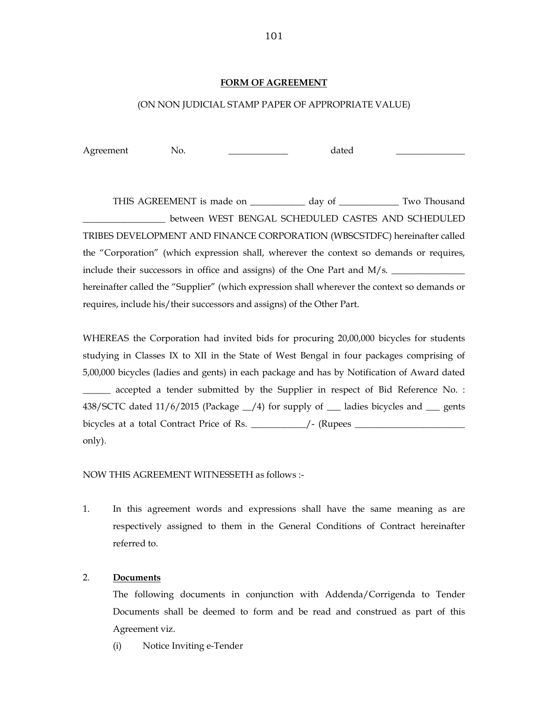### **FORM OF AGREEMENT**

## (ON NON JUDICIAL STAMP PAPER OF APPROPRIATE VALUE)

Agreement No. 2008 No. 2012

THIS AGREEMENT is made on \_\_\_\_\_\_\_\_\_\_\_\_\_ day of \_\_\_\_\_\_\_\_\_\_\_\_ Two Thousand \_\_\_\_\_\_\_\_\_\_\_\_\_\_\_\_\_\_ between WEST BENGAL SCHEDULED CASTES AND SCHEDULED TRIBES DEVELOPMENT AND FINANCE CORPORATION (WBSCSTDFC) hereinafter called the "Corporation" (which expression shall, wherever the context so demands or requires, include their successors in office and assigns) of the One Part and  $M/s$ . hereinafter called the "Supplier" (which expression shall wherever the context so demands or requires, include his/their successors and assigns) of the Other Part.

WHEREAS the Corporation had invited bids for procuring 20,00,000 bicycles for students studying in Classes IX to XII in the State of West Bengal in four packages comprising of 5,00,000 bicycles (ladies and gents) in each package and has by Notification of Award dated \_\_\_\_\_\_ accepted a tender submitted by the Supplier in respect of Bid Reference No. : 438/SCTC dated 11/6/2015 (Package \_\_/4) for supply of \_\_\_ ladies bicycles and \_\_\_ gents bicycles at a total Contract Price of Rs. \_\_\_\_\_\_\_\_\_\_\_\_/- (Rupees \_\_\_\_\_\_\_\_\_\_\_\_\_\_\_\_\_\_\_\_\_\_\_\_ only).

NOW THIS AGREEMENT WITNESSETH as follows :-

1. In this agreement words and expressions shall have the same meaning as are respectively assigned to them in the General Conditions of Contract hereinafter referred to.

#### 2. **Documents**

 The following documents in conjunction with Addenda/Corrigenda to Tender Documents shall be deemed to form and be read and construed as part of this Agreement viz.

(i) Notice Inviting e-Tender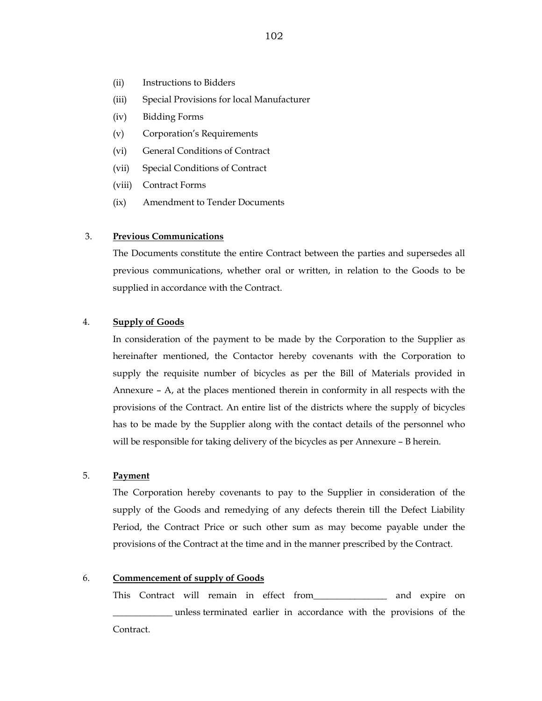- (ii) Instructions to Bidders
- (iii) Special Provisions for local Manufacturer
- (iv) Bidding Forms
- (v) Corporation's Requirements
- (vi) General Conditions of Contract
- (vii) Special Conditions of Contract
- (viii) Contract Forms
- (ix) Amendment to Tender Documents

#### 3. **Previous Communications**

The Documents constitute the entire Contract between the parties and supersedes all previous communications, whether oral or written, in relation to the Goods to be supplied in accordance with the Contract.

#### 4. **Supply of Goods**

 In consideration of the payment to be made by the Corporation to the Supplier as hereinafter mentioned, the Contactor hereby covenants with the Corporation to supply the requisite number of bicycles as per the Bill of Materials provided in Annexure – A, at the places mentioned therein in conformity in all respects with the provisions of the Contract. An entire list of the districts where the supply of bicycles has to be made by the Supplier along with the contact details of the personnel who will be responsible for taking delivery of the bicycles as per Annexure – B herein.

#### 5. **Payment**

 The Corporation hereby covenants to pay to the Supplier in consideration of the supply of the Goods and remedying of any defects therein till the Defect Liability Period, the Contract Price or such other sum as may become payable under the provisions of the Contract at the time and in the manner prescribed by the Contract.

#### 6. **Commencement of supply of Goods**

This Contract will remain in effect from\_\_\_\_\_\_\_\_\_\_\_\_\_\_\_\_ and expire on \_\_\_\_\_\_\_\_\_\_\_\_\_ unless terminated earlier in accordance with the provisions of the Contract.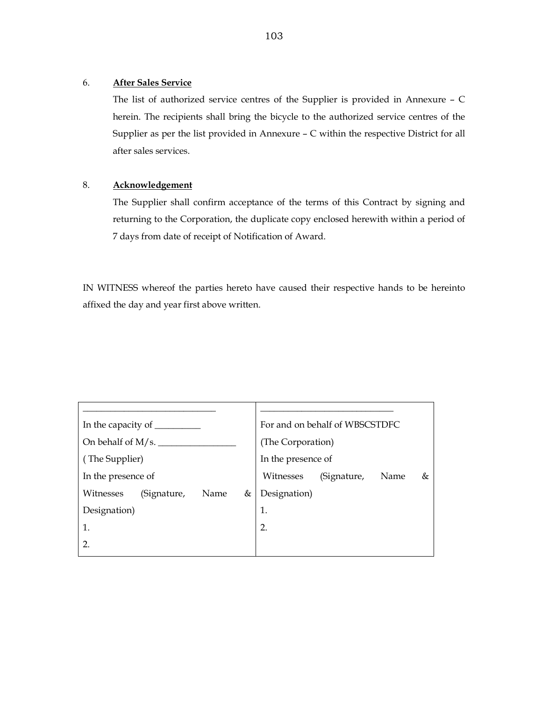## 6. **After Sales Service**

The list of authorized service centres of the Supplier is provided in Annexure – C herein. The recipients shall bring the bicycle to the authorized service centres of the Supplier as per the list provided in Annexure – C within the respective District for all after sales services.

# 8. **Acknowledgement**

The Supplier shall confirm acceptance of the terms of this Contract by signing and returning to the Corporation, the duplicate copy enclosed herewith within a period of 7 days from date of receipt of Notification of Award.

IN WITNESS whereof the parties hereto have caused their respective hands to be hereinto affixed the day and year first above written.

| In the capacity of ______ |      |   |                    | For and on behalf of WBSCSTDFC |              |   |  |
|---------------------------|------|---|--------------------|--------------------------------|--------------|---|--|
| On behalf of $M/s$ .      |      |   | (The Corporation)  |                                |              |   |  |
| (The Supplier)            |      |   | In the presence of |                                |              |   |  |
| In the presence of        |      |   | Witnesses          | (Signature,                    | Name         | & |  |
| (Signature,               | Name | & |                    |                                |              |   |  |
|                           |      |   | 1.                 |                                |              |   |  |
|                           |      |   | 2.                 |                                |              |   |  |
|                           |      |   |                    |                                |              |   |  |
|                           |      |   |                    |                                | Designation) |   |  |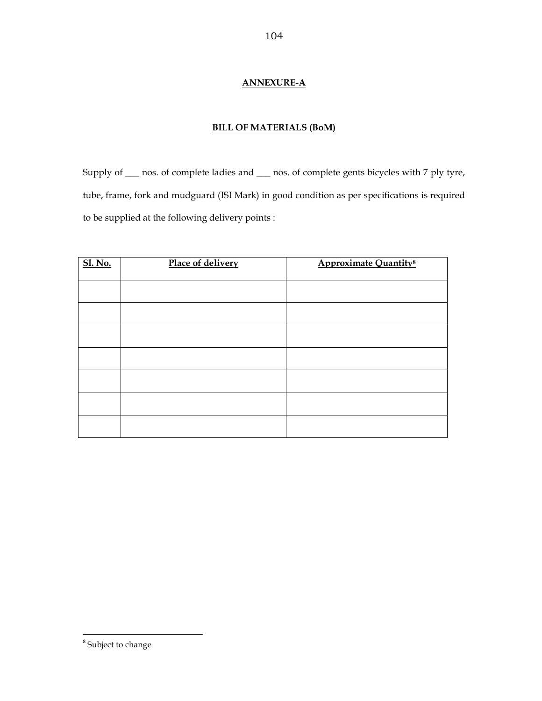## **ANNEXURE-A**

## **BILL OF MATERIALS (BoM)**

Supply of \_\_\_ nos. of complete ladies and \_\_\_ nos. of complete gents bicycles with 7 ply tyre, tube, frame, fork and mudguard (ISI Mark) in good condition as per specifications is required to be supplied at the following delivery points :

| <b>Sl. No.</b> | Place of delivery | <b>Approximate Quantity<sup>8</sup></b> |
|----------------|-------------------|-----------------------------------------|
|                |                   |                                         |
|                |                   |                                         |
|                |                   |                                         |
|                |                   |                                         |
|                |                   |                                         |
|                |                   |                                         |
|                |                   |                                         |

<sup>&</sup>lt;sup>8</sup> Subject to change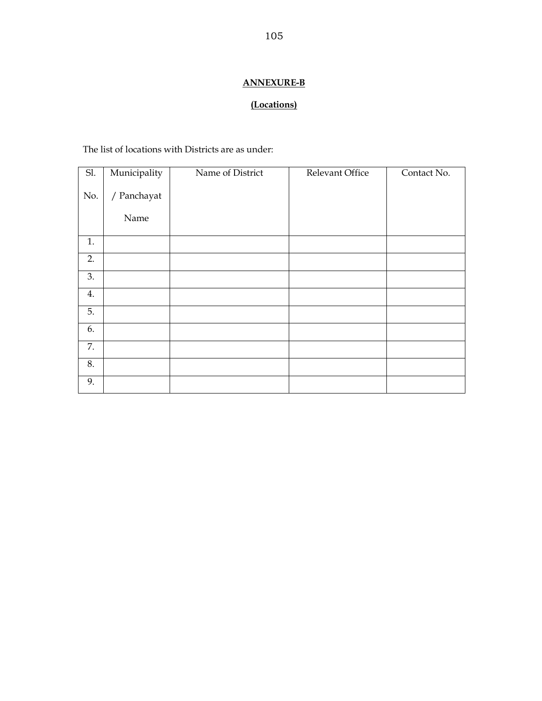# **ANNEXURE-B**

# **(Locations)**

The list of locations with Districts are as under:

| SI. | Municipality | Name of District | Relevant Office | Contact No. |
|-----|--------------|------------------|-----------------|-------------|
| No. | / Panchayat  |                  |                 |             |
|     | Name         |                  |                 |             |
| 1.  |              |                  |                 |             |
| 2.  |              |                  |                 |             |
| 3.  |              |                  |                 |             |
| 4.  |              |                  |                 |             |
| 5.  |              |                  |                 |             |
| 6.  |              |                  |                 |             |
| 7.  |              |                  |                 |             |
| 8.  |              |                  |                 |             |
| 9.  |              |                  |                 |             |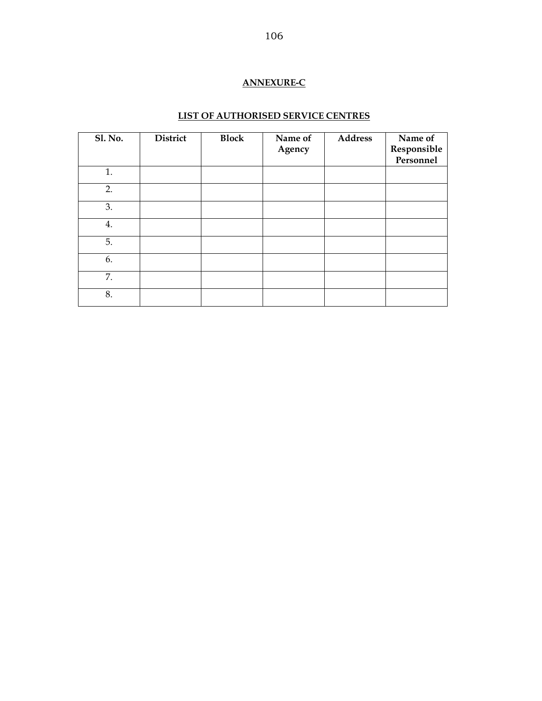## **ANNEXURE-C**

# **LIST OF AUTHORISED SERVICE CENTRES**

| <b>Sl. No.</b> | <b>District</b> | <b>Block</b> | Name of<br>Agency | <b>Address</b> | Name of<br>Responsible<br>Personnel |
|----------------|-----------------|--------------|-------------------|----------------|-------------------------------------|
| 1.             |                 |              |                   |                |                                     |
| 2.             |                 |              |                   |                |                                     |
| 3.             |                 |              |                   |                |                                     |
| 4.             |                 |              |                   |                |                                     |
| 5.             |                 |              |                   |                |                                     |
| 6.             |                 |              |                   |                |                                     |
| 7.             |                 |              |                   |                |                                     |
| 8.             |                 |              |                   |                |                                     |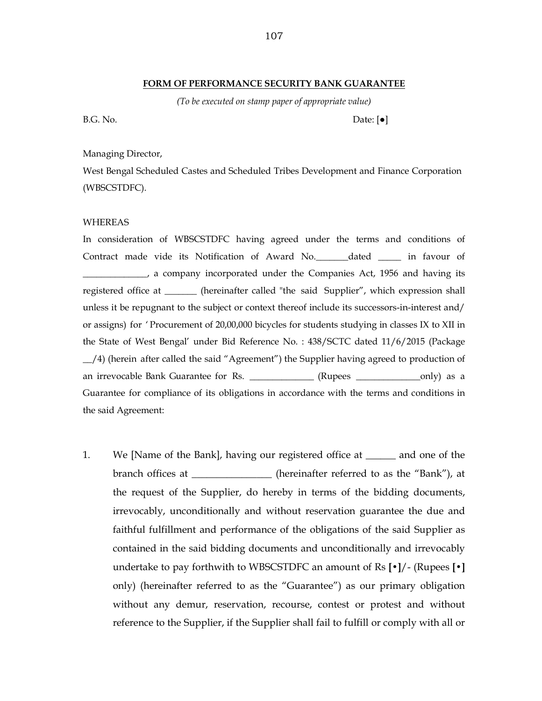#### **FORM OF PERFORMANCE SECURITY BANK GUARANTEE**

*(To be executed on stamp paper of appropriate value)* 

B.G. No. Date:  $[e]$ 

#### Managing Director,

West Bengal Scheduled Castes and Scheduled Tribes Development and Finance Corporation (WBSCSTDFC).

#### WHEREAS

In consideration of WBSCSTDFC having agreed under the terms and conditions of Contract made vide its Notification of Award No.\_\_\_\_\_\_\_dated \_\_\_\_\_ in favour of \_\_\_\_\_\_\_\_\_\_\_\_\_\_, a company incorporated under the Companies Act, 1956 and having its registered office at \_\_\_\_\_\_\_ (hereinafter called "the said Supplier", which expression shall unless it be repugnant to the subject or context thereof include its successors-in-interest and/ or assigns) for ' Procurement of 20,00,000 bicycles for students studying in classes IX to XII in the State of West Bengal' under Bid Reference No. : 438/SCTC dated 11/6/2015 (Package \_\_/4) (herein after called the said "Agreement") the Supplier having agreed to production of an irrevocable Bank Guarantee for Rs. \_\_\_\_\_\_\_\_\_\_\_\_\_\_ (Rupees \_\_\_\_\_\_\_\_\_\_\_\_\_\_\_only) as a Guarantee for compliance of its obligations in accordance with the terms and conditions in the said Agreement:

1. We [Name of the Bank], having our registered office at \_\_\_\_\_\_ and one of the branch offices at \_\_\_\_\_\_\_\_\_\_\_\_\_\_\_\_\_ (hereinafter referred to as the "Bank"), at the request of the Supplier, do hereby in terms of the bidding documents, irrevocably, unconditionally and without reservation guarantee the due and faithful fulfillment and performance of the obligations of the said Supplier as contained in the said bidding documents and unconditionally and irrevocably undertake to pay forthwith to WBSCSTDFC an amount of Rs **[•]**/- (Rupees **[•]**  only) (hereinafter referred to as the "Guarantee") as our primary obligation without any demur, reservation, recourse, contest or protest and without reference to the Supplier, if the Supplier shall fail to fulfill or comply with all or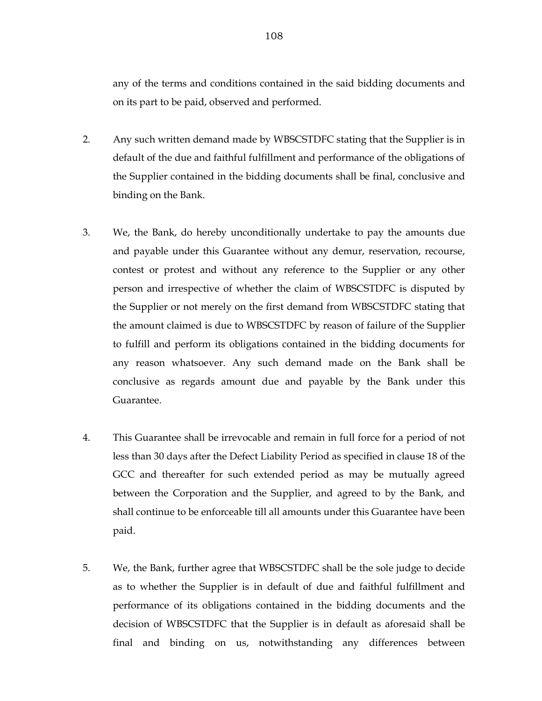any of the terms and conditions contained in the said bidding documents and on its part to be paid, observed and performed.

- 2. Any such written demand made by WBSCSTDFC stating that the Supplier is in default of the due and faithful fulfillment and performance of the obligations of the Supplier contained in the bidding documents shall be final, conclusive and binding on the Bank.
- 3. We, the Bank, do hereby unconditionally undertake to pay the amounts due and payable under this Guarantee without any demur, reservation, recourse, contest or protest and without any reference to the Supplier or any other person and irrespective of whether the claim of WBSCSTDFC is disputed by the Supplier or not merely on the first demand from WBSCSTDFC stating that the amount claimed is due to WBSCSTDFC by reason of failure of the Supplier to fulfill and perform its obligations contained in the bidding documents for any reason whatsoever. Any such demand made on the Bank shall be conclusive as regards amount due and payable by the Bank under this Guarantee.
- 4. This Guarantee shall be irrevocable and remain in full force for a period of not less than 30 days after the Defect Liability Period as specified in clause 18 of the GCC and thereafter for such extended period as may be mutually agreed between the Corporation and the Supplier, and agreed to by the Bank, and shall continue to be enforceable till all amounts under this Guarantee have been paid.
- 5. We, the Bank, further agree that WBSCSTDFC shall be the sole judge to decide as to whether the Supplier is in default of due and faithful fulfillment and performance of its obligations contained in the bidding documents and the decision of WBSCSTDFC that the Supplier is in default as aforesaid shall be final and binding on us, notwithstanding any differences between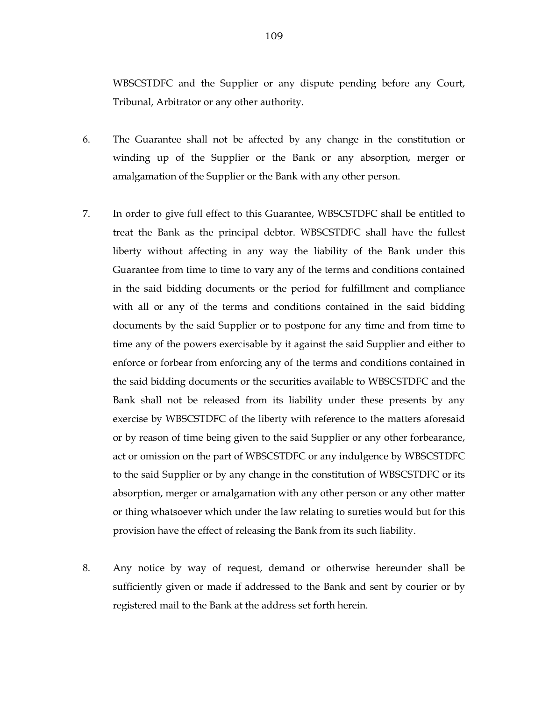WBSCSTDFC and the Supplier or any dispute pending before any Court, Tribunal, Arbitrator or any other authority.

- 6. The Guarantee shall not be affected by any change in the constitution or winding up of the Supplier or the Bank or any absorption, merger or amalgamation of the Supplier or the Bank with any other person.
- 7. In order to give full effect to this Guarantee, WBSCSTDFC shall be entitled to treat the Bank as the principal debtor. WBSCSTDFC shall have the fullest liberty without affecting in any way the liability of the Bank under this Guarantee from time to time to vary any of the terms and conditions contained in the said bidding documents or the period for fulfillment and compliance with all or any of the terms and conditions contained in the said bidding documents by the said Supplier or to postpone for any time and from time to time any of the powers exercisable by it against the said Supplier and either to enforce or forbear from enforcing any of the terms and conditions contained in the said bidding documents or the securities available to WBSCSTDFC and the Bank shall not be released from its liability under these presents by any exercise by WBSCSTDFC of the liberty with reference to the matters aforesaid or by reason of time being given to the said Supplier or any other forbearance, act or omission on the part of WBSCSTDFC or any indulgence by WBSCSTDFC to the said Supplier or by any change in the constitution of WBSCSTDFC or its absorption, merger or amalgamation with any other person or any other matter or thing whatsoever which under the law relating to sureties would but for this provision have the effect of releasing the Bank from its such liability.
- 8. Any notice by way of request, demand or otherwise hereunder shall be sufficiently given or made if addressed to the Bank and sent by courier or by registered mail to the Bank at the address set forth herein.